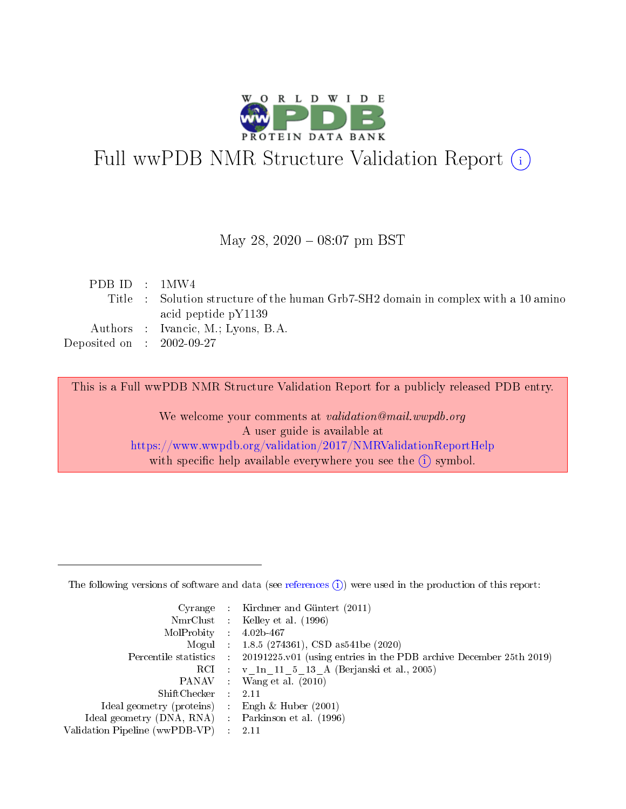

# Full wwPDB NMR Structure Validation Report (i)

### May 28, 2020 - 08:07 pm BST

| PDBID : 1MW4                |                                                                                    |
|-----------------------------|------------------------------------------------------------------------------------|
|                             | Title : Solution structure of the human Grb7-SH2 domain in complex with a 10 amino |
|                             | acid peptide $pY1139$                                                              |
|                             | Authors : Ivancic, M.; Lyons, B.A.                                                 |
| Deposited on : $2002-09-27$ |                                                                                    |
|                             |                                                                                    |

This is a Full wwPDB NMR Structure Validation Report for a publicly released PDB entry.

We welcome your comments at validation@mail.wwpdb.org A user guide is available at <https://www.wwpdb.org/validation/2017/NMRValidationReportHelp> with specific help available everywhere you see the  $(i)$  symbol.

The following versions of software and data (see [references](https://www.wwpdb.org/validation/2017/NMRValidationReportHelp#references)  $(1)$ ) were used in the production of this report:

| Cyrange                        | Kirchner and Güntert (2011)                                        |
|--------------------------------|--------------------------------------------------------------------|
|                                | NmrClust : Kelley et al. (1996)                                    |
| MolProbity :                   | $4.02b - 467$                                                      |
| Mogul :                        | $1.8.5$ (274361), CSD as 541be (2020)                              |
| Percentile statistics :        | 20191225.v01 (using entries in the PDB archive December 25th 2019) |
|                                | RCI : v 1n 11 5 13 A (Berjanski et al., 2005)                      |
| PANAV –                        | Wang et al. $(2010)$                                               |
| $ShiftChecker$ :               | 2.11                                                               |
| Ideal geometry (proteins) :    | Engh $\&$ Huber (2001)                                             |
| Ideal geometry (DNA, RNA) :    | Parkinson et al. (1996)                                            |
| Validation Pipeline (wwPDB-VP) | 2.11                                                               |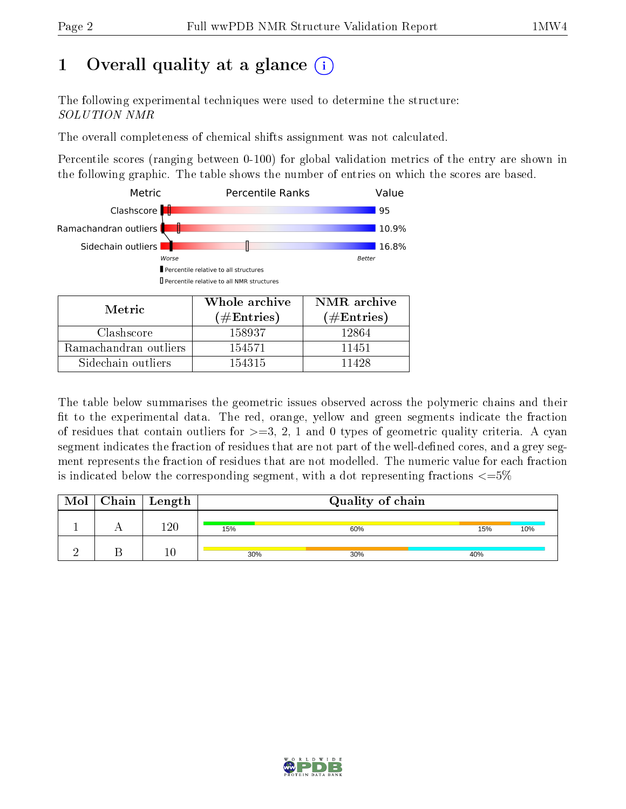# 1 [O](https://www.wwpdb.org/validation/2017/NMRValidationReportHelp#overall_quality)verall quality at a glance (i)

The following experimental techniques were used to determine the structure: SOLUTION NMR

The overall completeness of chemical shifts assignment was not calculated.

Percentile scores (ranging between 0-100) for global validation metrics of the entry are shown in the following graphic. The table shows the number of entries on which the scores are based.



Sidechain outliers 154315 11428

The table below summarises the geometric issues observed across the polymeric chains and their fit to the experimental data. The red, orange, yellow and green segments indicate the fraction of residues that contain outliers for  $>=3, 2, 1$  and 0 types of geometric quality criteria. A cyan segment indicates the fraction of residues that are not part of the well-defined cores, and a grey segment represents the fraction of residues that are not modelled. The numeric value for each fraction is indicated below the corresponding segment, with a dot representing fractions  $\epsilon = 5\%$ 

| Mol | ${\rm Chain \mid Length}$ |     | Quality of chain |            |  |
|-----|---------------------------|-----|------------------|------------|--|
|     | 190                       | 15% | 60%              | 10%<br>15% |  |
|     | 10                        | 30% | 30%              | 40%        |  |

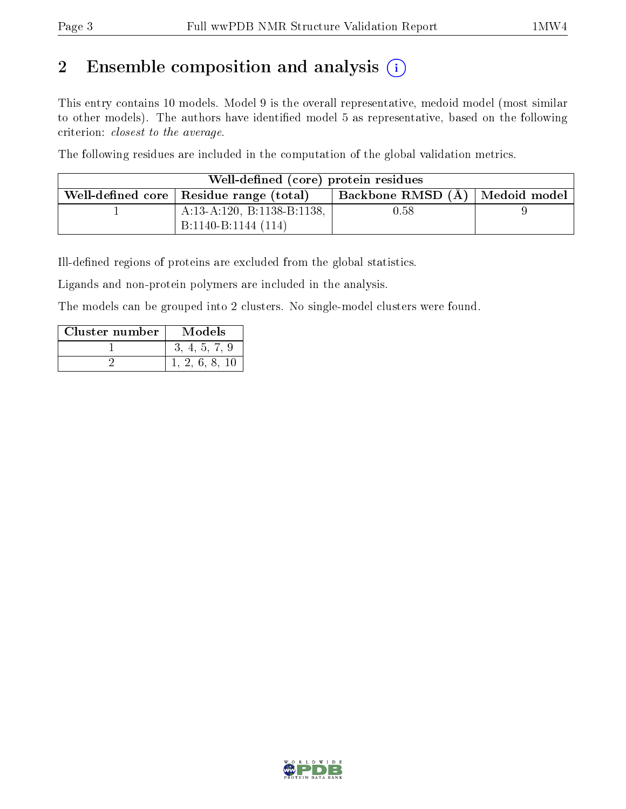# 2 Ensemble composition and analysis  $(i)$

This entry contains 10 models. Model 9 is the overall representative, medoid model (most similar to other models). The authors have identified model 5 as representative, based on the following criterion: closest to the average.

The following residues are included in the computation of the global validation metrics.

| Well-defined (core) protein residues                                            |          |  |  |  |  |  |  |  |  |  |  |  |  |  |
|---------------------------------------------------------------------------------|----------|--|--|--|--|--|--|--|--|--|--|--|--|--|
| Backbone RMSD (A)   Medoid model  <br>Well-defined core   Residue range (total) |          |  |  |  |  |  |  |  |  |  |  |  |  |  |
| A:13-A:120, B:1138-B:1138,                                                      | $0.58\,$ |  |  |  |  |  |  |  |  |  |  |  |  |  |
| B:1140-B:1144 (114)                                                             |          |  |  |  |  |  |  |  |  |  |  |  |  |  |

Ill-defined regions of proteins are excluded from the global statistics.

Ligands and non-protein polymers are included in the analysis.

The models can be grouped into 2 clusters. No single-model clusters were found.

| Cluster number | Models |
|----------------|--------|
|                |        |
|                |        |

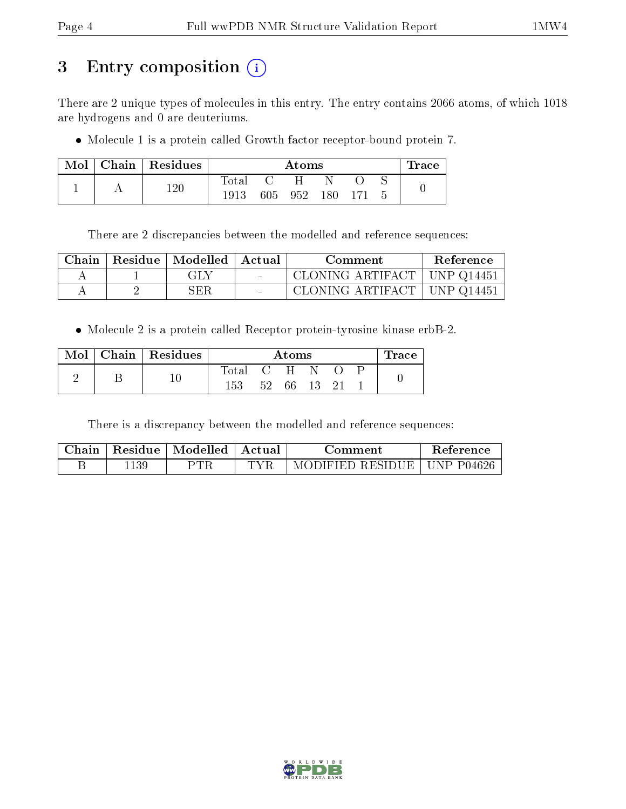# 3 Entry composition (i)

There are 2 unique types of molecules in this entry. The entry contains 2066 atoms, of which 1018 are hydrogens and 0 are deuteriums.

Molecule 1 is a protein called Growth factor receptor-bound protein 7.

| Mol | $Chain   Residues$ |                |      | Atoms |      |  | $\Gamma$ race |
|-----|--------------------|----------------|------|-------|------|--|---------------|
|     |                    | $_{\rm Total}$ |      |       |      |  |               |
|     | 120                | 1913           | 605- | 952   | 180. |  |               |

There are 2 discrepancies between the modelled and reference sequences:

| ${\bf Chain}$ | Residue   Modelled   Actual | Comment                               | Reference |
|---------------|-----------------------------|---------------------------------------|-----------|
|               | GLY                         | CLONING ARTIFACT   UNP Q14451         |           |
|               | SER                         | $\,$ CLONING ARTIFACT $\,$ UNP Q14451 |           |

Molecule 2 is a protein called Receptor protein-tyrosine kinase erbB-2.

| $Mol \mid$ | Chain   Residues |             |     | Atoms |  | race. |
|------------|------------------|-------------|-----|-------|--|-------|
|            |                  | $\rm Total$ |     | $C-H$ |  |       |
|            |                  | 153         | 52. | 66.   |  |       |

There is a discrepancy between the modelled and reference sequences:

| $\operatorname{\mathsf{Chain}}$ | Residue | Modelled | Actual | ∷omment          | Reference             |
|---------------------------------|---------|----------|--------|------------------|-----------------------|
|                                 | 139     | ר TR     |        | MODIFIED RESIDUE | <b>IINP</b><br>P04626 |

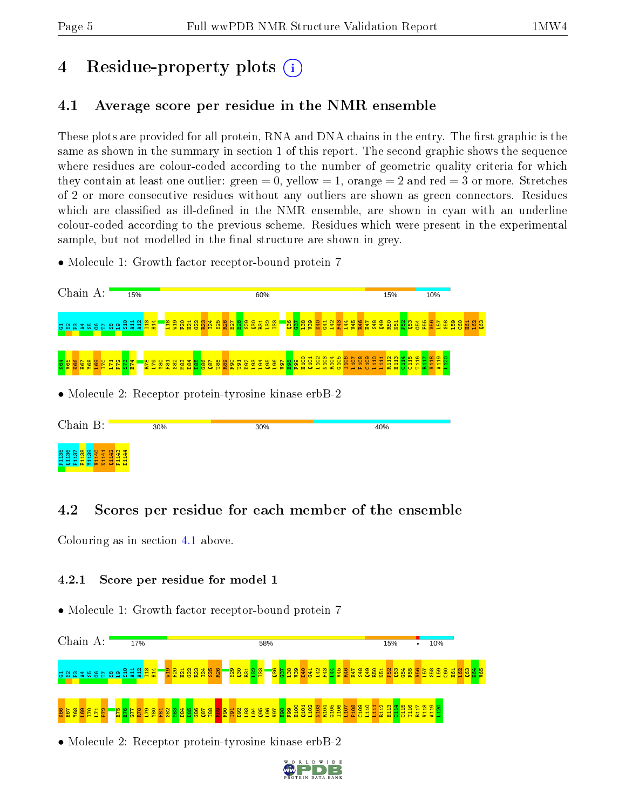# 4 Residue-property plots  $\binom{1}{1}$

## <span id="page-4-0"></span>4.1 Average score per residue in the NMR ensemble

These plots are provided for all protein, RNA and DNA chains in the entry. The first graphic is the same as shown in the summary in section 1 of this report. The second graphic shows the sequence where residues are colour-coded according to the number of geometric quality criteria for which they contain at least one outlier: green  $= 0$ , yellow  $= 1$ , orange  $= 2$  and red  $= 3$  or more. Stretches of 2 or more consecutive residues without any outliers are shown as green connectors. Residues which are classified as ill-defined in the NMR ensemble, are shown in cyan with an underline colour-coded according to the previous scheme. Residues which were present in the experimental sample, but not modelled in the final structure are shown in grey.

• Molecule 1: Growth factor receptor-bound protein 7



## 4.2 Scores per residue for each member of the ensemble

Colouring as in section [4.1](#page-4-0) above.

### 4.2.1 Score per residue for model 1

• Molecule 1: Growth factor receptor-bound protein 7



• Molecule 2: Receptor protein-tyrosine kinase erbB-2

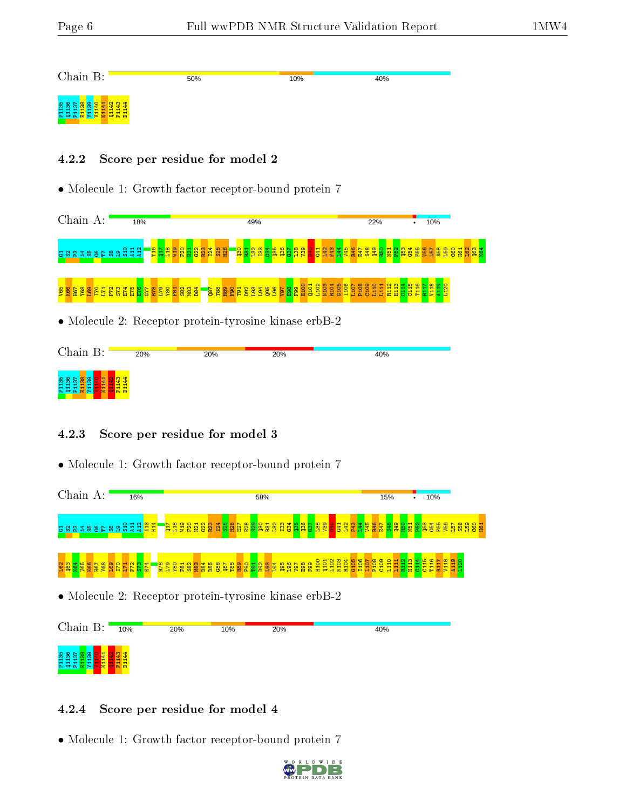40%

10%

Chain B:



#### 4.2.2 Score per residue for model 2

• Molecule 1: Growth factor receptor-bound protein 7

50%

Chain A: 18%  $\frac{1}{10\%}$ 49% 22% s 22 3 3 3 4 5 6 6 7 8 9 5 5 7 9 T16  $\Xi$  $\frac{8}{11}$  $\frac{9}{2}$  $\frac{1}{2}$  $\Xi$  .  $\frac{22}{2}$  $\frac{23}{2}$ I24 S25 R26  $\frac{8}{2}$  $\frac{51}{2}$  $\frac{32}{2}$ I33  $\frac{34}{2}$  $\frac{35}{2}$  $\frac{36}{2}$  $\frac{57}{2}$  $\frac{8}{1}$  $\frac{3}{2}$  $\frac{1}{2}$  $\frac{41}{41}$ L42  $\frac{1}{2}$  $\frac{44}{4}$  $\frac{25}{2}$  $\frac{46}{1}$ E47 S48 Q49  $\frac{5}{2}$ N51  $\frac{2}{2}$  $\overline{53}$  $\frac{54}{55}$  $\overline{51}$  $\frac{58}{2}$  $\frac{159}{2}$  $\frac{60}{20}$ H61  $\frac{1}{2}$  $\frac{8}{2}$ K64

#### V65 K66 H67 Y68 L69 I70 L71 P72 S73 E74 E75 E76 G77 R78 L79 Y80 F81 S82 M83 D84 8 28 28 39 39 38<br>B8 28 39 39 39 3 F99 H100 Q101 L102 N103 R104 G105 I106 L107 P108 C109  $\frac{110}{11}$  $\frac{11}{11}$ R112 H113  $\frac{14}{114}$  $\frac{15}{2}$ T116 R117 V118 A119 L120

• Molecule 2: Receptor protein-tyrosine kinase erbB-2

| Chain B:                                   | 20% | 20% | 20% | 40% |
|--------------------------------------------|-----|-----|-----|-----|
| <b>22</b> 28<br>la a<br><b>A</b> O'A<br>2o |     |     |     |     |

### 4.2.3 Score per residue for model 3

• Molecule 1: Growth factor receptor-bound protein 7



### 4.2.4 Score per residue for model 4

P135<br>P1137 P113<br>P113<br>P1141 P1141<br>P113

Q1142 P1143 D1144

• Molecule 1: Growth factor receptor-bound protein 7

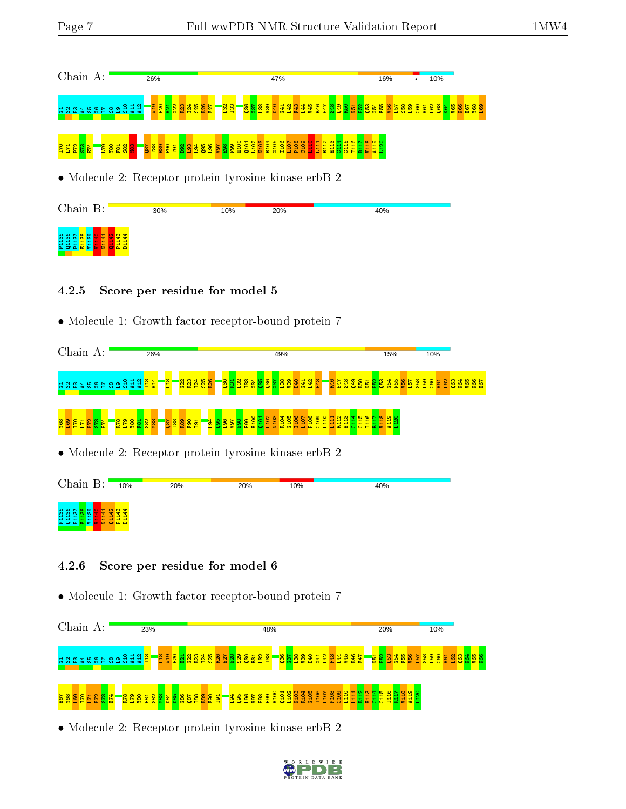|                                                       | Chain A:<br>26%                                                                                                                                                           |  |  |  |  |                                |  |  |  |     |  |  |  |                   |                  |  | 47% |  |  |     |  |  |  | 16% |                                                                                                                              |  | 10% |  |  |  |
|-------------------------------------------------------|---------------------------------------------------------------------------------------------------------------------------------------------------------------------------|--|--|--|--|--------------------------------|--|--|--|-----|--|--|--|-------------------|------------------|--|-----|--|--|-----|--|--|--|-----|------------------------------------------------------------------------------------------------------------------------------|--|-----|--|--|--|
| 288388689822                                          |                                                                                                                                                                           |  |  |  |  | <mark>-ខ្ទួនដួនដូនដូន</mark> ន |  |  |  |     |  |  |  | <mark>ង្គន</mark> |                  |  |     |  |  |     |  |  |  |     | <mark>ិន្ទី និ</mark> ន្ទី និន្ទី និទ្ធី និន្ទី និទ្ធី និទ្ធី និទ្ធី និទ្ធី និទ្ធី និទ្ធី និទ្ធី និទ្ធី និទ្ធី និទ្ធី និទ្ធី |  |     |  |  |  |
| 12 2 2 1 2 <u>3</u><br>1 3 2 1 1 1 1                  | ាន ខេត្តខ្ព <mark>ុង ខ្លួ</mark> ង ខេត្ត <mark>ុ ខេត្ត មិន ខ្លួន ខ្លួន ខ្លួន ខ្លួន</mark><br>ក្នុង ខេត្ត <mark>ខ្លួន ខ្លួន ខេត្ត មិន ខ្លួន ខ្លួន ខ្លួន ខ្លួន</mark> ខ្លួន |  |  |  |  |                                |  |  |  |     |  |  |  |                   | $\frac{11}{R12}$ |  |     |  |  |     |  |  |  |     |                                                                                                                              |  |     |  |  |  |
| • Molecule 2: Receptor protein-tyrosine kinase erbB-2 |                                                                                                                                                                           |  |  |  |  |                                |  |  |  |     |  |  |  |                   |                  |  |     |  |  |     |  |  |  |     |                                                                                                                              |  |     |  |  |  |
| Chain B:<br>30%                                       |                                                                                                                                                                           |  |  |  |  |                                |  |  |  | 10% |  |  |  | 20%               |                  |  |     |  |  | 40% |  |  |  |     |                                                                                                                              |  |     |  |  |  |
|                                                       |                                                                                                                                                                           |  |  |  |  |                                |  |  |  |     |  |  |  |                   |                  |  |     |  |  |     |  |  |  |     |                                                                                                                              |  |     |  |  |  |

#### 4.2.5 Score per residue for model 5

• Molecule 1: Growth factor receptor-bound protein 7

|                                                                                                    |  | Chain A:<br>26% |  |  |                                   |  |  |  |  |  |                 |     |  |  |                              |  |                                                                            |     |  | 49%                                                   |             |      |              |                  |                                         |  |               |  | 15% |            |  | 10% |  |  |  |                                                                                                          |
|----------------------------------------------------------------------------------------------------|--|-----------------|--|--|-----------------------------------|--|--|--|--|--|-----------------|-----|--|--|------------------------------|--|----------------------------------------------------------------------------|-----|--|-------------------------------------------------------|-------------|------|--------------|------------------|-----------------------------------------|--|---------------|--|-----|------------|--|-----|--|--|--|----------------------------------------------------------------------------------------------------------|
| <u>ិដ្ឋិ និងមានទី និង ក្នុង ក្នុង</u>                                                              |  |                 |  |  |                                   |  |  |  |  |  | <mark>an</mark> |     |  |  | <mark>ន្លួន្លងន្ទន</mark> ្ន |  |                                                                            |     |  | <mark>ន្ទ្រីដីដូន្ទីន្ទីន្ទីន្ទីន្ទី អ្នក អ្នក</mark> |             |      |              |                  |                                         |  | <b>323325</b> |  |     | <b>355</b> |  |     |  |  |  | $\frac{23}{8}$ $\frac{23}{8}$ $\frac{25}{8}$ $\frac{25}{8}$ $\frac{25}{8}$ $\frac{25}{8}$ $\frac{25}{8}$ |
| $\frac{12}{3}$ $\frac{2}{3}$ $\frac{1}{3}$ $\frac{1}{2}$ $\frac{1}{2}$ $\frac{1}{2}$ $\frac{1}{2}$ |  |                 |  |  | <mark>្រីនី នី នី នី នី នី</mark> |  |  |  |  |  |                 |     |  |  |                              |  | <mark>ាន់ ខ្លួន ខ្លួន ខ្លួន</mark><br>ក្នុ <mark>ង ខ្លួន ខ្លួន</mark> ខ្លួ |     |  | EOIN                                                  | <b>R104</b> | 3105 | T106<br>L107 | P <sub>108</sub> | <mark>: 응음법암음법음담]</mark><br>- 응음법암음법음음법 |  |               |  |     |            |  |     |  |  |  |                                                                                                          |
| • Molecule 2: Receptor protein-tyrosine kinase erbB-2                                              |  |                 |  |  |                                   |  |  |  |  |  |                 |     |  |  |                              |  |                                                                            |     |  |                                                       |             |      |              |                  |                                         |  |               |  |     |            |  |     |  |  |  |                                                                                                          |
| Chain B:                                                                                           |  |                 |  |  | 10%                               |  |  |  |  |  |                 | 20% |  |  |                              |  |                                                                            | 20% |  |                                                       |             |      | 10%          |                  |                                         |  |               |  | 40% |            |  |     |  |  |  |                                                                                                          |

 $\frac{1142}{2}$ P1143 D1144

P1136<br>P1136<br>P1138<br>P1136<br>P1136<br>P1136<br>P1136<br>P1136

## 4.2.6 Score per residue for model 6

• Molecule 1: Growth factor receptor-bound protein 7



• Molecule 2: Receptor protein-tyrosine kinase erbB-2

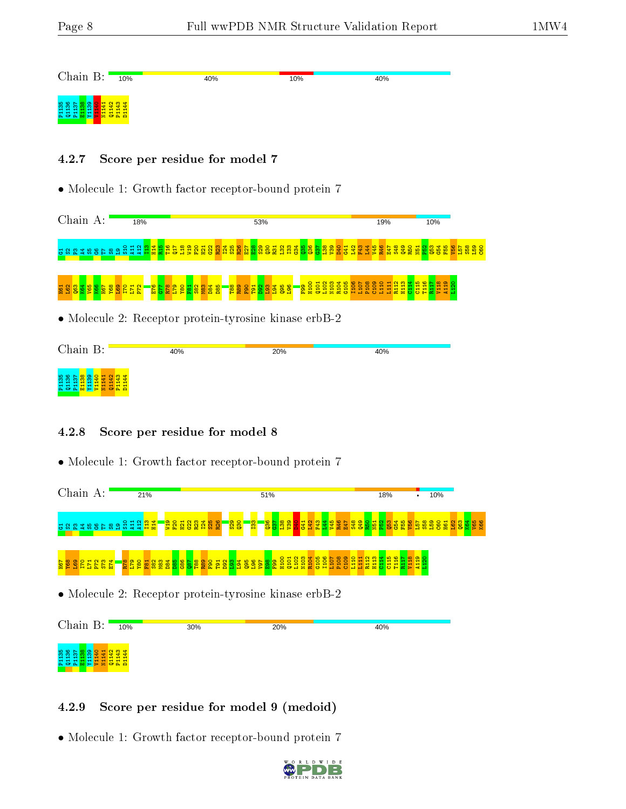<mark>지 금 지 더</mark> 각

 $\frac{8}{2}$ 

| Chain B:                                                              | 10%                         | 40% | 10% | 40% |
|-----------------------------------------------------------------------|-----------------------------|-----|-----|-----|
| <mark>ងងងង</mark> នឹង<br>$\sim$<br>. 분 공 분 분 및 <mark>를 볼 품 분 품</mark> | $\frac{1}{4}$ 3 3<br>÷<br>÷ |     |     |     |

#### 4.2.7 Score per residue for model 7

• Molecule 1: Growth factor receptor-bound protein 7

Chain A: 18% 53% 19% 10% ដង៥នីក្នុងទីក្នុង ក្នុង <u>មួង ដូង ដូន និង ដូន និង ដូន និង ដូន និ</u>  $\frac{35}{2}$  $\frac{36}{2}$  $\frac{57}{2}$  $\frac{38}{2}$  $\frac{8}{2}$  $\frac{1}{2}$  $\frac{41}{4}$  $\frac{1}{2}$ F43  $\overline{d}$  $\frac{1}{2}$  $\frac{1}{2}$ E47  $\frac{48}{2}$ Q49 R50  $\frac{1}{2}$ ន្ត្<mark>ន្ទ្រី ខ្ល</mark>  $\frac{1}{2}$ L57  $\frac{58}{2}$ L59

#### $\mathbf{H}$  $\frac{1}{2}$  $\frac{3}{2}$  $\frac{4}{10}$ V65 ka<br>**Kang** 88<br>Sepa E76 G77 P888882<br>8828882 នី នី ទី <mark>នី នី ទី ទី ទី នី</mark>  $\frac{6}{5}$ H100 Q101 L102 N103 R104 G105 I106 L107 P108  $\frac{80}{2}$ L110  $\frac{11}{11}$ R112 H113  $\frac{14}{114}$  $\frac{15}{2}$ T116  $\frac{17}{111}$ V118 A119  $\frac{120}{1}$

• Molecule 2: Receptor protein-tyrosine kinase erbB-2

| Chain B:                                                                              | 40% | 20% | 40% |
|---------------------------------------------------------------------------------------|-----|-----|-----|
| <b>라 참 밖</b><br>58.8<br>븗<br><mark>ုဇ္</mark> က ဇ္ကု<br>품 충품 <mark>품 중 출 품 품 품</mark> |     |     |     |

### 4.2.8 Score per residue for model 8

• Molecule 1: Growth factor receptor-bound protein 7



### 4.2.9 Score per residue for model 9 (medoid)

P1136<br>Q1137 21140<br>P1138 V1140 N1143<br>P1143

D1144

• Molecule 1: Growth factor receptor-bound protein 7

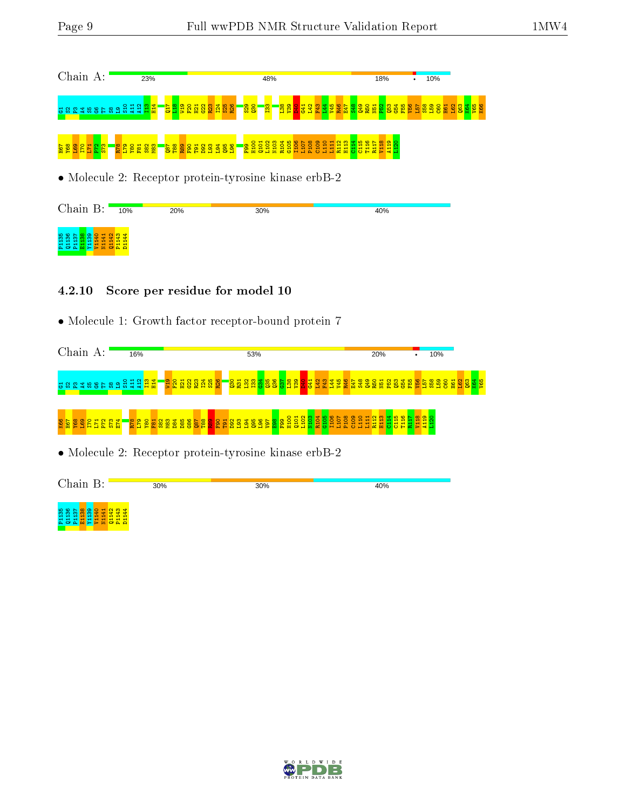P1136 <mark>88</mark><br>D1136 P114<br>P115 B1141 P114<br>P114 B114

| Chain A:                                                                                            | 23%                               |                                                                          | 48%                                                                                                         | 18% | 10%                                                                |
|-----------------------------------------------------------------------------------------------------|-----------------------------------|--------------------------------------------------------------------------|-------------------------------------------------------------------------------------------------------------|-----|--------------------------------------------------------------------|
| <b>888388688985981</b>                                                                              |                                   | <mark>▀ᡖ予</mark> ਫ਼ ਫ਼ ਫ਼ ਫ਼ ਫ਼ ਫ਼ ਫ਼ ਫ਼ ਫ਼<br><mark>"ဂ္ဂိ ဂ္ဂိ</mark> = | <b>i</b> n<br><mark>-ඍඎ පියි පියි පියි පියි පියි සි පියි</mark> පියි                                        |     | <mark>ន្</mark> តន្ត្រីន្ទី ចូន ន្ទី ន្ទី ន្ទី ន្ទី ន្ទី ន្ទី ន្ទី |
| $\frac{83}{3} \frac{2}{3} \frac{1}{2} \frac{1}{2} \frac{3}{2} \frac{8}{2} \frac{83}{2} \frac{8}{2}$ | <mark>្ត្រី ទី នី នី នី នី</mark> |                                                                          | ■ <mark>∞ខ្លួ</mark> ខ្លួនខ្លួន ខ្លួន ខ្លួន ដង ដង ដង ដឹង ដង<br>■■ ខ្លួន ខ្លួន ខ្លួន ខ្លួន ខ្លួន ដង ដង ដង ដូ |     |                                                                    |
|                                                                                                     |                                   |                                                                          | • Molecule 2: Receptor protein-tyrosine kinase erbB-2                                                       |     |                                                                    |
| Chain B:                                                                                            | 10%<br>20%                        |                                                                          | 30%                                                                                                         | 40% |                                                                    |
| 膏                                                                                                   |                                   |                                                                          |                                                                                                             |     |                                                                    |

#### 4.2.10 Score per residue for model 10

• Molecule 1: Growth factor receptor-bound protein 7

| Chain A:                                              |  |  |  | 16% |  |            |                         |       |  |  | 53% |     |  |  |  |  |  | 20% |     |  |  | 10% |  |  |  |
|-------------------------------------------------------|--|--|--|-----|--|------------|-------------------------|-------|--|--|-----|-----|--|--|--|--|--|-----|-----|--|--|-----|--|--|--|
| <u>ិដ្ឋិ និងមាន ដូច្នេះ ដូច្នេ</u>                    |  |  |  |     |  | <b>QTM</b> | $\overline{\mathbf{B}}$ | 32352 |  |  |     |     |  |  |  |  |  |     |     |  |  |     |  |  |  |
|                                                       |  |  |  |     |  |            |                         |       |  |  |     |     |  |  |  |  |  |     |     |  |  |     |  |  |  |
| • Molecule 2: Receptor protein-tyrosine kinase erbB-2 |  |  |  |     |  |            |                         |       |  |  |     |     |  |  |  |  |  |     |     |  |  |     |  |  |  |
| Chain B:                                              |  |  |  |     |  | 30%        |                         |       |  |  |     | 30% |  |  |  |  |  |     | 40% |  |  |     |  |  |  |

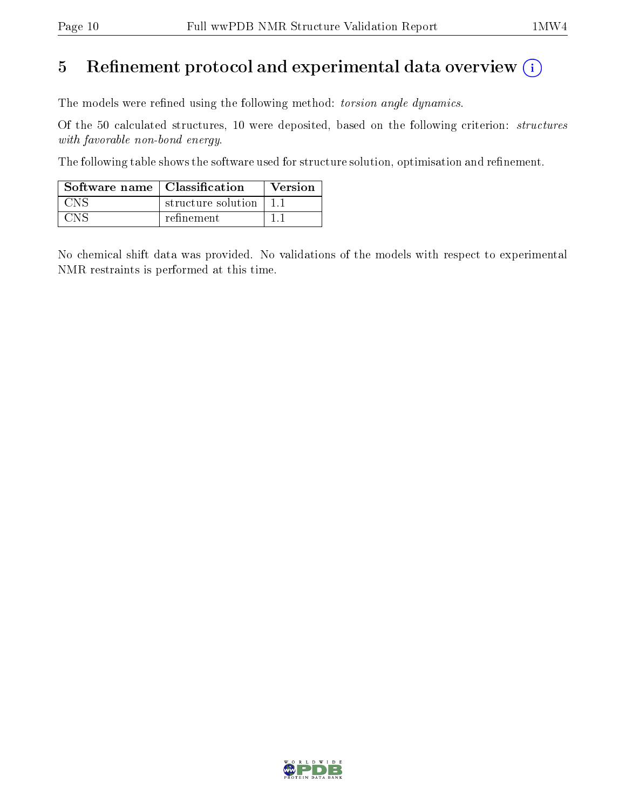# 5 Refinement protocol and experimental data overview  $(i)$

The models were refined using the following method: torsion angle dynamics.

Of the 50 calculated structures, 10 were deposited, based on the following criterion: structures with favorable non-bond energy.

The following table shows the software used for structure solution, optimisation and refinement.

| Software name $\vert$ Classification |                    | Version |
|--------------------------------------|--------------------|---------|
| CNS                                  | structure solution |         |
| CNS                                  | refinement         |         |

No chemical shift data was provided. No validations of the models with respect to experimental NMR restraints is performed at this time.

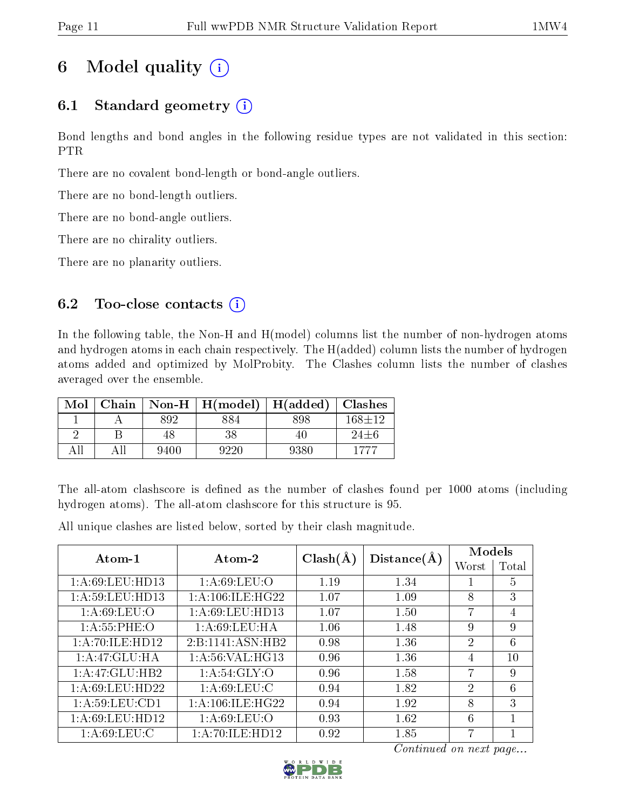# 6 Model quality  $(i)$

# 6.1 Standard geometry  $(i)$

Bond lengths and bond angles in the following residue types are not validated in this section: PTR

There are no covalent bond-length or bond-angle outliers.

There are no bond-length outliers.

There are no bond-angle outliers.

There are no chirality outliers.

There are no planarity outliers.

## 6.2 Too-close contacts  $(i)$

In the following table, the Non-H and H(model) columns list the number of non-hydrogen atoms and hydrogen atoms in each chain respectively. The H(added) column lists the number of hydrogen atoms added and optimized by MolProbity. The Clashes column lists the number of clashes averaged over the ensemble.

| Mol   | Chain |      | $\text{Non-H} \mid \text{H}(\text{model})$ | $\vert$ H(added) $\vert$ | <b>Clashes</b> |
|-------|-------|------|--------------------------------------------|--------------------------|----------------|
|       |       | 892  | 884                                        | 898                      | $168 + 12$     |
|       |       | 48   | 38                                         | 40                       | $24 \pm 6$     |
| 4 1 I |       | 9400 | 9220                                       | 9380                     | 1777           |

The all-atom clashscore is defined as the number of clashes found per 1000 atoms (including hydrogen atoms). The all-atom clashscore for this structure is 95.

All unique clashes are listed below, sorted by their clash magnitude.

| Atom-1            | Atom-2               |              |             | Models         |       |  |
|-------------------|----------------------|--------------|-------------|----------------|-------|--|
|                   |                      | $Clash(\AA)$ | Distance(A) | Worst          | Total |  |
| 1: A:69:LEU:HD13  | 1: A:69:LEU:O        | 1.19         | 1.34        |                | 5     |  |
| 1:A:59:LEU:HD13   | 1: A:106: ILE: HG22  | 1.07         | 1.09        | 8              | 3     |  |
| 1: A:69: LEU:O    | 1: A:69: LEU: HD13   | 1.07         | 1.50        | 7              | 4     |  |
| 1: A:55:PHE:O     | 1: A:69:LEU:HA       | 1.06         | 1.48        | 9              | 9     |  |
| 1:A:70:ILE:HD12   | 2:B:1141:ASN:HB2     | 0.98         | 1.36        | 2              | 6     |  |
| 1: A:47: GLU: HA  | 1: A:56: VAL:HG13    | 0.96         | 1.36        | 4              | 10    |  |
| 1:A:47:GLU:HB2    | 1: A:54: GLY:O       | 0.96         | 1.58        | 7              | 9     |  |
| 1: A:69:LEU:HD22  | 1: A:69:LEU:C        | 0.94         | 1.82        | $\overline{2}$ | 6     |  |
| 1: A:59: LEU: CD1 | 1: A: 106: ILE: HG22 | 0.94         | 1.92        | 8              | 3     |  |
| 1: A:69:LEU:HD12  | 1: A:69:LEU:O        | 0.93         | 1.62        | 6              |       |  |
| 1: A:69:LEU:C     | 1: A:70: ILE: HD12   | 0.92         | 1.85        | 7              |       |  |

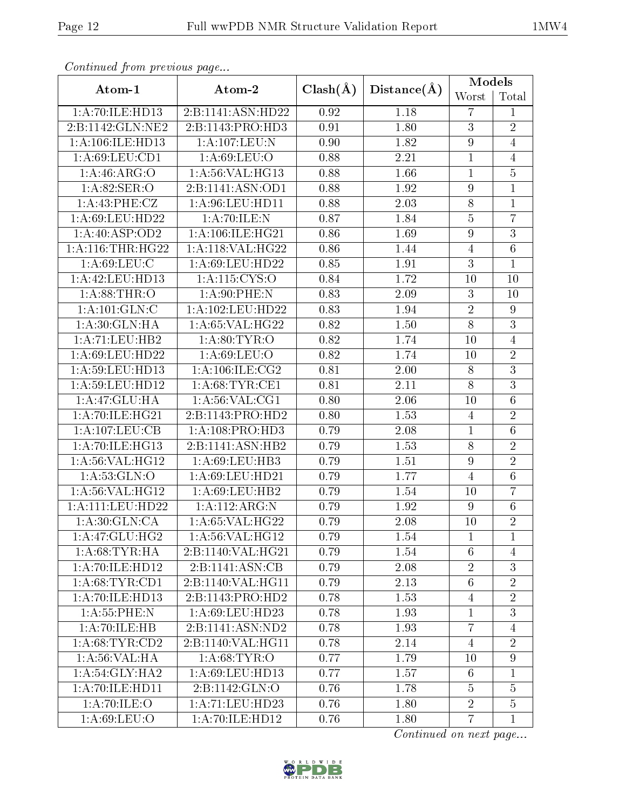| Continuou jiom protivus pugo |                     |                   |             | <b>Models</b>    |                 |  |
|------------------------------|---------------------|-------------------|-------------|------------------|-----------------|--|
| Atom-1                       | Atom-2              | $Clash(\AA)$      | Distance(A) | Worst            | Total           |  |
| 1:A:70:ILE:HD13              | 2:B:1141:ASN:HD22   | 0.92              | 1.18        | 7                | 1               |  |
| 2:B:1142:GLN:NE2             | 2:B:1143:PRO:HD3    | 0.91              | 1.80        | $\overline{3}$   | $\overline{2}$  |  |
| 1: A: 106: ILE: HD13         | 1:A:107:LEU:N       | 0.90              | 1.82        | $\boldsymbol{9}$ | $\overline{4}$  |  |
| 1: A:69: LEU:CD1             | 1: A:69:LEU:O       | 0.88              | 2.21        | $\mathbf{1}$     | $\overline{4}$  |  |
| 1:A:46:ARG:O                 | 1: A:56: VAL:HG13   | 0.88              | 1.66        | 1                | $\overline{5}$  |  |
| 1: A:82: SER:O               | 2:B:1141:ASN:OD1    | 0.88              | 1.92        | $\overline{9}$   | 1               |  |
| 1: A: 43: PHE: CZ            | 1: A:96: LEU: HD11  | 0.88              | 2.03        | $\overline{8}$   | $\mathbf 1$     |  |
| 1: A:69:LEU:HD22             | 1:A:70:ILE:N        | 0.87              | 1.84        | $\overline{5}$   | $\overline{7}$  |  |
| 1:A:40:ASP:OD2               | 1: A:106: ILE: HG21 | 0.86              | 1.69        | $\overline{9}$   | $\overline{3}$  |  |
| 1: A:116:THR:HG22            | 1: A:118: VAL:HG22  | 0.86              | 1.44        | 4                | $6\phantom{.}6$ |  |
| 1: A:69:LEU:C                | 1:A:69:LEU:HD22     | $\overline{0.85}$ | 1.91        | $\overline{3}$   | $\mathbf{1}$    |  |
| 1:A:42:LEU:HD13              | 1:A:115:CYS:O       | 0.84              | 1.72        | 10               | 10              |  |
| 1: A:88:THR:O                | 1: A:90: PHE: N     | 0.83              | 2.09        | $\overline{3}$   | 10              |  |
| 1: A: 101: GLN: C            | 1:A:102:LEU:HD22    | 0.83              | 1.94        | $\overline{2}$   | $\overline{9}$  |  |
| 1: A:30: GLN: HA             | 1:A:65:VAL:HG22     | 0.82              | 1.50        | 8                | $\mathbf{3}$    |  |
| 1: A: 71: LEU: HB2           | 1: A:80: TYR:O      | 0.82              | 1.74        | 10               | $\overline{4}$  |  |
| 1:A:69:LEU:HD22              | 1: A:69:LEU:O       | 0.82              | 1.74        | 10               | $\overline{2}$  |  |
| 1:A:59:LEU:HD13              | 1: A: 106: ILE: CG2 | 0.81              | 2.00        | 8                | $\overline{3}$  |  |
| 1:A:59:LEU:HD12              | 1: A:68:TYR:CE1     | 0.81              | 2.11        | $\overline{8}$   | $\overline{3}$  |  |
| 1:A:47:GLU:HA                | 1: A:56: VAL:CG1    | 0.80              | 2.06        | 10               | $\,6$           |  |
| 1:A:70:ILE:HG21              | 2:B:1143:PRO:HD2    | 0.80              | 1.53        | $\overline{4}$   | $\overline{2}$  |  |
| 1:A:107:LEU:CB               | 1: A:108: PRO:HD3   | 0.79              | 2.08        | $\mathbf{1}$     | $\,6$           |  |
| 1:A:70:ILE:HG13              | 2:B:1141:ASN:HB2    | 0.79              | 1.53        | $\overline{8}$   | $\overline{2}$  |  |
| 1: A:56: VAL:HGI2            | 1:A:69:LEU:HB3      | 0.79              | 1.51        | 9                | $\overline{2}$  |  |
| 1: A:53: GLN:O               | 1:A:69:LEU:HD21     | 0.79              | 1.77        | $\overline{4}$   | $\,6$           |  |
| 1: A:56: VAL:HG12            | 1: A:69: LEU: HB2   | 0.79              | 1.54        | 10               | $\overline{7}$  |  |
| 1:A:111:LEU:HD22             | 1:A:112:ARG:N       | 0.79              | 1.92        | $\boldsymbol{9}$ | $\,6$           |  |
| 1: A:30: GLN:CA              | 1:A:65:VAL:HG22     | 0.79              | 2.08        | 10               | $\overline{2}$  |  |
| $1:A:47:GLU:H\overline{G2}$  | 1: A:56: VAL:HG12   | 0.79              | 1.54        | $\mathbf{1}$     | 1               |  |
| 1: A:68:TYR:HA               | 2:B:1140:VAL:HG21   | 0.79              | 1.54        | $6\phantom{.}6$  | $\overline{4}$  |  |
| 1:A:70:ILE:HD12              | 2:B:1141:ASN:CB     | 0.79              | 2.08        | $\overline{2}$   | 3               |  |
| 1: A:68:TYR:CD1              | 2:B:1140:VAL:HG11   | 0.79              | 2.13        | $6\phantom{.}6$  | $\overline{2}$  |  |
| 1:A:70:ILE:HD13              | 2:B:1143:PRO:HD2    | 0.78              | 1.53        | $\overline{4}$   | $\overline{2}$  |  |
| 1: A: 55: PHE: N             | 1: A:69: LEU: HD23  | 0.78              | 1.93        | $\mathbf{1}$     | 3               |  |
| 1: A:70: ILE: HB             | 2:B:1141:ASN:ND2    | 0.78              | 1.93        | $\overline{7}$   | $\overline{4}$  |  |
| 1: A:68:TYR:CD2              | 2:B:1140:VAL:HG11   | 0.78              | 2.14        | $\overline{4}$   | $\overline{2}$  |  |
| 1: A:56: VAL:HA              | 1: A:68:TYR:O       | 0.77              | 1.79        | 10               | $\overline{9}$  |  |
| $1:A:\overline{54:GLY:HA2}$  | 1:A:69:LEU:HD13     | 0.77              | 1.57        | $6\phantom{.}6$  | $\mathbf{1}$    |  |
| 1:A:70:ILE:HD11              | 2:B:1142:GLN:O      | 0.76              | 1.78        | $\overline{5}$   | $\overline{5}$  |  |
| 1:A:70:ILE:O                 | 1:A:71:LEU:HD23     | 0.76              | 1.80        | $\overline{2}$   | $\overline{5}$  |  |
| 1: A:69: LEU:O               | 1: A:70: ILE: HD12  | 0.76              | 1.80        | $\overline{7}$   | $\mathbf{1}$    |  |

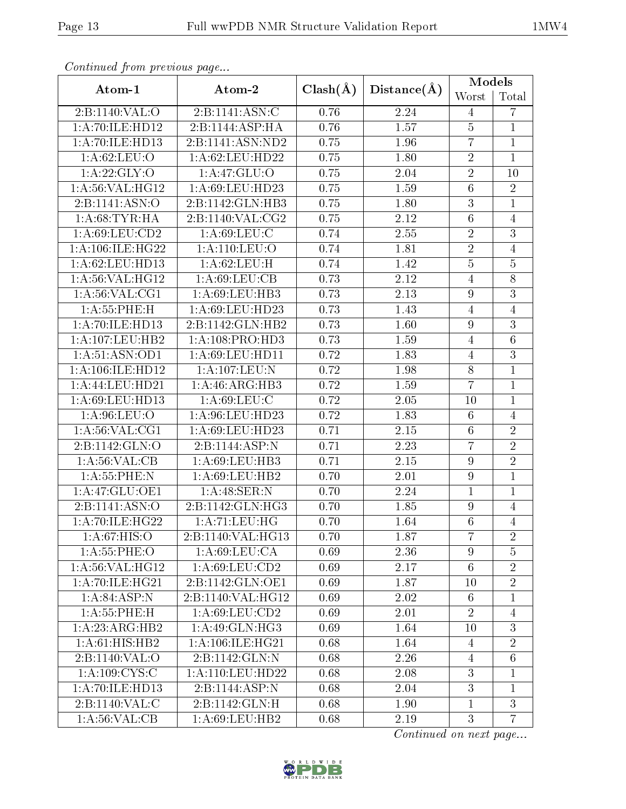| Continual from previous page                     |                              |              |             | <b>Models</b>   |                |  |
|--------------------------------------------------|------------------------------|--------------|-------------|-----------------|----------------|--|
| Atom-1                                           | Atom-2                       | $Clash(\AA)$ | Distance(A) | Worst           | Total          |  |
| 2:B:1140:VAL:O                                   | 2:B:1141:ASN:C               | 0.76         | 2.24        | $\overline{4}$  | 7              |  |
| 1:A:70:ILE:HD12                                  | $2:B:1144:\overline{ASP:HA}$ | 0.76         | 1.57        | $\overline{5}$  | $\mathbf{1}$   |  |
| 1:A:70:ILE:HD13                                  | 2:B:1141:ASN:ND2             | 0.75         | 1.96        | $\overline{7}$  | $\mathbf 1$    |  |
| 1:A:62:LEU:O                                     | 1: A:62:LEU:HD22             | 0.75         | 1.80        | $\overline{2}$  | $\mathbf{1}$   |  |
| 1: A:22: GLY:O                                   | 1:A:47:GLU:O                 | 0.75         | 2.04        | $\overline{2}$  | 10             |  |
| 1:A:56:VAL:HG12                                  | 1:A:69:LEU:HD23              | 0.75         | 1.59        | 6               | $\overline{2}$ |  |
| 2:B:1141:ASN:O                                   | 2:B:1142:GLN:HB3             | 0.75         | 1.80        | $\overline{3}$  | $\overline{1}$ |  |
| 1: A:68:TYR:HA                                   | 2:B:1140:VAL:CG2             | 0.75         | 2.12        | $\overline{6}$  | $\overline{4}$ |  |
| 1: A:69: LEU:CD2                                 | 1: A:69:LEU:C                | 0.74         | 2.55        | $\overline{2}$  | $\overline{3}$ |  |
| 1:A:106:ILE:HG22                                 | 1: A: 110: LEU: O            | 0.74         | 1.81        | $\overline{2}$  | $\overline{4}$ |  |
| 1:A:62:LEU:HD13                                  | 1: A:62:LEU:H                | 0.74         | 1.42        | $\overline{5}$  | $\overline{5}$ |  |
| 1:A:56:VAL:HG12                                  | 1: A:69: LEU: CB             | 0.73         | 2.12        | $\overline{4}$  | $8\,$          |  |
| 1: A:56: VAL:CG1                                 | 1: A:69: LEU:HB3             | 0.73         | 2.13        | 9               | $\overline{3}$ |  |
| 1:A:55:PHE:H                                     | 1:A:69:LEU:HD23              | 0.73         | 1.43        | 4               | $\overline{4}$ |  |
| 1:A:70:ILE:HD13                                  | 2:B:1142:GLN:HB2             | 0.73         | 1.60        | 9               | $\mathbf{3}$   |  |
| 1:A:107:LEU:HB2                                  | 1:A:108:PRO:HD3              | 0.73         | 1.59        | $\overline{4}$  | $\,6\,$        |  |
| 1: A:51: ASN:OD1                                 | 1: A:69: LEU: HD11           | 0.72         | 1.83        | $\overline{4}$  | $\overline{3}$ |  |
| 1:A:106:ILE:HD12                                 | 1:A:107:LEU:N                | 0.72         | 1.98        | $\overline{8}$  | $\overline{1}$ |  |
| 1:A:44:LEU:HD21                                  | 1: A:46: ARG:HB3             | 0.72         | 1.59        | $\overline{7}$  | $\mathbf{1}$   |  |
| 1: A:69: LEU: HD13                               | 1: A:69: LEU: C              | 0.72         | 2.05        | 10              | $\mathbf{1}$   |  |
| 1:A:96:LEU:O                                     | 1:A:96:LEU:HD23              | 0.72         | 1.83        | $6\phantom{.}6$ | $\overline{4}$ |  |
| 1: A:56: VAL:CG1                                 | 1:A:69:LEU:HD23              | 0.71         | 2.15        | $\overline{6}$  | $\sqrt{2}$     |  |
| 2:B:1142:GLN:O                                   | 2:B:1144:ASP:N               | 0.71         | 2.23        | $\overline{7}$  | $\overline{2}$ |  |
| 1: A:56: VAL:CB                                  | 1:A:69:LEU:HB3               | 0.71         | 2.15        | $\overline{9}$  | $\overline{2}$ |  |
| 1: A: 55: PHE: N                                 | 1:A:69:LEU:HB2               | 0.70         | 2.01        | 9               | $\,1$          |  |
| 1:A:47:GLU:OE1                                   | 1: A:48: SER: N              | 0.70         | 2.24        | $\overline{1}$  | $\mathbf{1}$   |  |
| 2:B:1141:ASN:O                                   | 2:B:1142:GLN:HG3             | 0.70         | 1.85        | 9               | $\overline{4}$ |  |
| 1: A:70: ILE: HG22                               | 1: A:71: LEU: HG             | 0.70         | 1.64        | $\overline{6}$  | $\overline{4}$ |  |
| 1: A:67: HIS:O                                   | 2:B:1140:VAL:HG13            | 0.70         | 1.87        | $\overline{7}$  | $\overline{2}$ |  |
| 1: A: 55: PHE: O                                 | 1: A:69:LEU:CA               | 0.69         | 2.36        | $\overline{9}$  | $\overline{5}$ |  |
| $1: A:56: V\overline{\mathrm{AL}:\mathrm{HG}12}$ | 1: A:69:LEU:CD2              | 0.69         | 2.17        | $6\phantom{.}6$ | $\overline{2}$ |  |
| 1:A:70:ILE:HG21                                  | 2:B:1142:GLN:OE1             | 0.69         | 1.87        | 10              | $\overline{2}$ |  |
| 1: A:84:ASP:N                                    | 2:B:1140:VAL:HG12            | 0.69         | 2.02        | 6               | $\mathbf{1}$   |  |
| 1: A: 55: PHE: H                                 | 1:A:69:LEU:CD2               | 0.69         | 2.01        | $\overline{2}$  | $\overline{4}$ |  |
| 1: A:23: ARG:HB2                                 | 1:A:49:GLN:HG3               | 0.69         | 1.64        | 10              | $\mathbf{3}$   |  |
| 1:A:61:HIS:HB2                                   | 1:A:106:ILE:HG21             | 0.68         | 1.64        | $\overline{4}$  | $\overline{2}$ |  |
| 2:B:1140:VAL:O                                   | 2:B:1142:GLN:N               | 0.68         | 2.26        | $\overline{4}$  | $\,6$          |  |
| 1: A:109: CYS:C                                  | 1: A: 110: LEU: HD22         | 0.68         | 2.08        | $\overline{3}$  | $\mathbf{1}$   |  |
| 1:A:70:ILE:HD13                                  | 2:B:1144:ASP:N               | 0.68         | 2.04        | $\overline{3}$  | $\mathbf{1}$   |  |
| 2:B:1140:VAL:C                                   | 2:B:1142:GLN:H               | 0.68         | 1.90        | $\mathbf{1}$    | 3              |  |
| 1: A:56: VAL:CB                                  | 1:A:69:LEU:HB2               | 0.68         | 2.19        | 3               | $\overline{7}$ |  |

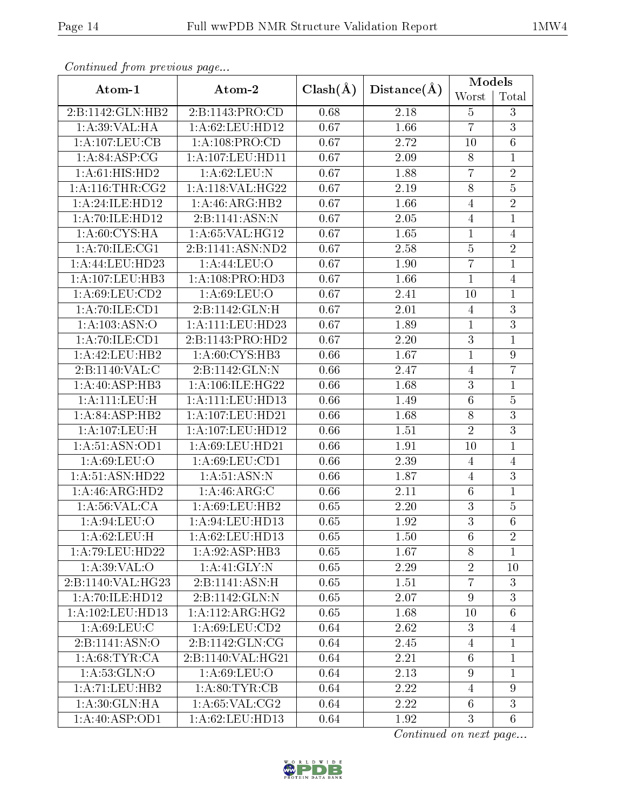| Continuou jiom protivus pago |                             |              |                   | <b>Models</b>   |                 |
|------------------------------|-----------------------------|--------------|-------------------|-----------------|-----------------|
| Atom-1                       | Atom-2                      | $Clash(\AA)$ | Distance(A)       | Worst           | Total           |
| 2:B:1142:GLN:HB2             | 2:B:1143:PRO:CD             | 0.68         | 2.18              | $\overline{5}$  | 3               |
| 1: A:39: VAL: HA             | 1: A:62:LEU:HD12            | 0.67         | 1.66              | $\overline{7}$  | $\overline{3}$  |
| 1:A:107:LEU:CB               | 1:A:108:PRO:CD              | 0.67         | 2.72              | 10              | $\,6$           |
| 1:A:84:ASP:CG                | 1:A:107:LEU:HD11            | 0.67         | 2.09              | $8\,$           | $\mathbf{1}$    |
| 1:A:61:HIS:HD2               | 1: A:62:LEU:N               | 0.67         | 1.88              | $\overline{7}$  | $\sqrt{2}$      |
| 1:A:116:THR:CG2              | 1:A:118:VAL:HG22            | 0.67         | 2.19              | $8\,$           | $\overline{5}$  |
| 1:A:24:ILE:HD12              | $1:A:46:A\overline{RG:HB2}$ | 0.67         | 1.66              | $\overline{4}$  | $\overline{2}$  |
| 1:A:70:ILE:HD12              | 2:B:1141:ASN:N              | 0.67         | 2.05              | $\overline{4}$  | $\mathbf{1}$    |
| 1:A:60:CYS:HA                | 1: A:65:VAL:HG12            | 0.67         | 1.65              | $\mathbf{1}$    | $\overline{4}$  |
| 1: A:70: ILE: CG1            | 2:B:1141:ASN:ND2            | 0.67         | 2.58              | $\overline{5}$  | $\overline{2}$  |
| 1:A:44:LEU:HD23              | 1:A:44:LEU:O                | 0.67         | 1.90              | $\overline{7}$  | $\mathbf{1}$    |
| 1:A:107:LEU:HB3              | 1:A:108:PRO:HD3             | 0.67         | 1.66              | $\mathbf{1}$    | $\overline{4}$  |
| 1: A:69: LEU:CD2             | 1:A:69:LEU:O                | 0.67         | 2.41              | 10              | $\mathbf{1}$    |
| 1:A:70:ILE:CD1               | 2:B:1142:GLN:H              | 0.67         | 2.01              | $\overline{4}$  | $\overline{3}$  |
| 1:A:103:ASN:O                | 1:A:111:LEU:HD23            | 0.67         | 1.89              | $\mathbf{1}$    | $\mathbf{3}$    |
| 1:A:70:ILE:CD1               | 2:B:1143:PRO:HD2            | 0.67         | $\overline{2.20}$ | $\overline{3}$  | $\mathbf{1}$    |
| 1:A:42:LEU:HB2               | 1: A:60: CYS:HB3            | 0.66         | 1.67              | $\mathbf{1}$    | 9               |
| 2:B:1140:VAL:C               | 2:B:1142:GLN:N              | 0.66         | 2.47              | $\overline{4}$  | $\overline{7}$  |
| 1:A:40:ASP:HB3               | 1:A:106:ILE:HG22            | 0.66         | 1.68              | $\overline{3}$  | $\mathbf{1}$    |
| 1: A:111: LEU:H              | 1:A:111:LEU:HD13            | 0.66         | 1.49              | $6\phantom{.}6$ | $\bf 5$         |
| 1:A:84:ASP:HB2               | 1:A:107:LEU:HD21            | 0.66         | 1.68              | 8               | $\overline{3}$  |
| 1:A:107:LEU:H                | 1:A:107:LEU:HD12            | 0.66         | 1.51              | $\overline{2}$  | $\overline{3}$  |
| 1: A:51: ASN:OD1             | 1:A:69:LEU:HD21             | 0.66         | 1.91              | 10              | $\mathbf{1}$    |
| 1: A:69: LEU:O               | 1:A:69:LEU:CD1              | 0.66         | 2.39              | $\overline{4}$  | $\overline{4}$  |
| 1:A:51:ASN:HD22              | 1: A:51: ASN: N             | 0.66         | 1.87              | $\overline{4}$  | 3               |
| 1:A:46:ARG:HD2               | 1: A:46: ARG: C             | 0.66         | 2.11              | 6               | $\mathbf{1}$    |
| 1: A:56: VAL:CA              | 1: A:69: LEU: HB2           | 0.65         | 2.20              | $\overline{3}$  | $\bf 5$         |
| 1: A:94:LEU:O                | 1:A:94:LEU:HD13             | 0.65         | 1.92              | $\overline{3}$  | $\overline{6}$  |
| 1: A:62:LEU:H                | 1:A:62:LEU:HD13             | 0.65         | 1.50              | 6               | $\overline{2}$  |
| 1:A:79:LEU:HD22              | 1:A:92:ASP:HB3              | 0.65         | 1.67              | 8               | $\mathbf{1}$    |
| 1: A:39: VAL:O               | 1:A:41:GLY:N                | 0.65         | 2.29              | $\overline{2}$  | 10              |
| 2:B:1140:VAL:HG23            | 2:B:1141:ASN:H              | 0.65         | 1.51              | $\overline{7}$  | 3               |
| 1:A:70:ILE:HD12              | 2:B:1142:GLN:N              | 0.65         | 2.07              | $\overline{9}$  | 3               |
| 1:A:102:LEU:HD13             | 1:A:112:ARG:HG2             | 0.65         | 1.68              | 10              | $6\phantom{.}6$ |
| 1: A:69:LEU: C               | 1: A:69:LEU:CD2             | 0.64         | 2.62              | 3               | $\overline{4}$  |
| 2:B:1141:ASN:O               | 2:B:1142:GLN:CG             | 0.64         | 2.45              | $\overline{4}$  | $\mathbf{1}$    |
| 1: A:68:TYR:CA               | 2:B:1140:VAL:HG21           | 0.64         | 2.21              | 6               | $\mathbf{1}$    |
| 1: A: 53: GLN: O             | 1: A:69: LEU:O              | 0.64         | 2.13              | $\overline{9}$  | $\mathbf{1}$    |
| 1: A: 71: LEU: HB2           | 1: A:80: TYR:CB             | 0.64         | 2.22              | $\overline{4}$  | $\overline{9}$  |
| 1: A:30: GLN: HA             | 1: A:65: VAL:CG2            | 0.64         | 2.22              | $6\phantom{.}6$ | 3               |
| 1:A:40:ASP:OD1               | 1:A:62:LEU:HD13             | 0.64         | 1.92              | 3               | $6\phantom{.}6$ |

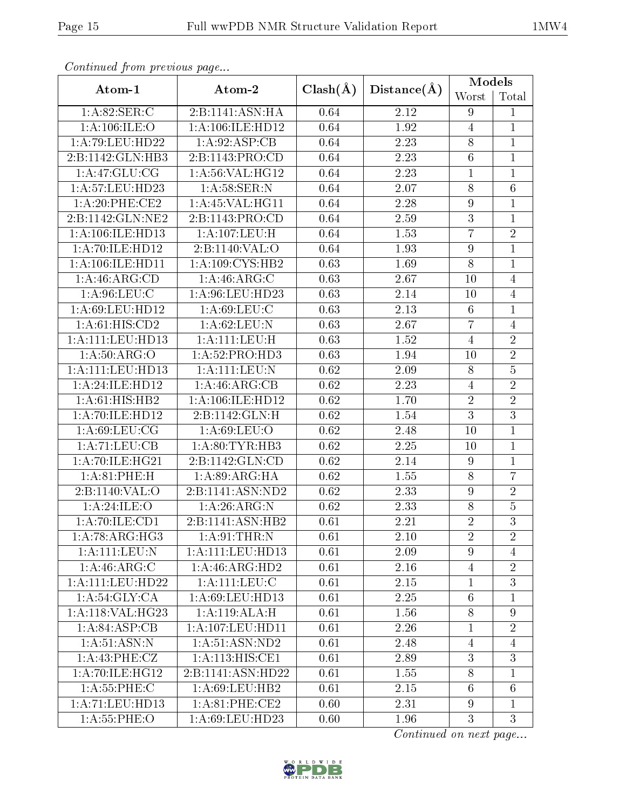| Continual from previous page |                                      |              | Distance(A) | <b>Models</b>    |                 |
|------------------------------|--------------------------------------|--------------|-------------|------------------|-----------------|
| Atom-1                       | Atom-2                               | $Clash(\AA)$ |             | Worst            | Total           |
| 1: A:82: SER: C              | 2:B:1141:ASN:HA                      | 0.64         | 2.12        | 9                | $\mathbf{1}$    |
| 1:A:106:ILE:O                | 1:A:106:ILE:HD12                     | 0.64         | 1.92        | $\overline{4}$   | $\mathbf{1}$    |
| 1:A:79:LEU:HD22              | 1: A:92: ASP:CB                      | 0.64         | 2.23        | 8                | $\mathbf 1$     |
| 2:B:1142:GLN:HB3             | 2:B:1143:PRO:CD                      | 0.64         | 2.23        | $\overline{6}$   | $\mathbf{1}$    |
| 1:A:47:GLU:CG                | $1:A:56:VAL: \overline{HG12}$        | 0.64         | 2.23        | $\mathbf 1$      | $\mathbf{1}$    |
| 1:A:57:LEU:HD23              | 1: A:58: SER: N                      | 0.64         | 2.07        | 8                | $\sqrt{6}$      |
| 1: A:20:PHE:CE2              | 1: A:45:VAL:HG11                     | 0.64         | 2.28        | $\boldsymbol{9}$ | $\mathbf 1$     |
| 2:B:1142:GLN:NE2             | 2:B:1143:PRO:CD                      | 0.64         | 2.59        | $\overline{3}$   | $\mathbf{1}$    |
| 1:A:106:ILE:HD13             | 1:A:107:LEU:H                        | 0.64         | 1.53        | $\overline{7}$   | $\overline{2}$  |
| 1:A:70:ILE:HD12              | 2:B:1140:VAL:O                       | 0.64         | 1.93        | 9                | $\mathbf 1$     |
| 1:A:106:ILE:HD11             | 1: A:109: CYS:HB2                    | 0.63         | 1.69        | $\overline{8}$   | $\mathbf{1}$    |
| 1:A:46:ARG:CD                | 1: A:46: ARG: C                      | 0.63         | 2.67        | 10               | $\overline{4}$  |
| 1: A:96: LEU: C              | 1: A:96: LEU: HD23                   | 0.63         | 2.14        | 10               | $\overline{4}$  |
| 1:A:69:LEU:HD12              | $1: A:69: \overline{\textrm{LEU:C}}$ | 0.63         | 2.13        | 6                | $\mathbf{1}$    |
| 1:A:61:HIS:CD2               | 1: A:62:LEU: N                       | 0.63         | 2.67        | $\overline{7}$   | $\overline{4}$  |
| 1:A:111:LEU:HD13             | 1: A: 111: LEU: H                    | 0.63         | 1.52        | $\overline{4}$   | $\overline{2}$  |
| 1: A:50: ARG:O               | 1:A:52:PRO:HD3                       | 0.63         | 1.94        | 10               | $\overline{2}$  |
| $1:$ A: $111:$ LEU: $HD13$   | 1:A:111:LEU:N                        | 0.62         | 2.09        | 8                | $\overline{5}$  |
| 1:A:24:ILE:HD12              | 1:A:46:ARG:CB                        | 0.62         | 2.23        | $\overline{4}$   | $\overline{2}$  |
| 1:A:61:HIS:HB2               | 1: A: 106: ILE: HD12                 | 0.62         | 1.70        | $\overline{2}$   | $\sqrt{2}$      |
| 1:A:70:ILE:HD12              | 2:B:1142:GLN:H                       | 0.62         | 1.54        | $\overline{3}$   | $\overline{3}$  |
| 1: A:69:LEU:CG               | 1: A:69:LEU:O                        | 0.62         | 2.48        | 10               | $\mathbf 1$     |
| 1:A:71:LEU:CB                | 1: A:80: TYR: HB3                    | 0.62         | 2.25        | 10               | $\mathbf{1}$    |
| 1:A:70:ILE:HG21              | 2:B:1142:GLN:CD                      | 0.62         | 2.14        | 9                | $\mathbf{1}$    |
| 1: A:81:PHE:H                | 1: A:89: ARG: HA                     | 0.62         | 1.55        | 8                | $\overline{7}$  |
| 2:Bi:1140:VAL:O              | 2:B:1141:ASN:ND2                     | 0.62         | 2.33        | $\boldsymbol{9}$ | $\overline{2}$  |
| 1:A:24:ILE:O                 | 1: A:26: ARG: N                      | 0.62         | 2.33        | 8                | $\bf 5$         |
| 1:A:70:ILE:CD1               | 2:B:1141:ASN:HB2                     | 0.61         | 2.21        | $\overline{2}$   | $\overline{3}$  |
| 1:A:78:ARG:HG3               | 1: A:91:THR:N                        | 0.61         | 2.10        | $\overline{2}$   | $\overline{2}$  |
| 1: A:111:LEV: N              | 1:A:111:LEU:HD13                     | 0.61         | 2.09        | 9                | $\overline{4}$  |
| 1:A:46:ARG:C                 | 1:A:46:ARG:HD2                       | 0.61         | 2.16        | $\overline{4}$   | $\sqrt{2}$      |
| 1:A:111:LEU:HD22             | 1:A:111:LEU:C                        | 0.61         | 2.15        | $\mathbf{1}$     | $\overline{3}$  |
| 1: A:54: GLY: CA             | 1: A:69:LEU:HD13                     | 0.61         | 2.25        | $6\phantom{.}6$  | $\mathbf{1}$    |
| 1:A:118:VAL:HG23             | 1:A:119:ALA:H                        | 0.61         | 1.56        | 8                | $\overline{9}$  |
| 1:A:84:ASP:CB                | 1: A: 107: LEU: HD11                 | 0.61         | 2.26        | 1                | $\overline{2}$  |
| 1: A:51: ASN: N              | 1: A:51: ASN:ND2                     | 0.61         | 2.48        | $\overline{4}$   | $\overline{4}$  |
| 1: A: 43: PHE: CZ            | 1:A:113:HIS:CE1                      | 0.61         | 2.89        | 3                | 3               |
| 1:A:70:ILE:HG12              | 2:B:1141:ASN:HD22                    | 0.61         | 1.55        | 8                | $\mathbf{1}$    |
| 1: A:55:PHE: C               | 1: A:69:LEU:HB2                      | 0.61         | 2.15        | $6\phantom{.}6$  | $6\phantom{.}6$ |
| 1:A:71:LEU:HD13              | 1: A:81:PHE:CE2                      | 0.60         | 2.31        | 9                | $\mathbf{1}$    |
| 1: A:55:PHE: O               | $1:\overline{A}:69:\text{LEU}:HD23$  | 0.60         | 1.96        | $\overline{3}$   | 3               |

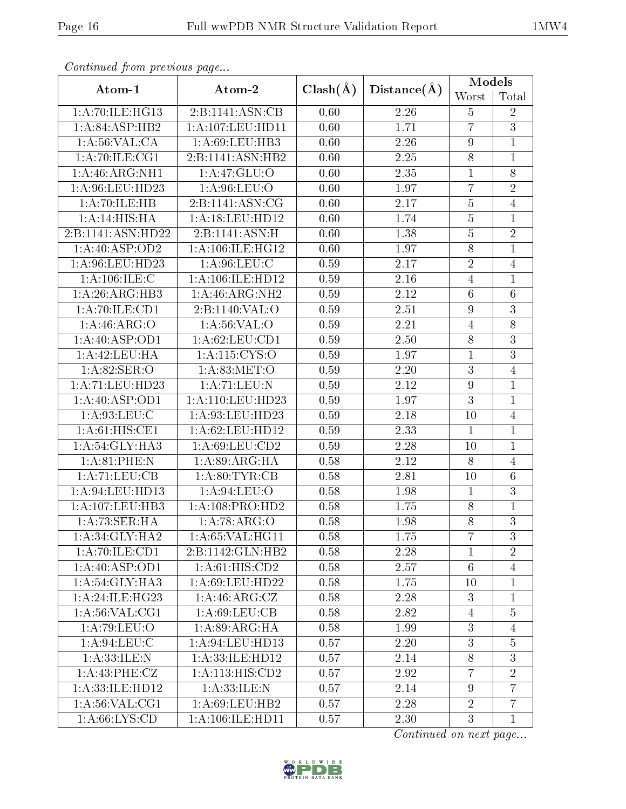| Continual from previous page |                             |              | Distance(A) | <b>Models</b>   |                |
|------------------------------|-----------------------------|--------------|-------------|-----------------|----------------|
| Atom-1                       | Atom-2                      | $Clash(\AA)$ |             | Worst           | Total          |
| 1:A:70:ILE:HG13              | 2:B:1141:ASN:CB             | 0.60         | 2.26        | $\overline{5}$  | $\overline{2}$ |
| 1:A:84:ASP:HB2               | 1:A:107:LEU:HD11            | 0.60         | 1.71        | $\overline{7}$  | $\overline{3}$ |
| 1: A:56: VAL:CA              | $1:A:69:LEU:H\overline{B3}$ | 0.60         | 2.26        | $\overline{9}$  | $\mathbf 1$    |
| 1: A:70: ILE: CG1            | 2:B:1141:ASN:HB2            | 0.60         | 2.25        | $\overline{8}$  | $\mathbf{1}$   |
| 1:A:46:ARG:NH1               | 1:A:47:GLU:O                | 0.60         | 2.35        | $\mathbf{1}$    | $8\,$          |
| 1:A:96:LEU:HD23              | 1: A:96:LEU:O               | 0.60         | 1.97        | $\overline{7}$  | $\overline{2}$ |
| 1:A:70:ILE:HB                | 2:B:1141:ASN:CG             | 0.60         | 2.17        | $\overline{5}$  | $\overline{4}$ |
| 1:A:14:HIS:HA                | 1:A:18:LEU:HD12             | 0.60         | 1.74        | $\overline{5}$  | $\mathbf{1}$   |
| 2:B:1141:ASN:HD22            | 2:B:1141:ASN:H              | 0.60         | 1.38        | $\overline{5}$  | $\overline{2}$ |
| 1: A:40: ASP:OD2             | 1: A:106: ILE: HG12         | 0.60         | 1.97        | 8               | $\mathbf{1}$   |
| 1:A:96:LEU:HD23              | 1: A:96: LEU: C             | 0.59         | 2.17        | $\overline{2}$  | $\overline{4}$ |
| 1: A: 106: ILE:C             | 1:A:106:ILE:HD12            | 0.59         | 2.16        | $\overline{4}$  | $\mathbf 1$    |
| 1:A:26:ARG:HB3               | $1:A:46:A\overline{RG:NH2}$ | 0.59         | 2.12        | $6\phantom{.}6$ | $\overline{6}$ |
| 1:A:70:ILE:CD1               | 2:B:1140:VAL:O              | 0.59         | 2.51        | $\overline{9}$  | $\overline{3}$ |
| 1: A:46: ARG:O               | 1: A:56: VAL:O              | 0.59         | 2.21        | $\overline{4}$  | 8              |
| 1: A:40: ASP:OD1             | 1:A:62:LEU:CD1              | 0.59         | 2.50        | 8               | $\overline{3}$ |
| 1:A:42:LEU:HA                | 1:A:115:CYS:O               | 0.59         | 1.97        | $\mathbf{1}$    | $\overline{3}$ |
| 1:A:82:SER:O                 | 1: A:83:MET:O               | 0.59         | 2.20        | $\overline{3}$  | $\overline{4}$ |
| 1:A:71:LEU:HD23              | 1:A:71:LEU:N                | 0.59         | 2.12        | $\overline{9}$  | $\mathbf{1}$   |
| 1: A:40: ASP:OD1             | 1: A:110: LEU: HD23         | 0.59         | 1.97        | 3               | $\mathbf{1}$   |
| 1:A:93:LEU:C                 | 1:A:93:LEU:HD23             | 0.59         | 2.18        | 10              | $\overline{4}$ |
| 1: A:61: HIS: CE1            | 1: A:62:LEU:HD12            | 0.59         | 2.33        | $\mathbf{1}$    | $\mathbf{1}$   |
| 1:A:54:GLY:HA3               | 1:A:69:LEU:CD2              | 0.59         | 2.28        | 10              | $\mathbf{1}$   |
| 1: A:81:PHE:N                | 1: A:89: ARG: HA            | 0.58         | 2.12        | 8               | $\overline{4}$ |
| 1:A:71:LEU:CB                | 1: A:80: TYR:CB             | 0.58         | 2.81        | 10              | $\sqrt{6}$     |
| 1:A:94:LEU:HD13              | 1: A:94:LEU:O               | 0.58         | 1.98        | $\mathbf{1}$    | $\overline{3}$ |
| 1:A:107:LEU:HB3              | 1:A:108:PRO:HD2             | 0.58         | 1.75        | 8               | $\mathbf{1}$   |
| 1:A:73:SER:HA                | 1: A:78: ARG:O              | 0.58         | 1.98        | $\overline{8}$  | $\overline{3}$ |
| 1: A:34: GLY:HA2             | 1: A:65: VAL:HG11           | 0.58         | 1.75        | $\overline{7}$  | 3              |
| 1:A:70:ILE:CD1               | 2:B:1142:GLN:HB2            | 0.58         | 2.28        | 1               | $\overline{2}$ |
| 1: A:40: ASP:OD1             | 1:A:61:HIS:CD2              | 0.58         | 2.57        | $6\phantom{.}6$ | $\overline{4}$ |
| 1: A:54: GLY:HA3             | 1: A:69:LEU:HD22            | 0.58         | 1.75        | 10              | $\mathbf{1}$   |
| 1: A:24: ILE: HG23           | 1:A:46:ARG:CZ               | 0.58         | 2.28        | 3               | 1              |
| 1: A:56: VAL:CG1             | 1: A:69: LEU:CB             | 0.58         | 2.82        | $\overline{4}$  | $\overline{5}$ |
| 1:A:79:LEU:O                 | 1: A:89: ARG: HA            | 0.58         | 1.99        | $\overline{3}$  | $\overline{4}$ |
| 1: A:94:LEU: C               | 1: A:94:LEU:HD13            | 0.57         | 2.20        | 3               | $\overline{5}$ |
| 1: A:33: ILE:N               | 1:A:33:ILE:HD12             | 0.57         | 2.14        | 8               | 3              |
| 1:A:43:PHE:CZ                | 1:A:113:HIS:CD2             | 0.57         | 2.92        | $\overline{7}$  | $\overline{2}$ |
| 1:A:33:ILE:HD12              | 1: A:33: ILE:N              | 0.57         | 2.14        | 9               | $\overline{7}$ |
| 1: A:56: VAL:CG1             | 1:A:69:LEU:HB2              | 0.57         | 2.28        | $\overline{2}$  | $\overline{7}$ |
| 1: A:66: LYS:CD              | 1:A:106:ILE:HD11            | 0.57         | 2.30        | $\overline{3}$  | $\mathbf{1}$   |

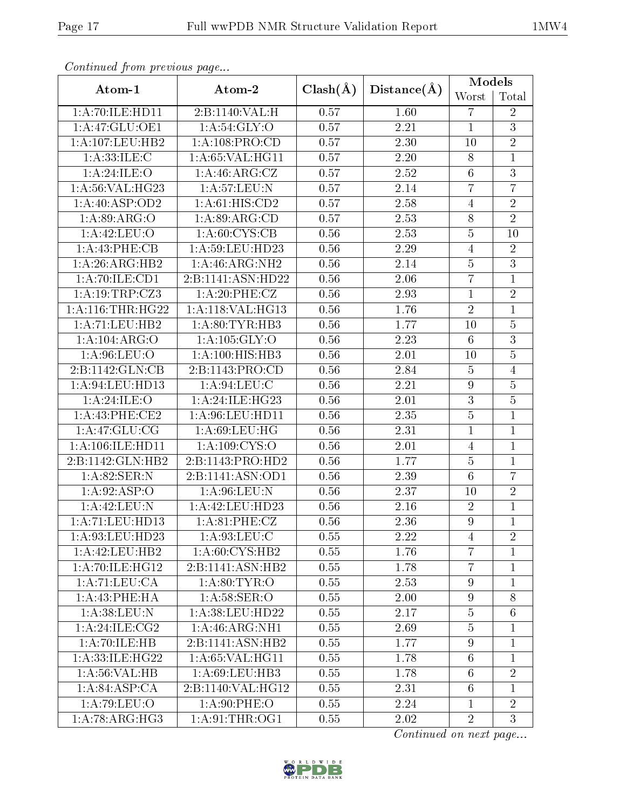| Continual from previous page |                    |                   | Distance(A)       | <b>Models</b>    |                 |
|------------------------------|--------------------|-------------------|-------------------|------------------|-----------------|
| Atom-1                       | Atom-2             | $Clash(\AA)$      |                   | Worst            | Total           |
| 1:A:70:ILE:HD11              | 2:B:1140:VAL:H     | 0.57              | 1.60              | 7                | $\overline{2}$  |
| 1:A:47:GLU:OE1               | 1: A:54: GLY:O     | 0.57              | 2.21              | $\mathbf{1}$     | $\overline{3}$  |
| 1:A:107:LEU:HB2              | 1:A:108:PRO:CD     | 0.57              | 2.30              | 10               | $\sqrt{2}$      |
| 1: A:33: ILE:C               | 1: A:65: VAL:HGI1  | 0.57              | 2.20              | 8                | $\mathbf{1}$    |
| 1:A:24:ILE:O                 | 1:A:46:ARG:CZ      | 0.57              | 2.52              | $6\phantom{.}6$  | 3               |
| 1:A:56:VAL:HG23              | 1:A:57:LEU:N       | 0.57              | 2.14              | $\overline{7}$   | $\overline{7}$  |
| 1:A:40:ASP:OD2               | 1: A:61: HIS: CD2  | 0.57              | 2.58              | $\overline{4}$   | $\overline{2}$  |
| 1: A:89: ARG:O               | 1: A:89: ARG:CD    | 0.57              | 2.53              | 8                | $\overline{2}$  |
| 1:A:42:LEU:O                 | 1: A:60: CYS:CB    | 0.56              | 2.53              | $\overline{5}$   | 10              |
| 1:A:43:PHE:CB                | 1: A:59: LEU: HD23 | 0.56              | 2.29              | 4                | $\overline{2}$  |
| 1:A:26:ARG:HB2               | 1: A:46: ARG: NH2  | 0.56              | 2.14              | $\overline{5}$   | $\overline{3}$  |
| 1:A:70:ILE:CD1               | 2:B:1141:ASN:HD22  | 0.56              | 2.06              | $\overline{7}$   | $\mathbf{1}$    |
| 1:A:19:TRP:CZ3               | 1: A:20: PHE: CZ   | 0.56              | 2.93              | $\overline{1}$   | $\overline{2}$  |
| 1: A:116:THR:HG22            | 1:A:118:VAL:HG13   | 0.56              | 1.76              | $\overline{2}$   | $\mathbf{1}$    |
| 1:A:71:LEU:HB2               | 1: A:80: TYR: HB3  | 0.56              | 1.77              | 10               | $\overline{5}$  |
| 1:A:104:ARG:O                | 1:A:105:GLY:O      | 0.56              | 2.23              | 6                | $\overline{3}$  |
| 1:A:96:LEU:O                 | 1:A:100:HIS:HB3    | 0.56              | 2.01              | 10               | $\overline{5}$  |
| 2:B:1142:GLN:CB              | 2:B:1143:PRO:CD    | 0.56              | 2.84              | $\overline{5}$   | $\overline{4}$  |
| 1:A:94:LEU:HD13              | 1: A:94:LEU:C      | 0.56              | 2.21              | $\boldsymbol{9}$ | $\bf 5$         |
| 1:A:24:ILE:O                 | 1:A:24:ILE:HG23    | 0.56              | 2.01              | 3                | $\bf 5$         |
| 1: A:43: PHE:CE2             | 1: A:96: LEU: HD11 | 0.56              | 2.35              | $\overline{5}$   | $\mathbf{1}$    |
| 1: A:47: GLU:CG              | 1: A:69:LEU:HG     | 0.56              | 2.31              | $\mathbf{1}$     | $\mathbf{1}$    |
| 1: A: 106: ILE: HD11         | 1: A: 109: CYS:O   | 0.56              | 2.01              | $\overline{4}$   | $\mathbf{1}$    |
| 2:B:1142:GLN:HB2             | 2:B:1143:PRO:HD2   | 0.56              | 1.77              | $\overline{5}$   | $\mathbf{1}$    |
| 1:A:82:SER:N                 | 2:B:1141:ASN:OD1   | 0.56              | 2.39              | 6                | $\overline{7}$  |
| 1:A:92:ASP:O                 | 1:A:96:LEU:N       | 0.56              | 2.37              | 10               | $\overline{2}$  |
| 1:A:42:LEU:N                 | 1:A:42:LEU:HD23    | 0.56              | 2.16              | $\overline{2}$   | $\mathbf{1}$    |
| 1:A:71:LEU:HD13              | 1:A:81:PHE:CZ      | 0.56              | 2.36              | $\overline{9}$   | $\overline{1}$  |
| 1:A:93:LEU:HD23              | 1: A:93:LEU: C     | 0.55              | 2.22              | 4                | $\overline{2}$  |
| 1:A:42:LEU:HB2               | 1:A:60:CYS:HB2     | 0.55              | 1.76              | $\overline{7}$   | $\mathbf{1}$    |
| 1: A:70: ILE: HG12           | 2:B:1141:ASN:HB2   | 0.55              | 1.78              | $\overline{7}$   | $\mathbf{1}$    |
| 1:A:71:LEU:CA                | 1: A:80: TYR:O     | $\overline{0.55}$ | $2.\overline{53}$ | $\boldsymbol{9}$ | $\mathbf{1}$    |
| 1:A:43:PHE:HA                | 1: A:58: SER:O     | 0.55              | 2.00              | 9                | $8\,$           |
| 1: A:38: LEU: N              | 1:A:38:LEU:HD22    | $0.55\,$          | 2.17              | $\overline{5}$   | $6\phantom{.}6$ |
| 1: A:24:ILE: CG2             | 1:A:46:ARG:NH1     | 0.55              | 2.69              | $\overline{5}$   | $\mathbf 1$     |
| 1:A:70:ILE:HB                | 2:B:1141:ASN:HB2   | 0.55              | 1.77              | 9                | $\mathbf{1}$    |
| 1: A:33:ILE:HG22             | 1: A:65: VAL:HGI1  | 0.55              | 1.78              | $6\phantom{.}6$  | $\mathbf{1}$    |
| 1: A:56: VAL:HB              | 1:A:69:LEU:HB3     | $0.55\,$          | 1.78              | $6\phantom{.}6$  | $\overline{2}$  |
| 1: A:84:ASP:CA               | 2:B:1140:VAL:HG12  | 0.55              | 2.31              | $6\phantom{.}6$  | $\mathbf{1}$    |
| 1: A:79: LEU:O               | 1: A:90: PHE:O     | 0.55              | 2.24              | 1                | $\overline{2}$  |
| 1: A:78: ARG: HG3            | 1: A:91:THR:OG1    | 0.55              | 2.02              | $\overline{2}$   | 3               |

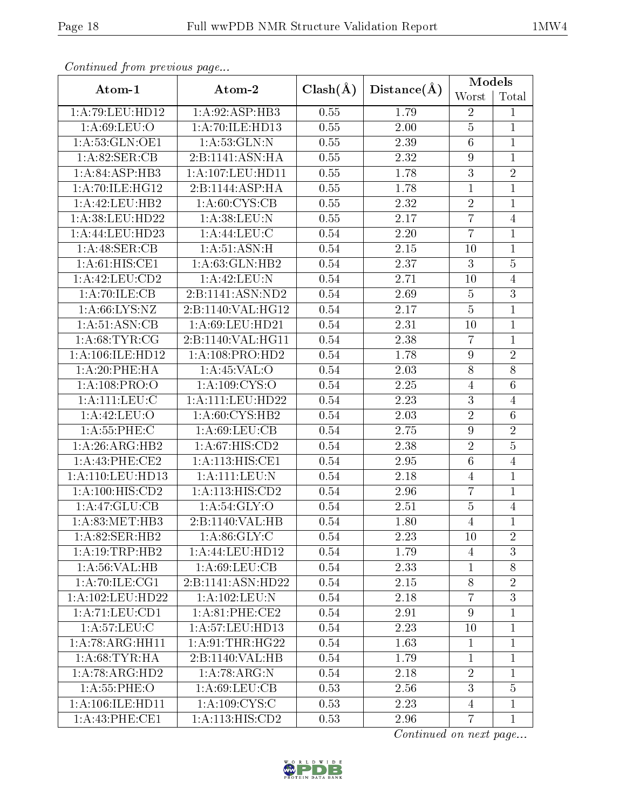| Continual from previous page |                            |              | Distance(A)       | <b>Models</b>   |                 |
|------------------------------|----------------------------|--------------|-------------------|-----------------|-----------------|
| Atom-1                       | Atom-2                     | $Clash(\AA)$ |                   | Worst           | Total           |
| 1:A:79:LEU:HD12              | 1:A:92:ASP:HB3             | 0.55         | 1.79              | $\sqrt{2}$      | 1               |
| 1: A:69:LEU:O                | 1:A:70:ILE:HD13            | 0.55         | 2.00              | $\overline{5}$  | $\mathbf{1}$    |
| 1:A:53:GLN:OE1               | 1: A:53: GLN:N             | 0.55         | 2.39              | $\overline{6}$  | $\mathbf{1}$    |
| 1:A:82:SER:CB                | 2:B:1141:ASN:HA            | 0.55         | 2.32              | 9               | $\mathbf{1}$    |
| 1:A:84:ASP:HB3               | 1:A:107:LEU:HDI1           | 0.55         | 1.78              | 3               | $\overline{2}$  |
| 1:A:70:ILE:HG12              | 2:B:1144:ASP:HA            | 0.55         | 1.78              | $\mathbf{1}$    | $\mathbf{1}$    |
| 1:A:42:LEU:HB2               | 1: A:60:CYS:CB             | 0.55         | 2.32              | $\overline{2}$  | $\mathbf 1$     |
| 1:A:38:LEU:HD22              | 1:A:38:LEU:N               | 0.55         | 2.17              | $\overline{7}$  | $\overline{4}$  |
| 1:A:44:LEU:HD23              | 1: A: 44: LEU: C           | 0.54         | 2.20              | $\overline{7}$  | $\mathbf{1}$    |
| 1:A:48:SER:CB                | 1: A:51: ASN:H             | 0.54         | 2.15              | 10              | $\mathbf{1}$    |
| 1: A:61: HIS: CE1            | 1: A:63: GLN:HB2           | 0.54         | $\overline{2.37}$ | $\overline{3}$  | $\overline{5}$  |
| 1:A:42:LEU:CD2               | 1:A:42:LEU:N               | 0.54         | 2.71              | 10              | $\overline{4}$  |
| 1:A:70:ILE:CB                | 2:B:1141:ASN:ND2           | 0.54         | 2.69              | $\overline{5}$  | $\overline{3}$  |
| 1: A:66: LYS: NZ             | 2:B:1140:VAL:HG12          | 0.54         | 2.17              | $\overline{5}$  | $\mathbf{1}$    |
| 1:A:51:ASN:CB                | 1:A:69:LEU:HD21            | 0.54         | 2.31              | 10              | $\mathbf{1}$    |
| 1: A:68:TYR:CG               | 2:B:1140:VAL:HG11          | 0.54         | 2.38              | 7               | $\mathbf{1}$    |
| 1:A:106:ILE:HD12             | 1:A:108:PRO:HD2            | 0.54         | 1.78              | $\overline{9}$  | $\overline{2}$  |
| 1:A:20:PHE:HA                | 1: A:45:VAL:O              | 0.54         | 2.03              | $\overline{8}$  | $\overline{8}$  |
| 1:A:108:PRO:O                | $1:\overline{A:109:CYS:O}$ | 0.54         | 2.25              | $\overline{4}$  | $\,6$           |
| 1: A: 111: LEU: C            | 1:A:111:LEU:HD22           | 0.54         | 2.23              | 3               | $\overline{4}$  |
| 1:A:42:LEU:O                 | 1: A:60: CYS:HB2           | 0.54         | 2.03              | $\overline{2}$  | $6\phantom{.}6$ |
| 1: A: 55: PHE: C             | 1: A:69: LEU: CB           | 0.54         | 2.75              | $\overline{9}$  | $\overline{2}$  |
| 1: A:26: ARG: HB2            | 1: A:67: HIS: CD2          | 0.54         | 2.38              | $\overline{2}$  | $\overline{5}$  |
| 1:A:43:PHE:CE2               | 1: A:113:HIS:CE1           | 0.54         | 2.95              | $6\phantom{.}6$ | $\overline{4}$  |
| 1:A:110:LEU:HD13             | 1: A: 111: LEU: N          | 0.54         | 2.18              | $\overline{4}$  | $\mathbf 1$     |
| 1:A:100:HIS:CD2              | 1:A:113:HIS:CD2            | 0.54         | 2.96              | $\overline{7}$  | $\mathbf{1}$    |
| 1:A:47:GLU:CB                | 1:A:54:GLY:O               | 0.54         | 2.51              | $\bf 5$         | $\overline{4}$  |
| 1: A:83:MET:HB3              | 2:B:1140:VAL:HB            | 0.54         | 1.80              | $\overline{4}$  | $\overline{1}$  |
| 1:A:82:SER:HB2               | 1: A:86: GLY: C            | 0.54         | 2.23              | 10              | $\overline{2}$  |
| 1: A:19:TRP:HB2              | 1:A:44:LEU:HD12            | 0.54         | 1.79              | $\overline{4}$  | 3               |
| 1: A:56: VAL:HB              | 1: A:69:LEU:CB             | 0.54         | 2.33              | $\mathbf{1}$    | 8               |
| 1: A:70: ILE: CG1            | 2:B:1141:ASN:HD22          | 0.54         | 2.15              | 8               | $\overline{2}$  |
| 1: A: 102: LEU: HD22         | 1:A:102:LEU:N              | 0.54         | 2.18              | $\overline{7}$  | 3               |
| 1:A:71:LEU:CD1               | 1: A:81:PHE:CE2            | 0.54         | 2.91              | $\overline{9}$  | $\mathbf{1}$    |
| 1: A:57:LEU: C               | 1: A: 57: LEU: HD13        | 0.54         | 2.23              | 10              | 1               |
| 1:A:78:ARG:HH11              | 1: A:91:THR:HG22           | 0.54         | 1.63              | $\mathbf{1}$    | $\mathbf{1}$    |
| 1: A:68:TYR:HA               | 2:B:1140:VAL:HB            | 0.54         | 1.79              | $\mathbf{1}$    | $\mathbf{1}$    |
| 1:A:78:ARG:HD2               | 1:A:78:ARG:N               | 0.54         | 2.18              | $\overline{2}$  | $\mathbf{1}$    |
| 1: A:55:PHE:O                | 1: A:69:LEU:CB             | 0.53         | 2.56              | 3               | $\overline{5}$  |
| 1: A: 106: ILE: HD11         | 1: A: 109: CYS: C          | 0.53         | 2.23              | $\overline{4}$  | $\mathbf{1}$    |
| 1: A:43: PHE:CE1             | 1:A:113:HIS:CD2            | 0.53         | 2.96              | $\overline{7}$  | $\mathbf{1}$    |

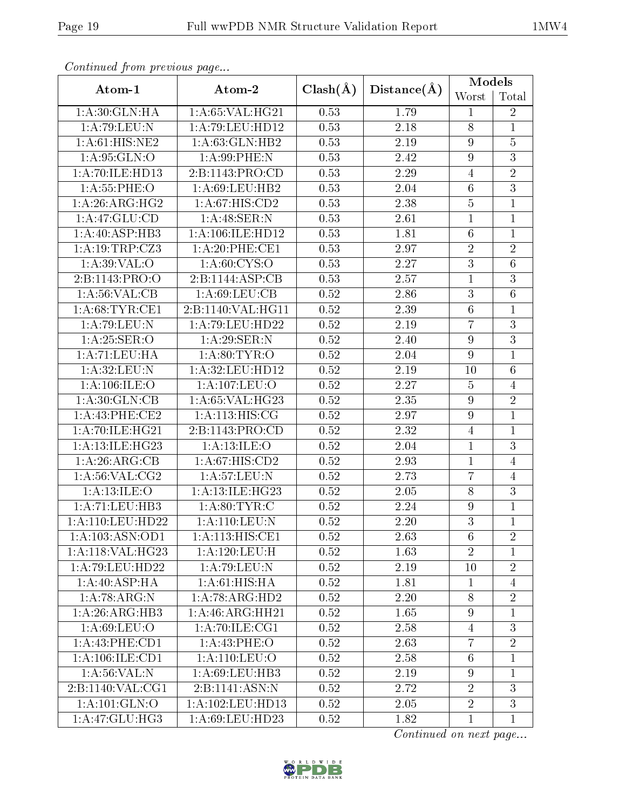| Continual from previous page |                               |              | Distance(A)       | <b>Models</b>    |                 |
|------------------------------|-------------------------------|--------------|-------------------|------------------|-----------------|
| Atom-1                       | Atom-2                        | $Clash(\AA)$ |                   | Worst            | Total           |
| 1: A:30: GLN: HA             | 1:A:65:VAL:HG21               | 0.53         | 1.79              | 1                | $\sqrt{2}$      |
| 1: A:79: LEU:N               | 1:A:79:LEU:HD12               | 0.53         | 2.18              | 8                | $\mathbf{1}$    |
| 1: A:61: HIS: NE2            | 1: A:63: GLN:HB2              | 0.53         | 2.19              | $\overline{9}$   | $\overline{5}$  |
| 1: A:95: GLN:O               | 1: A:99: PHE: N               | 0.53         | 2.42              | 9                | $\overline{3}$  |
| 1:A:70:ILE:HD13              | 2:B:1143:PRO:CD               | 0.53         | 2.29              | $\overline{4}$   | $\overline{2}$  |
| 1: A:55:PHE:O                | 1:A:69:LEU:HB2                | 0.53         | 2.04              | $6\phantom{.}6$  | $\overline{3}$  |
| 1: A:26: ARG:HG2             | 1: A:67:HIS:CD2               | 0.53         | 2.38              | $\overline{5}$   | $\mathbf 1$     |
| 1: A:47: GLU:CD              | 1:A:48:SER:N                  | 0.53         | 2.61              | $\mathbf{1}$     | $\mathbf{1}$    |
| 1:A:40:ASP:HB3               | 1:A:106:ILE:HD12              | 0.53         | 1.81              | $\overline{6}$   | $\mathbf{1}$    |
| 1:A:19:TRP:CZ3               | 1:A:20:PHE:CE1                | 0.53         | 2.97              | $\overline{2}$   | $\overline{2}$  |
| 1: A:39: VAL:O               | 1: A:60:CYS:O                 | 0.53         | $\overline{2.27}$ | $\overline{3}$   | $\overline{6}$  |
| 2:B:1143:PRO:O               | 2:B:1144:ASP:CB               | 0.53         | 2.57              | $\mathbf{1}$     | $\overline{3}$  |
| 1: A:56: VAL:CB              | 1: A:69: LEU: CB              | 0.52         | 2.86              | $\overline{3}$   | $\overline{6}$  |
| 1: A:68:TYR:CE1              | 2:B:1140:VAL:HG11             | $0.52\,$     | 2.39              | $\overline{6}$   | $\mathbf{1}$    |
| 1:A:79:LEU:N                 | 1:A:79:LEU:HD22               | 0.52         | 2.19              | $\overline{7}$   | $\mathbf{3}$    |
| 1: A:25: SER:O               | 1: A:29: SER: N               | 0.52         | 2.40              | 9                | $\overline{3}$  |
| 1:A:71:LEU:HA                | 1: A:80: TYR:O                | 0.52         | 2.04              | $\overline{9}$   | $\mathbf{1}$    |
| 1: A:32: LEU: N              | 1: A:32:LEU:HD12              | 0.52         | 2.19              | 10               | $6\phantom{.}6$ |
| 1:A:106:ILE:O                | 1:A:107:LEU:O                 | 0.52         | 2.27              | $\overline{5}$   | $\overline{4}$  |
| 1: A:30: GLN: CB             | 1:A:65:VAL:HG23               | 0.52         | 2.35              | 9                | $\sqrt{2}$      |
| 1: A:43: PHE:CE2             | 1: A:113:HIS:CG               | 0.52         | 2.97              | 9                | $\mathbf{1}$    |
| 1: A:70: ILE: HG21           | 2:B:1143:PRO:CD               | 0.52         | 2.32              | $\overline{4}$   | $\mathbf{1}$    |
| 1:A:13:ILE:HG23              | 1: A:13: ILE: O               | 0.52         | 2.04              | $\mathbf{1}$     | $\overline{3}$  |
| 1:A:26:ARG:CB                | 1:A:67:HIS:CD2                | 0.52         | 2.93              | $\mathbf{1}$     | $\overline{4}$  |
| 1: A:56: VAL:CG2             | 1: A:57:LEU:N                 | 0.52         | 2.73              | $\overline{7}$   | $\overline{4}$  |
| 1: A: 13: ILE: O             | 1:A:13:ILE:HG23               | 0.52         | 2.05              | 8                | $\overline{3}$  |
| 1:A:71:LEU:HB3               | 1: A:80: TYR: C               | 0.52         | 2.24              | $\boldsymbol{9}$ | $\mathbf{1}$    |
| 1: A: 110: LEU: HD22         | 1:A:110:LEU:N                 | 0.52         | 2.20              | $\overline{3}$   | $\overline{1}$  |
| 1:A:103:ASN:OD1              | 1: A:113: HIS: CE1            | 0.52         | 2.63              | $6\phantom{.}6$  | $\overline{2}$  |
| 1:A:118:VAL:HG23             | 1:A:120:LEU:H                 | $0.52\,$     | 1.63              | $\overline{2}$   | $\mathbf{1}$    |
| 1: A:79:LEU:HD22             | 1:A:79:LEU:N                  | 0.52         | 2.19              | 10               | $\overline{2}$  |
| $1:A:40:\overline{ASP:HA}$   | 1: A:61: HIS: HA              | 0.52         | 1.81              | $\mathbf{1}$     | $\overline{4}$  |
| 1: A:78: ARG: N              | 1:A:78:ARG:HD2                | 0.52         | 2.20              | 8                | $\overline{2}$  |
| 1: A:26: ARG:HB3             | 1:A:46:ARG:HH21               | 0.52         | 1.65              | $\overline{9}$   | $\mathbf{1}$    |
| 1: A:69: LEU:O               | 1: A:70: ILE: C <sub>G1</sub> | 0.52         | 2.58              | $\overline{4}$   | $\mathfrak{Z}$  |
| 1: A:43: PHE:CD1             | 1: A:43: PHE:O                | 0.52         | 2.63              | $\overline{7}$   | $\overline{2}$  |
| 1: A: 106: ILE: CD1          | 1: A: 110: LEU: O             | 0.52         | 2.58              | $6\phantom{.}6$  | $\mathbf{1}$    |
| 1: A:56: VAL: N              | 1:A:69:LEU:HB3                | 0.52         | 2.19              | $\overline{9}$   | $\mathbf{1}$    |
| 2: B: 1140: VAL: CG1         | 2: B: 1141: ASN: N            | 0.52         | 2.72              | $\sqrt{2}$       | 3               |
| 1: A: 101: GLN:O             | 1:A:102:LEU:HD13              | 0.52         | 2.05              | $\overline{2}$   | $\overline{3}$  |
| 1:A:47:GLU:HG3               | 1: A:69: LEU: HD23            | 0.52         | 1.82              | $\mathbf{1}$     | $\mathbf{1}$    |

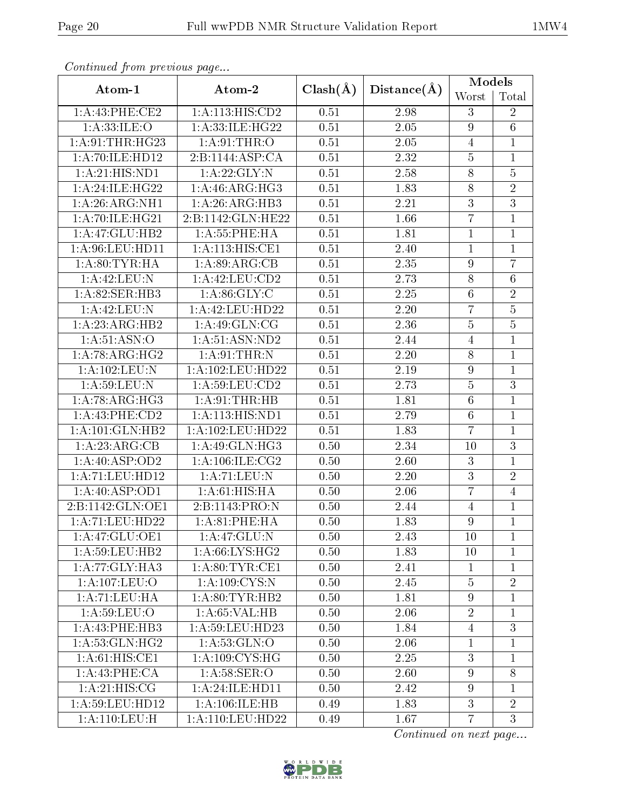| Continual from precious page       |                     |              | $Distance(\AA)$   | <b>Models</b>    |                 |
|------------------------------------|---------------------|--------------|-------------------|------------------|-----------------|
| Atom-1                             | Atom-2              | $Clash(\AA)$ |                   | Worst            | Total           |
| 1:A:43:PHE:CE2                     | 1:A:113:HIS:CD2     | 0.51         | 2.98              | 3                | $\overline{2}$  |
| 1: A: 33: ILE: O                   | 1:A:33:ILE:HG22     | 0.51         | 2.05              | $\overline{9}$   | $6\phantom{.}6$ |
| 1: A:91:THR:HG23                   | 1: A:91:THR:O       | 0.51         | 2.05              | $\overline{4}$   | $\mathbf{1}$    |
| 1:A:70:ILE:HD12                    | 2:B:1144:ASP:CA     | 0.51         | 2.32              | $\overline{5}$   | $\mathbf{1}$    |
| 1:A:21:HIS:ND1                     | 1:A:22:GLY:N        | 0.51         | 2.58              | 8                | $\overline{5}$  |
| 1:A:24:ILE:HG22                    | 1: A:46: ARG:HG3    | 0.51         | 1.83              | $\overline{8}$   | $\overline{2}$  |
| 1:A:26:ARG:NH1                     | 1:A:26:ARG:HB3      | 0.51         | 2.21              | $\overline{3}$   | $\overline{3}$  |
| 1:A:70:ILE:HG21                    | 2:B:1142:GLN:HE22   | 0.51         | 1.66              | $\overline{7}$   | $\mathbf{1}$    |
| 1:A:47:GLU:HB2                     | 1:A:55:PHE:HA       | 0.51         | 1.81              | $\mathbf{1}$     | $\mathbf{1}$    |
| 1:A:96:LEU:HD11                    | 1: A:113:HIS:CE1    | 0.51         | 2.40              | $\mathbf{1}$     | $\mathbf{1}$    |
| 1: A:80:TYR:H A                    | 1: A:89: ARG:CB     | 0.51         | $\overline{2.35}$ | $\overline{9}$   | $\overline{7}$  |
| 1:A:42:LEU:N                       | 1:A:42:LEU:CD2      | 0.51         | 2.73              | $8\,$            | $\,6$           |
| 1:A:82:SER:HB3                     | 1: A:86: GLY: C     | 0.51         | 2.25              | $6\phantom{.}6$  | $\overline{2}$  |
| 1:A:42:LEU:N                       | 1:A:42:LEU:HD22     | 0.51         | 2.20              | $\overline{7}$   | $\overline{5}$  |
| 1: A:23: ARG:HB2                   | 1: A:49: GLN: CG    | 0.51         | 2.36              | $\bf 5$          | $\bf 5$         |
| 1: A:51: ASN:O                     | 1: A:51: ASN:ND2    | 0.51         | 2.44              | $\overline{4}$   | $\mathbf{1}$    |
| 1:A:78:ARG:HG2                     | 1: A:91:THR:N       | 0.51         | 2.20              | 8                | $\mathbf{1}$    |
| 1:A:102:LEU:N                      | 1:A:102:LEU:HD22    | 0.51         | 2.19              | $\boldsymbol{9}$ | $\mathbf{1}$    |
| 1: A:59: LEU: N                    | 1:A:59:LEU:CD2      | 0.51         | 2.73              | $\overline{5}$   | 3               |
| 1: A:78: ARG: HG3                  | 1: A:91:THR:HB      | 0.51         | 1.81              | $\overline{6}$   | $\mathbf{1}$    |
| $1:A:43:P\overline{\text{HE:CD2}}$ | 1:A:113:HIS:ND1     | 0.51         | 2.79              | $6\phantom{.}6$  | $\mathbf{1}$    |
| 1:A:101:GLN:HB2                    | 1:A:102:LEU:HD22    | 0.51         | 1.83              | $\overline{7}$   | $\mathbf{1}$    |
| 1:A:23:ARG:CB                      | 1:A:49:GLN:HG3      | 0.50         | 2.34              | 10               | 3               |
| 1: A:40: ASP:OD2                   | 1: A: 106: ILE: CG2 | 0.50         | 2.60              | 3                | $\mathbf{1}$    |
| 1:A:71:LEU:HD12                    | 1:A:71:LEU:N        | 0.50         | 2.20              | $\overline{3}$   | $\overline{2}$  |
| 1:A:40:ASP:OD1                     | 1: A:61: HIS: HA    | 0.50         | 2.06              | $\overline{7}$   | $\overline{4}$  |
| 2:B:1142:GLN:OE1                   | 2:B:1143:PRO:N      | 0.50         | 2.44              | 4                | $\mathbf 1$     |
| 1: A:71: LEU:HD22                  | 1: A:81:PHE:HA      | 0.50         | 1.83              | 9                | $\mathbf{1}$    |
| 1:A:47:GLU:OE1                     | 1: A:47: GLU:N      | 0.50         | 2.43              | 10               | $\mathbf{1}$    |
| 1:A:59:LEU:HB2                     | 1: A:66: LYS: HG2   | 0.50         | 1.83              | 10               | $\mathbf{1}$    |
| 1:A:77:GLY:HA3                     | 1: A:80: TYR: CE1   | 0.50         | 2.41              | 1                | 1               |
| 1:A:107:LEU:O                      | 1: A:109: CYS:N     | 0.50         | 2.45              | $\overline{5}$   | $\overline{2}$  |
| 1:A:71:LEU:HA                      | 1: A:80: TYR:HB2    | 0.50         | 1.81              | 9                | $\mathbf{1}$    |
| 1: A:59: LEU:O                     | 1: A:65:VAL:HB      | 0.50         | 2.06              | $\overline{2}$   | $\mathbf{1}$    |
| 1:A:43:PHE:HB3                     | 1: A:59: LEU: HD23  | 0.50         | 1.84              | $\overline{4}$   | 3               |
| 1: A:53: GLN: HG2                  | 1:A:53:GLN:O        | 0.50         | 2.06              | $\mathbf{1}$     | $\mathbf{1}$    |
| 1: A:61: HIS: CE1                  | 1: A:109: CYS:HG    | 0.50         | 2.25              | 3                | $\mathbf{1}$    |
| 1: A:43: PHE:CA                    | 1: A:58: SER:O      | 0.50         | 2.60              | $\overline{9}$   | 8               |
| 1:A:21:HIS:CG                      | 1: A:24: ILE: HDI1  | 0.50         | 2.42              | $\overline{9}$   | $\mathbf{1}$    |
| 1:A:59:LEU:HD12                    | 1: A: 106: ILE: HB  | 0.49         | 1.83              | $\overline{3}$   | $\overline{2}$  |
| 1: A:110: LEU:H                    | 1:A:110:LEU:HD22    | 0.49         | 1.67              | $\overline{7}$   | 3               |

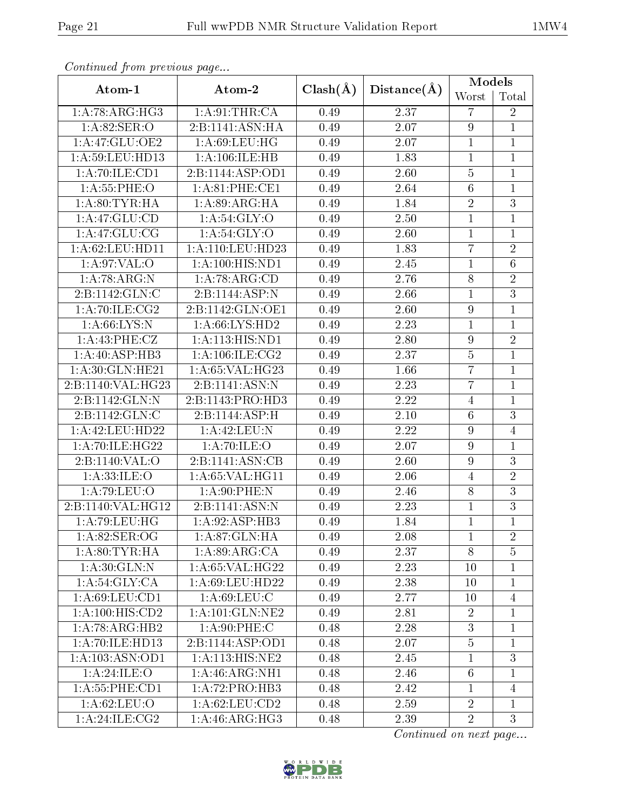| Continual from previous page |                     |              | Distance(A) | <b>Models</b>    |                |  |
|------------------------------|---------------------|--------------|-------------|------------------|----------------|--|
| Atom-1                       | Atom-2              | $Clash(\AA)$ |             | Worst            | Total          |  |
| 1: A:78: ARG: HG3            | 1: A:91:THR:CA      | 0.49         | 2.37        | $\overline{7}$   | $\sqrt{2}$     |  |
| 1:A:82:SER:O                 | 2:B:1141:ASN:HA     | 0.49         | 2.07        | $\boldsymbol{9}$ | $\mathbf{1}$   |  |
| 1:A:47:GLU:OE2               | 1: A:69:LEU:HG      | 0.49         | 2.07        | $\mathbf{1}$     | $\mathbf 1$    |  |
| 1:A:59:LEU:HD13              | 1: A: 106: ILE: HB  | 0.49         | 1.83        | $\mathbf{1}$     | $\mathbf{1}$   |  |
| 1:A:70:ILE:CD1               | 2:B:1144:ASP:OD1    | 0.49         | 2.60        | $\overline{5}$   | $\mathbf{1}$   |  |
| 1:A:55:PHE:O                 | 1:A:81:PHE:CE1      | 0.49         | 2.64        | 6                | $\mathbf{1}$   |  |
| 1: A:80: TYR: HA             | 1: A:89: ARG: HA    | 0.49         | 1.84        | $\overline{2}$   | $\overline{3}$ |  |
| 1:A:47:GLU:CD                | 1: A:54: GLY:O      | 0.49         | 2.50        | $\mathbf{1}$     | $\mathbf{1}$   |  |
| 1:A:47:GLU:CG                | 1: A:54: GLY:O      | 0.49         | 2.60        | $\mathbf{1}$     | $\overline{1}$ |  |
| 1: A:62:LEU:HD11             | 1:A:110:LEU:HD23    | 0.49         | 1.83        | $\overline{7}$   | $\overline{2}$ |  |
| 1: A:97: VAL:O               | 1: A:100:HIS:ND1    | 0.49         | 2.45        | $\mathbf{1}$     | $\overline{6}$ |  |
| 1: A:78: ARG: N              | 1:A:78:ARG:CD       | 0.49         | 2.76        | 8                | $\sqrt{2}$     |  |
| 2:B:1142:GLN:C               | 2:B:1144:ASP:N      | 0.49         | 2.66        | $\overline{1}$   | $\overline{3}$ |  |
| 1: A:70: ILE: CG2            | 2:B:1142:GLN:OE1    | 0.49         | 2.60        | $\overline{9}$   | $\mathbf{1}$   |  |
| 1: A:66: LYS: N              | 1:A:66:LYS:HD2      | 0.49         | 2.23        | $\mathbf{1}$     | $\mathbf{1}$   |  |
| 1: A:43: PHE: CZ             | 1:A:113:HIS:ND1     | 0.49         | 2.80        | $\overline{9}$   | $\overline{2}$ |  |
| 1: A:40: ASP:HB3             | 1: A:106: ILE: CG2  | 0.49         | 2.37        | $\overline{5}$   | $\mathbf{1}$   |  |
| 1: A:30: GLN: HE21           | 1:A:65:VAL:HG23     | 0.49         | 1.66        | $\overline{7}$   | $\mathbf{1}$   |  |
| 2:B:1140:VAL:HG23            | 2:B:1141:ASN:N      | 0.49         | 2.23        | $\overline{7}$   | $\overline{1}$ |  |
| 2:B:1142:GLN:N               | 2:B:1143:PRO:HD3    | 0.49         | 2.22        | $\overline{4}$   | $\mathbf{1}$   |  |
| 2:B:1142:GLN:C               | 2:B:1144:ASP:H      | 0.49         | 2.10        | $6\phantom{.}6$  | $\overline{3}$ |  |
| 1:A:42:LEU:HD22              | 1:A:42:LEU:N        | 0.49         | 2.22        | $\overline{9}$   | $\overline{4}$ |  |
| 1:A:70:ILE:HG22              | 1: A:70: ILE: O     | 0.49         | 2.07        | 9                | $\mathbf{1}$   |  |
| 2:B:1140:VAL:O               | 2:B:1141:ASN:CB     | 0.49         | 2.60        | $\overline{9}$   | 3              |  |
| 1: A: 33: ILE: O             | 1: A:65: VAL:HGI1   | 0.49         | 2.06        | $\overline{4}$   | $\sqrt{2}$     |  |
| 1: A:79: LEU:O               | 1: A:90: PHE: N     | 0.49         | 2.46        | $\overline{8}$   | $\overline{3}$ |  |
| 2:B:1140:VAL:HG12            | 2:B:1141:ASN:N      | 0.49         | 2.23        | $\mathbf{1}$     | $\overline{3}$ |  |
| 1:A:79:LEU:HG                | 1: A:92: ASP:HB3    | 0.49         | 1.84        | $\overline{1}$   | $\mathbf{1}$   |  |
| 1: A:82: SER:OG              | 1:A:87:GLN:HA       | 0.49         | 2.08        | $\mathbf{1}$     | $\overline{2}$ |  |
| 1: A:80: TYR: HA             | 1: A:89: ARG:CA     | 0.49         | 2.37        | 8                | $\overline{5}$ |  |
| 1: A:30: GLN:N               | 1: A:65: VAL:HG22   | 0.49         | 2.23        | 10               | $\mathbf{1}$   |  |
| 1: A:54: GLY: CA             | 1: A:69:LEU:HD22    | 0.49         | 2.38        | 10               | $\mathbf{1}$   |  |
| 1: A:69: LEU:CD1             | 1: A:69: LEU: C     | 0.49         | 2.77        | 10               | $\overline{4}$ |  |
| 1: A:100:HIS:CD2             | 1: A: 101: GLN: NE2 | 0.49         | 2.81        | $\overline{2}$   | $\mathbf{1}$   |  |
| 1: A:78: ARG:HB2             | 1: A:90:PHE: C      | 0.48         | 2.28        | $\overline{3}$   | $\mathbf 1$    |  |
| 1:A:70:ILE:HD13              | 2:B:1144:ASP:OD1    | 0.48         | 2.07        | $\overline{5}$   | $\mathbf{1}$   |  |
| 1: A: 103: ASN: OD1          | 1:A:113:HIS:NE2     | 0.48         | 2.45        | $\mathbf 1$      | 3              |  |
| 1:A:24:ILE:O                 | 1: A:46: ARG: NH1   | 0.48         | 2.46        | $6\phantom{.}6$  | $\mathbf{1}$   |  |
| 1: A: 55: PHE: CD1           | 1:A:72:PRO:HB3      | 0.48         | 2.42        | 1                | $\overline{4}$ |  |
| 1:A:62:LEU:O                 | 1:A:62:LEU:CD2      | 0.48         | 2.59        | $\overline{2}$   | $\mathbf{1}$   |  |
| 1:A:24:ILE:CG2               | 1: A:46: ARG: HG3   | 0.48         | 2.39        | $\overline{2}$   | 3              |  |

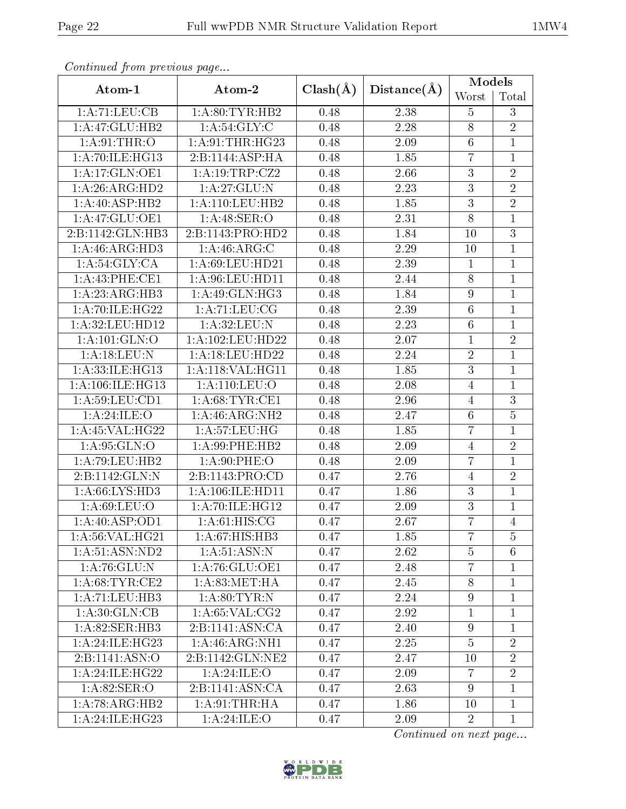| Continued from previous page |                               |              | Distance(A) | <b>Models</b>    |                 |
|------------------------------|-------------------------------|--------------|-------------|------------------|-----------------|
| Atom-1                       | Atom-2                        | $Clash(\AA)$ |             | Worst            | Total           |
| 1:A:71:LEU:CB                | 1: A:80: TYR: HB2             | 0.48         | 2.38        | $\overline{5}$   | 3               |
| 1:A:47:GLU:HB2               | 1: A:54: GLY: C               | 0.48         | 2.28        | 8                | $\overline{2}$  |
| 1: A:91:THR:O                | 1: A:91:THR:HG23              | 0.48         | 2.09        | $\sqrt{6}$       | $\mathbf{1}$    |
| 1: A:70: ILE: HG13           | 2:B:1144:ASP:HA               | 0.48         | 1.85        | $\overline{7}$   | $\mathbf{1}$    |
| 1:A:17:GLN:OE1               | 1:A:19:TRP:CZ2                | 0.48         | 2.66        | 3                | $\overline{2}$  |
| 1:A:26:ARG:HD2               | 1: A:27: GLU:N                | 0.48         | 2.23        | $\overline{3}$   | $\overline{2}$  |
| 1: A:40: ASP:HB2             | $1:A:110:L\overline{EU:H}B2$  | 0.48         | 1.85        | $\overline{3}$   | $\overline{2}$  |
| 1:A:47:GLU:OE1               | 1:A:48:SER:O                  | 0.48         | 2.31        | 8                | $\mathbf{1}$    |
| 2:B:1142:GLN:HB3             | 2:B:1143:PRO:HD2              | 0.48         | 1.84        | 10               | $\overline{3}$  |
| 1: A:46: ARG:HD3             | 1: A:46: ARG: C               | 0.48         | 2.29        | 10               | $\mathbf{1}$    |
| 1: A:54: GLY:CA              | 1: A:69: LEU:HD21             | 0.48         | 2.39        | $\overline{1}$   | $\mathbf{1}$    |
| 1:A:43:PHE:CE1               | 1: A:96: LEU: HD11            | 0.48         | 2.44        | $8\,$            | $\mathbf 1$     |
| 1: A:23: ARG:HB3             | 1:A:49:GLN:HG3                | 0.48         | 1.84        | 9                | $\mathbf{1}$    |
| 1:A:70:ILE:HG22              | 1:A:71:LEU:CG                 | 0.48         | 2.39        | $6\phantom{.}6$  | $\mathbf{1}$    |
| 1:A:32:LEU:HD12              | 1:A:32:LEU:N                  | 0.48         | 2.23        | $6\,$            | $\mathbf{1}$    |
| 1: A: 101: GLN: O            | 1:A:102:LEU:HD22              | 0.48         | 2.07        | $\mathbf{1}$     | $\overline{2}$  |
| 1: A:18: LEU: N              | 1:A:18:LEU:HD22               | 0.48         | 2.24        | $\overline{2}$   | $\mathbf{1}$    |
| 1:A:33:ILE:HG13              | 1:A:118:VAL:HG11              | 0.48         | 1.85        | $\overline{3}$   | $\mathbf{1}$    |
| 1:A:106:ILE:HG13             | 1:A:110:LEU:O                 | 0.48         | 2.08        | $\overline{4}$   | $\mathbf{1}$    |
| 1: A:59: LEU: CD1            | 1: A:68:TYR:CE1               | 0.48         | 2.96        | $\overline{4}$   | $\sqrt{3}$      |
| 1:A:24:ILE:O                 | 1: A:46: ARG: NH2             | 0.48         | 2.47        | $6\phantom{.}6$  | $\overline{5}$  |
| 1: A:45: VAL:HG22            | 1: A:57:LEU:HG                | 0.48         | 1.85        | $\overline{7}$   | $\mathbf{1}$    |
| 1:A:95:GLN:O                 | 1:A:99:PHE:HB2                | 0.48         | 2.09        | $\overline{4}$   | $\sqrt{2}$      |
| 1:A:79:LEU:HB2               | 1: A:90: PHE:O                | 0.48         | 2.09        | $\overline{7}$   | $\mathbf{1}$    |
| 2:B:1142:GLN:N               | 2:B:1143:PRO:CD               | 0.47         | 2.76        | $\overline{4}$   | $\sqrt{2}$      |
| 1: A:66: LYS: HD3            | 1:A:106:ILE:HD11              | 0.47         | 1.86        | 3                | $\mathbf{1}$    |
| 1: A:69: LEU:O               | 1:A:70:ILE:HG12               | 0.47         | 2.09        | $\overline{3}$   | $\mathbf 1$     |
| 1: A:40: ASP:OD1             | $1: A:61: HIS: \overline{CG}$ | 0.47         | 2.67        | $\overline{7}$   | $\overline{4}$  |
| 1: A:56: VAL:HG21            | 1:A:67:HIS:HB3                | 0.47         | 1.85        | $\overline{7}$   | $\overline{5}$  |
| 1: A:51: ASN: ND2            | 1: A:51: ASN: N               | 0.47         | 2.62        | $\overline{5}$   | $6\phantom{.}6$ |
| 1:A:76:GLU:N                 | 1: A:76: GLU:OE1              | 0.47         | 2.48        | $\overline{7}$   | 1               |
| 1: A:68:TYR:CE2              | 1: A:83:MET:HA                | 0.47         | 2.45        | 8                | $\mathbf{1}$    |
| 1:A:71:LEU:HB3               | 1: A:80: TYR:N                | 0.47         | 2.24        | $\overline{9}$   | 1               |
| 1: A:30: GLN:CB              | 1: A:65: VAL:CG2              | 0.47         | 2.92        | $\mathbf{1}$     | $\mathbf{1}$    |
| 1:A:82:SER:HB3               | 2:B:1141:ASN:CA               | 0.47         | 2.40        | $\boldsymbol{9}$ | $\mathbf{1}$    |
| 1:A:24:ILE:HG23              | $1:A:46:A\overline{RG:NH1}$   | 0.47         | 2.25        | $\overline{5}$   | $\overline{2}$  |
| 2:B:1141:ASN:O               | 2:B:1142:GLN:NE2              | 0.47         | 2.47        | 10               | $\overline{2}$  |
| 1: A:24: ILE:HG22            | 1:A:24:ILE:O                  | 0.47         | 2.09        | $\overline{7}$   | $\overline{2}$  |
| 1: A:82: SER:O               | 2:B:1141:ASN:CA               | 0.47         | 2.63        | 9                | $\mathbf{1}$    |
| 1: A:78: ARG:HB2             | 1: A:91:THR:HA                | 0.47         | 1.86        | 10               | $\mathbf{1}$    |
| 1:A:24:ILE:HG23              | 1: A:24: ILE: O               | 0.47         | 2.09        | $\overline{2}$   | $\mathbf{1}$    |

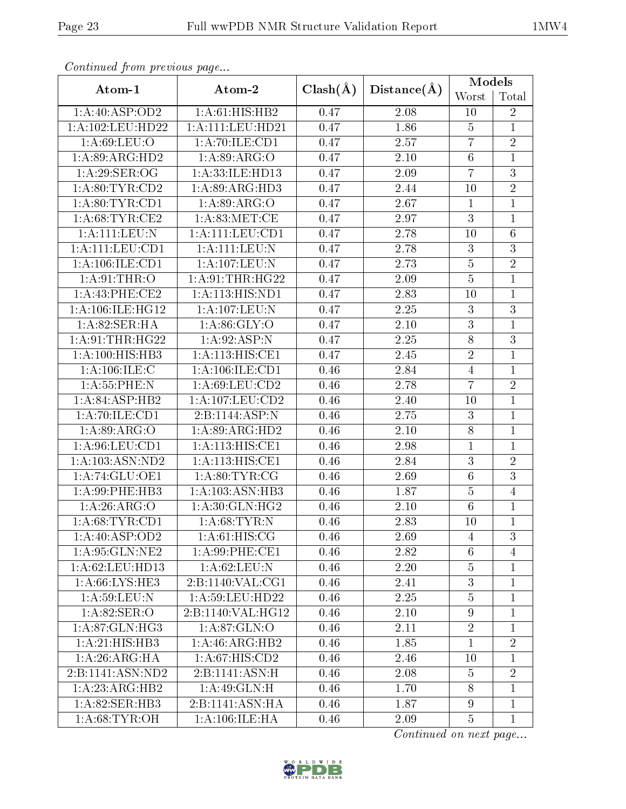| Continuata from previous page |                           |              | Distance(A)       | <b>Models</b>   |                |
|-------------------------------|---------------------------|--------------|-------------------|-----------------|----------------|
| Atom-1                        | Atom-2                    | $Clash(\AA)$ |                   | Worst           | Total          |
| 1:A:40:ASP:OD2                | 1:A:61:HIS:HB2            | 0.47         | 2.08              | 10              | $\overline{2}$ |
| 1:A:102:LEU:HD22              | 1:A:111:LEU:HD21          | 0.47         | 1.86              | $\overline{5}$  | 1              |
| 1: A:69: LEU:O                | 1:A:70:ILE:CD1            | 0.47         | 2.57              | $\overline{7}$  | $\sqrt{2}$     |
| 1:A:89:ARG:HD2                | 1:A:89:ARG:O              | 0.47         | 2.10              | $6\phantom{.}6$ | $\mathbf{1}$   |
| 1:A:29:SER:OG                 | 1:A:33:ILE:HD13           | 0.47         | 2.09              | $\overline{7}$  | $\overline{3}$ |
| 1: A:80: TYR:CD2              | 1: A:89: ARG:HD3          | 0.47         | 2.44              | 10              | $\overline{2}$ |
| 1: A:80: TYR:CD1              | 1:A:89:ARG:O              | 0.47         | 2.67              | $\mathbf{1}$    | $\overline{1}$ |
| 1: A:68:TYR:CE2               | 1: A:83:MET:CE            | 0.47         | 2.97              | 3               | $\mathbf{1}$   |
| 1:A:111:LEU:N                 | 1:A:111:LEU:CD1           | 0.47         | 2.78              | 10              | $\overline{6}$ |
| 1:A:111:LEU:CD1               | 1:A:111:LEU:N             | 0.47         | 2.78              | $\overline{3}$  | $\mathbf{3}$   |
| 1: A:106: ILE: CD1            | $1:$ A:107:LEU:N          | 0.47         | $\overline{2.73}$ | $\overline{5}$  | $\overline{2}$ |
| 1: A:91:THR:O                 | 1:A:91:THR:HG22           | 0.47         | 2.09              | $\bf 5$         | $\mathbf{1}$   |
| 1:A:43:PHE:CE2                | 1:A:113:HIS:ND1           | 0.47         | 2.83              | 10              | $\mathbf{1}$   |
| 1:A:106:ILE:HG12              | 1: A: 107: LEU: N         | 0.47         | 2.25              | 3               | $\overline{3}$ |
| 1:A:82:SER:HA                 | 1: A:86: GLY:O            | 0.47         | 2.10              | $\overline{3}$  | $\mathbf{1}$   |
| 1:A:91:THR:HG22               | 1: A:92: ASP: N           | 0.47         | 2.25              | $\overline{8}$  | $\overline{3}$ |
| 1:A:100:HIS:HB3               | 1:A:113:HIS:CE1           | 0.47         | 2.45              | $\overline{2}$  | $\mathbf{1}$   |
| 1: A: 106: ILE:C              | 1: A: 106: ILE: CD1       | 0.46         | 2.84              | $\overline{4}$  | $\mathbf{1}$   |
| 1: A: 55: PHE: N              | 1:A:69:LEU:CD2            | 0.46         | 2.78              | $\overline{7}$  | $\sqrt{2}$     |
| 1: A:84:ASP:HB2               | 1:A:107:LEU:CD2           | 0.46         | 2.40              | 10              | $\mathbf{1}$   |
| 1:A:70:ILE:CD1                | 2:B:1144:ASP:N            | 0.46         | 2.75              | 3               | $\mathbf{1}$   |
| 1:A:89:ARG:O                  | 1: A:89: ARG:HD2          | 0.46         | 2.10              | 8               | $\mathbf{1}$   |
| 1: A:96: LEU: CD1             | 1:A:113:HIS:CE1           | 0.46         | 2.98              | $\mathbf{1}$    | 1              |
| 1:A:103:ASN:ND2               | 1:A:113:HIS:CE1           | 0.46         | 2.84              | $\overline{3}$  | $\overline{2}$ |
| 1:A:74:GLU:OE1                | 1: A:80: TYR: CG          | 0.46         | 2.69              | $6\,$           | $\overline{3}$ |
| 1:A:99:PHE:HB3                | 1:A:103:ASN:HB3           | 0.46         | 1.87              | $\overline{5}$  | $\overline{4}$ |
| 1:A:26:ARG:O                  | 1:A:30:GLN:HG2            | 0.46         | 2.10              | $6\phantom{.}6$ | $\mathbf{1}$   |
| 1: A:68:TYR:CD1               | 1: A:68:TYR:N             | 0.46         | 2.83              | 10              | $\overline{1}$ |
| 1: A:40: ASP:OD2              | 1: A:61: HIS: CG          | 0.46         | 2.69              | 4               | 3              |
| 1: A:95: GLN: NE2             | 1: A:99: PHE:CE1          | 0.46         | 2.82              | $\sqrt{6}$      | 4              |
| 1: A:62:LEU:HD13              | 1: A:62:LEU: N            | 0.46         | 2.20              | $\bf 5$         | 1              |
| 1: A:66: L <sub>YS:HE3</sub>  | 2:B:1140:VAL:CG1          | 0.46         | 2.41              | $\overline{3}$  | $\mathbf{1}$   |
| 1: A:59: LEU: N               | 1:A:59:LEU:HD22           | 0.46         | 2.25              | $\overline{5}$  | $\mathbf{1}$   |
| 1: A:82: SER:O                | 2:B:1140:VAL:HG12         | 0.46         | 2.10              | 9               | $\mathbf{1}$   |
| 1: A.87: GLN: HG3             | 1: A:87: GLN:O            | 0.46         | 2.11              | $\overline{2}$  | $\mathbf{1}$   |
| 1: A:21: HIS: HB3             | 1:A:46:ARG:HB2            | 0.46         | 1.85              | $\mathbf{1}$    | $\overline{2}$ |
| 1:A:26:ARG:HA                 | 1:A:67:HIS:CD2            | 0.46         | 2.46              | 10              | $\mathbf{1}$   |
| 2:B:1141:ASN:ND2              | 2:B:1141:ASN:H            | 0.46         | 2.08              | $\overline{5}$  | $\overline{2}$ |
| 1:A:23:ARG:HB2                | $1:A:49:GLN:\overline{H}$ | 0.46         | 1.70              | 8               | $\mathbf{1}$   |
| 1:A:82:SER:HB3                | 2:B:1141:ASN:HA           | 0.46         | 1.87              | $\overline{9}$  | $\mathbf{1}$   |
| 1: A:68:TYR:OH                | 1: A:106: ILE: HA         | 0.46         | 2.09              | $\overline{5}$  | $\mathbf{1}$   |

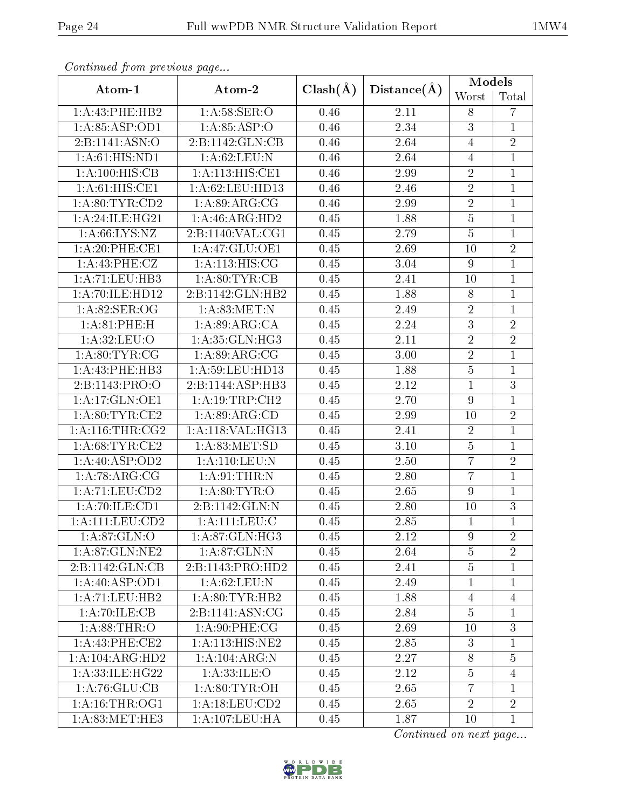| Continual from previous page |                             |              | $Distance(\AA)$   | <b>Models</b>    |                |
|------------------------------|-----------------------------|--------------|-------------------|------------------|----------------|
| Atom-1                       | Atom-2                      | $Clash(\AA)$ |                   | Worst            | Total          |
| 1:A:43:PHE:HB2               | 1: A:58: SER:O              | 0.46         | 2.11              | 8                | 7              |
| 1: A:85:ASP:OD1              | 1: A:85:ASP:O               | 0.46         | 2.34              | $\overline{3}$   | $\mathbf{1}$   |
| 2:B:1141:ASN:O               | 2:B:1142:GLN:CB             | 0.46         | 2.64              | $\overline{4}$   | $\sqrt{2}$     |
| 1: A:61: HIS: ND1            | 1: A:62:LEU: N              | 0.46         | 2.64              | $\overline{4}$   | $\mathbf{1}$   |
| 1:A:100:HIS:CB               | 1: A:113:HIS:CE1            | 0.46         | 2.99              | $\overline{2}$   | $\mathbf 1$    |
| 1: A:61: HIS: CE1            | 1: A:62:LEU:HD13            | 0.46         | 2.46              | $\overline{2}$   | $\mathbf{1}$   |
| 1: A:80: TYR:CD2             | 1: A:89: ARG: CG            | 0.46         | 2.99              | $\overline{2}$   | $\overline{1}$ |
| 1:A:24:ILE:HG21              | 1:A:46:ARG:HD2              | 0.45         | 1.88              | $\overline{5}$   | $\mathbf{1}$   |
| 1: A:66: LYS:NZ              | 2:B:1140:VAL:CG1            | 0.45         | 2.79              | $\overline{5}$   | $\overline{1}$ |
| 1:A:20:PHE:CE1               | 1:A:47:GLU:OE1              | 0.45         | 2.69              | 10               | $\overline{2}$ |
| 1: A:43:PHE:CZ               | 1: A:113:HIS:CG             | 0.45         | 3.04              | $\boldsymbol{9}$ | $\overline{1}$ |
| 1:A:71:LEU:HB3               | 1:A:80:TYR:CB               | 0.45         | 2.41              | 10               | $\mathbf 1$    |
| 1:A:70:ILE:HD12              | 2:B:1142:GLN:HB2            | 0.45         | 1.88              | 8                | $\mathbf{1}$   |
| 1: A:82: SER:OG              | 1: A:83:MET:N               | 0.45         | 2.49              | $\overline{2}$   | $\mathbf 1$    |
| 1: A:81:PHE:H                | 1: A:89: ARG:CA             | 0.45         | 2.24              | 3                | $\overline{2}$ |
| 1:A:32:LEU:O                 | 1: A: 35: GLN: HG3          | 0.45         | 2.11              | $\overline{2}$   | $\overline{2}$ |
| 1: A:80: TYR: CG             | 1: A:89: ARG:CG             | 0.45         | 3.00              | $\overline{2}$   | $\mathbf{1}$   |
| 1:A:43:PHE:HB3               | 1: A:59: LEU: HD13          | 0.45         | 1.88              | $\overline{5}$   | $\mathbf{1}$   |
| 2:B:1143:PRO:O               | 2:B:1144:ASP:HB3            | 0.45         | 2.12              | $\mathbf{1}$     | $\overline{3}$ |
| 1:A:17:GLN:OE1               | 1: A:19:TRP:CH2             | 0.45         | 2.70              | $\boldsymbol{9}$ | $\mathbf{1}$   |
| 1: A:80: TYR: CE2            | 1: A:89: ARG:CD             | 0.45         | 2.99              | 10               | $\overline{2}$ |
| 1: A:116:THR:CG2             | 1:A:118:VAL:HG13            | 0.45         | 2.41              | $\sqrt{2}$       | $\mathbf 1$    |
| 1: A:68:TYR:CE2              | 1: A:83:MET:SD              | 0.45         | $\overline{3}.10$ | $\overline{5}$   | $\mathbf{1}$   |
| 1: A:40: ASP:OD2             | 1: A: 110: LEU: N           | 0.45         | 2.50              | $\overline{7}$   | $\sqrt{2}$     |
| 1:A:78:ARG:CG                | 1: A:91:THR:N               | 0.45         | 2.80              | $\overline{7}$   | $\mathbf{1}$   |
| 1:A:71:LEU:CD2               | 1: A.80: TYR:O              | 0.45         | 2.65              | 9                | $\mathbf{1}$   |
| 1: A:70: ILE: CD1            | 2:B:1142:GLN:N              | 0.45         | 2.80              | 10               | $\overline{3}$ |
| $1:$ A:111:LEU: $CD2$        | 1:A:111:LEU:C               | 0.45         | 2.85              | $\overline{1}$   | $\mathbf{1}$   |
| 1: A:87: GLN:O               | $1:A:87:GLN:H\overline{G3}$ | 0.45         | 2.12              | 9                | $\overline{2}$ |
| 1:A:87:GLN:NE2               | 1: A:87: GLN:N              | 0.45         | 2.64              | $\overline{5}$   | $\overline{2}$ |
| 2:B:1142:GLN:CB              | 2:B:1143:PRO:HD2            | 0.45         | 2.41              | $\overline{5}$   | $\mathbf{1}$   |
| 1: A:40: ASP:OD1             | 1: A:62:LEU: N              | 0.45         | 2.49              | $\mathbf{1}$     | $\mathbf{1}$   |
| 1: A: 71: LEU: HB2           | 1: A:80: TYR:HB2            | 0.45         | 1.88              | 4                | $\overline{4}$ |
| 1:A:70:ILE:CB                | 2:B:1141:ASN:CG             | 0.45         | 2.84              | $\overline{5}$   | $\mathbf{1}$   |
| 1: A:88:THR:O                | 1: A:90: PHE: CG            | 0.45         | 2.69              | 10               | $\mathbf{3}$   |
| 1: A:43: PHE:CE2             | 1:A:113:HIS:NE2             | 0.45         | 2.85              | 3                | $\mathbf{1}$   |
| 1:A:104:ARG:HD2              | 1: A: 104: ARG: N           | 0.45         | 2.27              | 8                | $\overline{5}$ |
| 1:A:33:ILE:HG22              | 1: A:33:ILE:O               | 0.45         | 2.12              | $\overline{5}$   | $\overline{4}$ |
| 1: A:76: GLU:CB              | 1: A:80: TYR:OH             | 0.45         | 2.65              | $\overline{7}$   | $\mathbf{1}$   |
| 1: A:16:THR:OG1              | 1: A:18: LEU:CD2            | 0.45         | $2.\overline{65}$ | $\overline{2}$   | $\overline{2}$ |
| 1: A:83:MET:HE3              | 1:A:107:LEU:HA              | 0.45         | 1.87              | 10               | $\mathbf{1}$   |

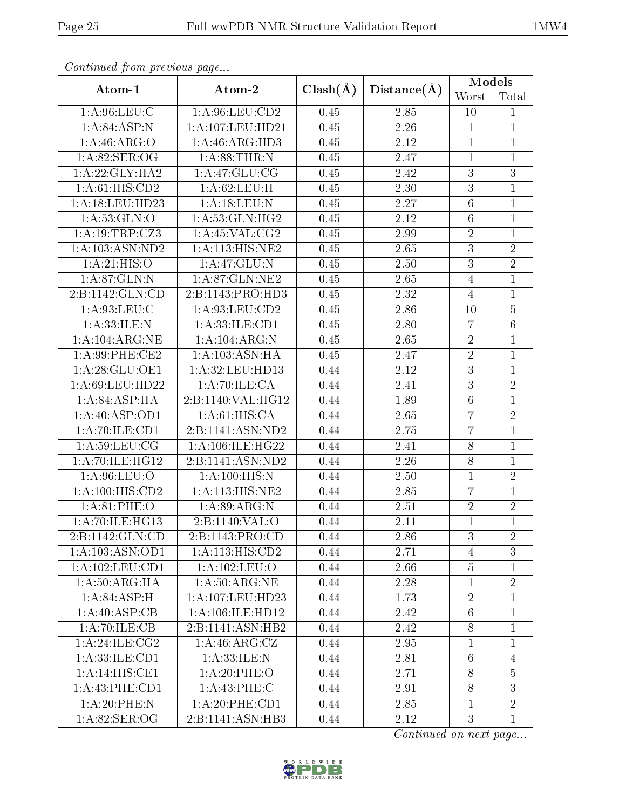| Continual from previous page |                    |              | Distance(A)       | <b>Models</b>   |                |
|------------------------------|--------------------|--------------|-------------------|-----------------|----------------|
| Atom-1                       | Atom-2             | $Clash(\AA)$ |                   | Worst           | Total          |
| 1: A:96: LEU: C              | 1: A:96: LEU:CD2   | 0.45         | 2.85              | 10              | $\mathbf{1}$   |
| 1:A:84:ASP:N                 | 1:A:107:LEU:HD21   | 0.45         | 2.26              | $\mathbf{1}$    | $\mathbf{1}$   |
| 1:A:46:ARG:O                 | 1: A:46: ARG:HD3   | 0.45         | 2.12              | $\overline{1}$  | $\mathbf{1}$   |
| 1: A:82: SER:OG              | 1: A:88:THR:N      | 0.45         | 2.47              | $\mathbf{1}$    | $\mathbf{1}$   |
| 1: A:22: GLY:HA2             | 1: A:47: GLU:CG    | 0.45         | 2.42              | 3               | 3              |
| 1: A:61: HIS:CD2             | 1:A:62:LEU:H       | 0.45         | 2.30              | $\overline{3}$  | $\mathbf{1}$   |
| 1:A:18:LEU:HD23              | 1: A: 18: LEU: N   | 0.45         | 2.27              | $\overline{6}$  | $\overline{1}$ |
| 1: A: 53: GLN: O             | 1:A:53:GLN:HG2     | 0.45         | 2.12              | $6\phantom{.}6$ | $\mathbf{1}$   |
| 1:A:19:TRP:CZ3               | 1: A:45: VAL:CG2   | 0.45         | 2.99              | $\overline{2}$  | $\overline{1}$ |
| 1:A:103:ASN:ND2              | 1:A:113:HIS:NE2    | 0.45         | 2.65              | 3               | $\overline{2}$ |
| 1:A:21:HIS:O                 | 1: A:47: GLU:N     | 0.45         | $\overline{2.50}$ | $\overline{3}$  | $\overline{2}$ |
| 1:A:87:GLN:N                 | 1:A:87:GLN:NE2     | 0.45         | 2.65              | $\overline{4}$  | $\mathbf 1$    |
| 2:B:1142:GLN:CD              | 2:B:1143:PRO:HD3   | 0.45         | 2.32              | $\overline{4}$  | $\overline{1}$ |
| 1: A:93: LEU: C              | 1: A:93: LEU:CD2   | 0.45         | 2.86              | 10              | $\overline{5}$ |
| 1: A:33: ILE:N               | 1:A:33:ILE:CD1     | 0.45         | 2.80              | $\overline{7}$  | $\,6\,$        |
| 1:A:104:ARG:NE               | 1: A: 104: ARG: N  | 0.45         | 2.65              | $\overline{2}$  | $\mathbf{1}$   |
| 1:A:99:PHE:CE2               | 1: A: 103: ASN: HA | 0.45         | 2.47              | $\overline{2}$  | $\mathbf{1}$   |
| 1:A:28:GLU:OE1               | 1: A:32:LEU:HD13   | 0.44         | 2.12              | $\overline{3}$  | $\overline{1}$ |
| 1:A:69:LEU:HD22              | 1: A:70: ILE: CA   | 0.44         | 2.41              | $\overline{3}$  | $\overline{2}$ |
| 1:A:84:ASP:HA                | 2:B:1140:VAL:HG12  | 0.44         | 1.89              | $6\,$           | $\mathbf{1}$   |
| 1: A:40: ASP:OD1             | 1: A:61: HIS: CA   | 0.44         | 2.65              | $\overline{7}$  | $\overline{2}$ |
| 1:A:70:ILE:CD1               | 2:B:1141:ASN:ND2   | 0.44         | 2.75              | 7               | $\mathbf 1$    |
| 1: A:59:LEU:CG               | 1:A:106:ILE:HG22   | 0.44         | 2.41              | $\overline{8}$  | $\mathbf{1}$   |
| 1:A:70:ILE:HG12              | 2:B:1141:ASN:ND2   | 0.44         | 2.26              | 8               | $\mathbf{1}$   |
| 1:A:96:LEU:O                 | 1: A:100:HIS:N     | 0.44         | 2.50              | $\mathbf 1$     | $\sqrt{2}$     |
| 1:A:100:HIS:CD2              | 1:A:113:HIS:NE2    | 0.44         | 2.85              | $\overline{7}$  | $\mathbf{1}$   |
| 1: A:81:PHE:O                | 1: A:89: ARG: N    | 0.44         | 2.51              | $\overline{2}$  | $\sqrt{2}$     |
| 1:A:70:ILE:HG13              | 2:B:1140:VAL:O     | 0.44         | 2.11              | $\overline{1}$  | $\overline{1}$ |
| 2:B:1142:GLN:CD              | 2:B:1143:PRO:CD    | 0.44         | 2.86              | 3               | $\overline{2}$ |
| 1:A:103:ASN:OD1              | 1:A:113:HIS:CD2    | 0.44         | 2.71              | $\overline{4}$  | 3              |
| 1: A: 102: LEU: CD1          | 1:A:102:LEU:O      | 0.44         | 2.66              | $\bf 5$         | $\mathbf{1}$   |
| 1: A:50: ARG: HA             | 1: A:50: ARG:NE    | 0.44         | 2.28              | $\overline{1}$  | $\overline{2}$ |
| 1: A:84:ASP:H                | 1:A:107:LEU:HD23   | 0.44         | 1.73              | $\overline{2}$  | $\mathbf{1}$   |
| 1:A:40:ASP:CB                | 1:A:106:ILE:HD12   | 0.44         | 2.42              | $\sqrt{6}$      | $\mathbf{1}$   |
| 1:A:70:ILE:CB                | 2:B:1141:ASN:HB2   | 0.44         | 2.42              | $8\,$           | $\mathbf 1$    |
| 1:A:24:ILE:CG2               | 1:A:46:ARG:CZ      | 0.44         | 2.95              | $\overline{1}$  | $\mathbf{1}$   |
| 1: A: 33: ILE: CD1           | 1:A:33:ILE:N       | 0.44         | 2.81              | 6               | $\overline{4}$ |
| 1:A:14:HIS:CE1               | 1:A:20:PHE:O       | 0.44         | 2.71              | 8               | 5              |
| 1: A:43: PHE:CD1             | 1: A:43:PHE: C     | 0.44         | 2.91              | 8               | 3              |
| 1: A:20:PHE:N                | 1: A:20:PHE:CD1    | 0.44         | 2.85              | 1               | $\overline{2}$ |
| 1: A:82: SER:OG              | 2:B:1141:ASN:HB3   | 0.44         | 2.12              | 3               | $\mathbf{1}$   |

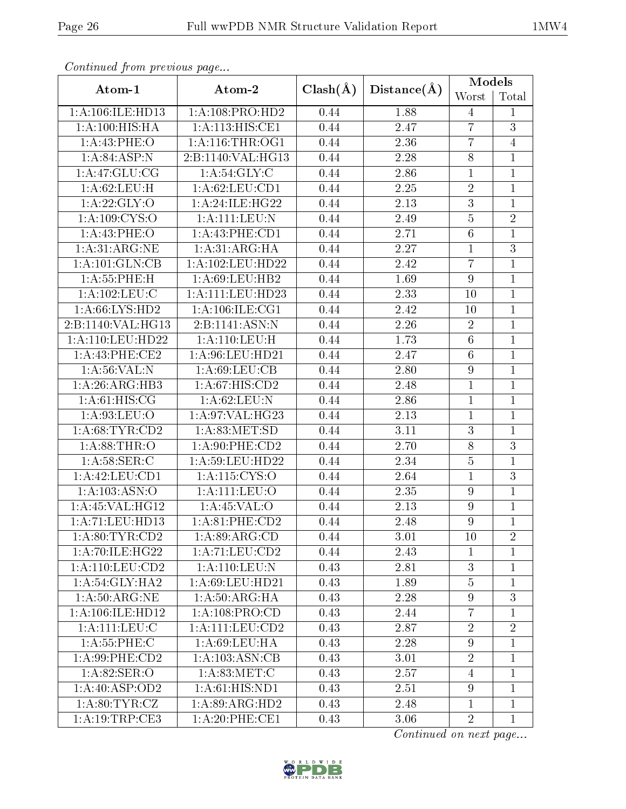| Continuou jiom protivus pago       |                       |              | Distance(A) | <b>Models</b>  |                |
|------------------------------------|-----------------------|--------------|-------------|----------------|----------------|
| Atom-1                             | Atom-2                | $Clash(\AA)$ |             | Worst          | Total          |
| 1:A:106:ILE:HD13                   | 1:A:108:PRO:HD2       | 0.44         | 1.88        | 4              | $\mathbf{1}$   |
| 1:A:100:HIS:HA                     | 1:A:113:HIS:CE1       | 0.44         | 2.47        | $\overline{7}$ | 3              |
| 1:A:43:PHE:O                       | 1: A:116:THR:OG1      | 0.44         | 2.36        | $\overline{7}$ | $\overline{4}$ |
| $1:A:84:\overline{ASP:N}$          | 2:B:1140:VAL:HG13     | 0.44         | 2.28        | $\overline{8}$ | $\mathbf{1}$   |
| 1:A:47:GLU:CG                      | 1: A:54: GLY: C       | 0.44         | 2.86        | 1              | $\mathbf{1}$   |
| 1: A:62:LEU:H                      | 1: A:62:LEU:CD1       | 0.44         | 2.25        | $\overline{2}$ | 1              |
| 1: A:22: GLY:O                     | 1:A:24:ILE:HG22       | 0.44         | 2.13        | $\overline{3}$ | $\mathbf{1}$   |
| 1: A:109: CYS:O                    | 1:A:111:EU:N          | 0.44         | 2.49        | $\overline{5}$ | $\overline{2}$ |
| 1:A:43:PHE:O                       | 1:A:43:PHE:CD1        | 0.44         | 2.71        | $\overline{6}$ | $\mathbf{1}$   |
| 1:A:31:ARG:NE                      | 1: A:31: ARG:HA       | 0.44         | 2.27        | 1              | 3              |
| 1: A: 101: GLN: CB                 | 1:A:102:LEU:HD22      | 0.44         | 2.42        | $\overline{7}$ | $\mathbf{1}$   |
| 1: A: 55: PHE: H                   | 1: A:69: LEU: HB2     | 0.44         | 1.69        | $\overline{9}$ | $\mathbf{1}$   |
| 1:A:102:LEU:C                      | 1: A: 111: LEU: HD23  | 0.44         | 2.33        | 10             | $\overline{1}$ |
| 1: A:66: LYS: HD2                  | 1: A: 106: ILE: CG1   | 0.44         | 2.42        | 10             | $\mathbf{1}$   |
| 2:B:1140:VAL:HG13                  | 2:B:1141:ASN:N        | 0.44         | 2.26        | $\overline{2}$ | $\mathbf{1}$   |
| 1:A:110:LEU:HD22                   | 1: A: 110: LEU: H     | 0.44         | 1.73        | $\overline{6}$ | $\mathbf{1}$   |
| 1:A:43:PHE:CE2                     | 1:A:96:LEU:HD21       | 0.44         | 2.47        | $\overline{6}$ | $\mathbf{1}$   |
| 1: A:56: VAL: N                    | 1: A:69: LEU:CB       | 0.44         | 2.80        | 9              | $\mathbf{1}$   |
| 1: A:26: ARG:HB3                   | 1: A:67: HIS: CD2     | 0.44         | 2.48        | $\mathbf{1}$   | $\mathbf{1}$   |
| 1: A:61: HIS: CG                   | 1: A:62:LEU: N        | 0.44         | 2.86        | $\mathbf{1}$   | $\mathbf{1}$   |
| 1:A:93:LEU:O                       | 1:A:97:VAL:HG23       | 0.44         | 2.13        | $\mathbf{1}$   | $\mathbf{1}$   |
| 1: A:68:TYR:CD2                    | 1: A:83:MET:SD        | 0.44         | 3.11        | 3              | $\mathbf{1}$   |
| 1: A:88:THR:O                      | 1:A:90:PHE:CD2        | 0.44         | 2.70        | $\overline{8}$ | $\overline{3}$ |
| 1: A:58: SER: C                    | 1:A:59:LEU:HD22       | 0.44         | 2.34        | $\overline{5}$ | $\mathbf{1}$   |
| 1:A:42:LEU:CD1                     | 1:A:115:CYS:O         | 0.44         | 2.64        | $\mathbf{1}$   | 3              |
| 1:A:103:ASN:O                      | 1:A:111:LEU:O         | 0.44         | 2.35        | 9              | $\mathbf{1}$   |
| $1:$ A:45:VAL:HG12                 | 1:A:45:VAL:O          | 0.44         | 2.13        | 9              | $\mathbf{1}$   |
| 1:A:71:LEU:HD13                    | 1:A:81:PHE:CD2        | 0.44         | 2.48        | $\overline{9}$ | $\overline{1}$ |
| 1: A:80:TYR:CD2                    | 1: A:89: ARG:CD       | 0.44         | 3.01        | 10             | $\overline{2}$ |
| 1: A:70: ILE: HG22                 | 1:A:71:LEU:CD2        | 0.44         | 2.43        | $\mathbf{1}$   | $\mathbf{1}$   |
| $1: A: 110:$ LEU: $CD2$            | 1: A: 110: LEU: N     | 0.43         | 2.81        | $\mathfrak{Z}$ | $\mathbf{1}$   |
| 1: A:54: GLY:HA2                   | 1: A:69:LEU:HD21      | 0.43         | 1.89        | $\overline{5}$ | $\mathbf{1}$   |
| 1: A:50:ARG:NE                     | 1: A:50: ARG: HA      | 0.43         | 2.28        | $\overline{9}$ | 3              |
| 1: A:106: ILE: HD12                | 1:A:108:PRO:CD        | 0.43         | 2.44        | $\overline{7}$ | $\mathbf{1}$   |
| 1:A:111:LEU:C                      | $1:$ A:111:LEU: $CD2$ | 0.43         | 2.87        | $\overline{2}$ | $\overline{2}$ |
| 1: A: 55: PHE: C                   | 1: A:69: LEU: HA      | 0.43         | 2.28        | $\overline{9}$ | $\mathbf{1}$   |
| 1:A:99:PHE:CD2                     | 1: A: 103: ASN: CB    | 0.43         | 3.01        | $\overline{2}$ | $\mathbf{1}$   |
| $1: A:82: \overline{\text{SER}:O}$ | 1: A:83: MET:C        | 0.43         | 2.57        | $\overline{4}$ | $\mathbf{1}$   |
| 1: A:40: ASP:OD2                   | 1: A:61: HIS: ND1     | 0.43         | 2.51        | $\overline{9}$ | $\mathbf{1}$   |
| 1: A:80: TYR: CZ                   | 1: A:89: ARG:HD2      | 0.43         | 2.48        | $\mathbf{1}$   | $\mathbf{1}$   |
| 1: A: 19: TRP: CE3                 | 1: A:20: PHE:CE1      | 0.43         | 3.06        | $\overline{2}$ | $\mathbf{1}$   |

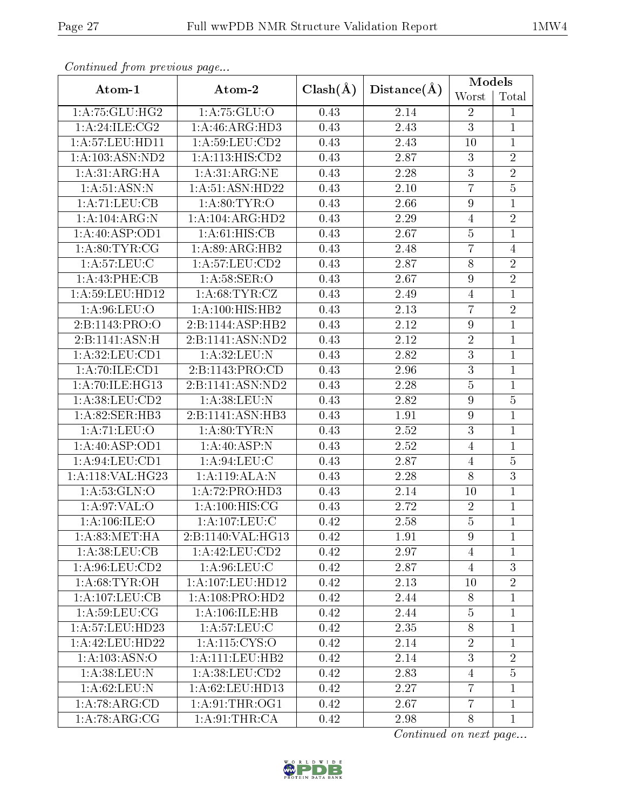| Continual from previous page |                     |              |                   | <b>Models</b>    |                |
|------------------------------|---------------------|--------------|-------------------|------------------|----------------|
| Atom-1                       | Atom-2              | $Clash(\AA)$ | Distance(A)       | Worst            | Total          |
| 1: A:75: GLU:HG2             | 1:A:75:GLU:O        | 0.43         | 2.14              | $\overline{2}$   | 1              |
| 1:A:24:ILE:CG2               | 1: A:46: ARG:HD3    | 0.43         | 2.43              | $\overline{3}$   | $\mathbf{1}$   |
| 1: A:57:LEU:HD11             | 1: A:59:LEU:CD2     | 0.43         | 2.43              | 10               | $\mathbf{1}$   |
| $1:A:\overline{103:ASN:ND2}$ | 1:A:113:HIS:CD2     | 0.43         | 2.87              | 3                | $\sqrt{2}$     |
| 1:A:31:ARG:HA                | 1: A:31: ARG:NE     | 0.43         | 2.28              | 3                | $\sqrt{2}$     |
| 1: A:51: ASN: N              | 1: A:51: ASN: HD22  | 0.43         | 2.10              | $\overline{7}$   | $\overline{5}$ |
| 1:A:71:LEU:CB                | 1: A:80: TYR:O      | 0.43         | 2.66              | 9                | $\mathbf 1$    |
| 1:A:104:ARG:N                | 1:A:104:ARG:HD2     | 0.43         | 2.29              | $\overline{4}$   | $\overline{2}$ |
| 1:A:40:ASP:OD1               | 1: A:61: HIS: CB    | 0.43         | 2.67              | $\overline{5}$   | $\mathbf{1}$   |
| 1: A:80: TYR: CG             | 1:A:89:ARG:HB2      | 0.43         | 2.48              | 7                | $\overline{4}$ |
| 1: A:57:LEU: C               | 1: A:57: LEU:CD2    | 0.43         | $\overline{2.87}$ | $\overline{8}$   | $\overline{2}$ |
| 1:A:43:PHE:CB                | 1: A:58: SER:O      | 0.43         | 2.67              | $\boldsymbol{9}$ | $\overline{2}$ |
| 1:A:59:LEU:HD12              | 1: A:68:TYR:CZ      | 0.43         | 2.49              | $\overline{4}$   | $\mathbf{1}$   |
| 1:A:96:LEU:O                 | 1:A:100:HIS:HB2     | 0.43         | 2.13              | $\overline{7}$   | $\sqrt{2}$     |
| 2:B:1143:PRO:O               | 2:B:1144:ASP:HB2    | 0.43         | 2.12              | $\boldsymbol{9}$ | $\mathbf{1}$   |
| 2:B:1141:ASN:H               | 2:B:1141:ASN:ND2    | 0.43         | 2.12              | $\overline{2}$   | $\mathbf{1}$   |
| 1:A:32:LEU:CD1               | 1:A:32:LEU:N        | 0.43         | 2.82              | $\overline{3}$   | $\mathbf{1}$   |
| 1:A:70:ILE:CD1               | 2:B:1143:PRO:CD     | 0.43         | 2.96              | $\overline{3}$   | $\mathbf{1}$   |
| 1:A:70:ILE:HG13              | 2:B:1141:ASN:ND2    | 0.43         | 2.28              | $\overline{5}$   | $\mathbf{1}$   |
| 1: A:38:LEU:CD2              | 1: A:38:LEU: N      | 0.43         | 2.82              | 9                | $\bf 5$        |
| 1:A:82:SER:HB3               | 2:B:1141:ASN:HB3    | 0.43         | 1.91              | 9                | $\mathbf{1}$   |
| 1:A:71:LEU:O                 | 1: A:80: TYR:N      | 0.43         | 2.52              | $\overline{3}$   | $\mathbf{1}$   |
| 1: A:40: ASP:OD1             | 1:A:40:ASP:N        | 0.43         | 2.52              | $\overline{4}$   | $\mathbf{1}$   |
| 1:A:94:LEU:CD1               | 1: A:94:LEU:C       | 0.43         | 2.87              | $\overline{4}$   | $\bf 5$        |
| 1:A:118:VAL:HG23             | 1:A:119:ALA:N       | 0.43         | 2.28              | 8                | $\mathbf{3}$   |
| 1: A:53: GLN:O               | 1:A:72:PRO:HD3      | 0.43         | 2.14              | 10               | $\mathbf{1}$   |
| 1:A:97:VAL:O                 | 1: A:100:HIS:CG     | 0.43         | 2.72              | $\sqrt{2}$       | $\mathbf{1}$   |
| 1: A: 106: ILE: O            | 1: A:107:LEU:C      | 0.42         | 2.58              | $\overline{5}$   | $\overline{1}$ |
| 1: A:83:MET:HA               | 2:B:1140:VAL:HG13   | 0.42         | 1.91              | 9                | 1              |
| 1:A:38:LEU:CB                | 1:A:42:LEU:CD2      | 0.42         | 2.97              | $\overline{4}$   | 1              |
| 1: A:96: LEU:CD2             | 1: A:96: LEU: C     | 0.42         | 2.87              | $\overline{4}$   | 3              |
| 1: A:68:TYR:OH               | 1:A:107:LEU:HD12    | 0.42         | 2.13              | 10               | $\overline{2}$ |
| 1:A:107:LEU:CB               | 1:A:108:PRO:HD2     | 0.42         | 2.44              | 8                | 1              |
| 1: A:59:LEU:CG               | 1: A: 106: ILE: HB  | 0.42         | 2.44              | $\overline{5}$   | $\mathbf{1}$   |
| 1:A:57:LEU:HD23              | 1: A:57:LEU: C      | 0.42         | 2.35              | $8\,$            | 1              |
| 1:A:42:LEU:HD22              | 1:A:115:CYS:O       | 0.42         | 2.14              | $\overline{2}$   | $\mathbf{1}$   |
| 1:A:103:ASN:O                | 1: A: 111: LEU: HB2 | 0.42         | 2.14              | 3                | $\overline{2}$ |
| 1: A:38: LEU: N              | 1:A:38:LEU:CD2      | 0.42         | 2.83              | $\overline{4}$   | $\overline{5}$ |
| 1: A:62:LEU: N               | 1: A:62:LEU:HD13    | 0.42         | 2.27              | $\overline{7}$   | $\mathbf{1}$   |
| 1:A:78:ARG:CD                | 1: A:91:THR:OG1     | 0.42         | 2.67              | $\overline{7}$   | $\mathbf{1}$   |
| 1:A:78:ARG:CG                | 1: A:91:THR:CA      | 0.42         | 2.98              | 8                | $\mathbf{1}$   |

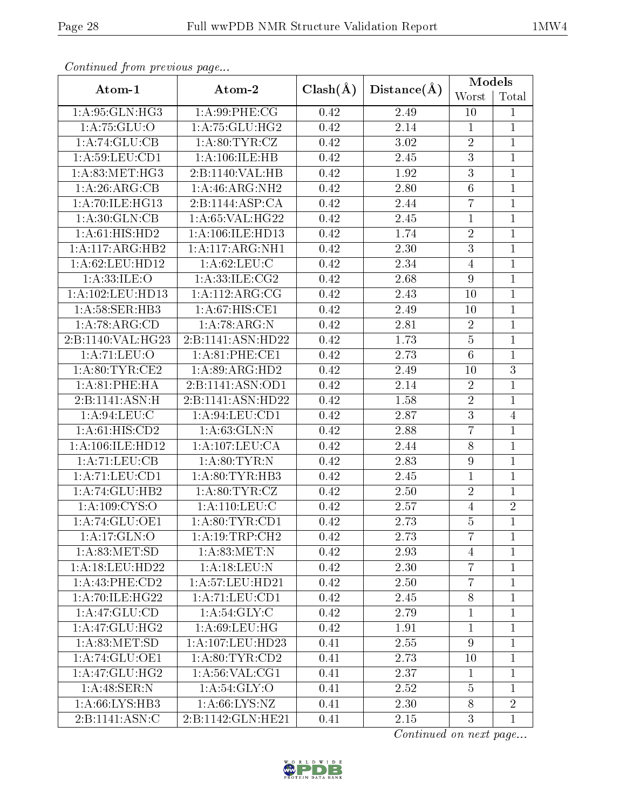| Continual from previous page |                     |              |             | <b>Models</b>   |                |
|------------------------------|---------------------|--------------|-------------|-----------------|----------------|
| Atom-1                       | Atom-2              | $Clash(\AA)$ | Distance(A) | Worst           | Total          |
| 1:A:95:GLN:HG3               | 1: A:99: PHE: CG    | 0.42         | 2.49        | 10              | 1              |
| 1:A:75:GLU:O                 | 1: A: 75: GLU: HG2  | 0.42         | 2.14        | $\mathbf{1}$    | $\mathbf{1}$   |
| 1:A:74:GLU:CB                | 1: A:80: TYR: CZ    | 0.42         | $3.02\,$    | $\sqrt{2}$      | $\mathbf{1}$   |
| 1: A:59: LEU: CD1            | 1: A: 106: ILE: HB  | 0.42         | 2.45        | $\overline{3}$  | $\mathbf{1}$   |
| 1: A:83:MET:HG3              | 2:B:1140:VAL:HB     | 0.42         | 1.92        | 3               | $\mathbf{1}$   |
| 1:A:26:ARG:CB                | 1: A:46: ARG: NH2   | 0.42         | 2.80        | $6\phantom{.}6$ | 1              |
| 1:A:70:ILE:HG13              | 2:B:1144:ASP:CA     | 0.42         | 2.44        | $\overline{7}$  | $\mathbf{1}$   |
| 1: A:30: GLN:CB              | 1:A:65:VAL:HG22     | 0.42         | 2.45        | $\mathbf{1}$    | $\mathbf{1}$   |
| 1:A:61:HIS:HD2               | 1:A:106:ILE:HD13    | 0.42         | 1.74        | $\overline{2}$  | $\mathbf{1}$   |
| 1:A:117:ARG:HB2              | 1: A:117: ARG: NH1  | 0.42         | 2.30        | 3               | $\mathbf{1}$   |
| 1:A:62:LEU:HD12              | 1: A:62:LEU:C       | 0.42         | 2.34        | $\overline{4}$  | $\mathbf{1}$   |
| 1:A:33:ILE:O                 | 1: A: 33: ILE: CG2  | 0.42         | 2.68        | 9               | $\mathbf{1}$   |
| 1:A:102:LEU:HD13             | 1:A:112:ARG:CG      | 0.42         | 2.43        | 10              | $\mathbf{1}$   |
| 1:A:58:SER:HB3               | 1:A:67:HIS:CE1      | 0.42         | 2.49        | 10              | $\mathbf{1}$   |
| 1:A:78:ARG:CD                | 1:A:78:ARG:N        | 0.42         | 2.81        | $\overline{2}$  | $\mathbf{1}$   |
| 2:B:1140:VAL:HG23            | 2:B:1141:ASN:HD22   | 0.42         | 1.73        | $\overline{5}$  | $\mathbf{1}$   |
| 1:A:71:LEU:O                 | 1:A:81:PHE:CE1      | 0.42         | 2.73        | $\overline{6}$  | $\mathbf{1}$   |
| 1: A:80: TYR: CE2            | 1:A:89:ARG:HD2      | 0.42         | 2.49        | 10              | $\overline{3}$ |
| 1:A:81:PHE:HA                | 2:B:1141:ASN:OD1    |              | 2.14        | $\overline{2}$  | $\mathbf{1}$   |
| 2:B:1141:ASN:H               | 2:B:1141:ASN:HD22   | 0.42         | 1.58        | $\overline{2}$  | $\mathbf{1}$   |
| 1:A:94:LEU:C                 | 1: A:94: LEU: CD1   | 0.42         | 2.87        | $\overline{3}$  | $\overline{4}$ |
| 1: A:61: HIS:CD2             | 1: A:63: GLN:N      | 0.42         | 2.88        | $\overline{7}$  | $\mathbf{1}$   |
| 1: A:106: ILE: HD12          | 1:A:107:LEU:CA      | 0.42         | 2.44        | $\overline{8}$  | $\mathbf{1}$   |
| 1:A:71:LEU:CB                | 1: A:80: TYR:N      | 0.42         | 2.83        | 9               | $\mathbf{1}$   |
| 1:A:71:LEU:CD1               | 1: A:80: TYR: HB3   | 0.42         | 2.45        | $\mathbf{1}$    | 1              |
| 1:A:74:GLU:HB2               | 1: A:80: TYR: CZ    | 0.42         | 2.50        | $\overline{2}$  | $\mathbf{1}$   |
| 1:A:109:CYS:O                | 1: A:110: LEU: C    | 0.42         | 2.57        | $\overline{4}$  | $\overline{2}$ |
| 1: A:74: GLU:OE1             | 1: A:80:TYR:CD1     | 0.42         | 2.73        | $\overline{5}$  | $\overline{1}$ |
| 1: A:17: GLN:O               | 1:A:19:TRP:CH2      | 0.42         | 2.73        | $\overline{7}$  | 1              |
| 1: A:83:MET:SD               | 1: A:83:MET:N       | 0.42         | 2.93        | $\overline{4}$  | 1              |
| 1: A:18: LEU: HD22           | 1:A:18:LEU:N        | 0.42         | 2.30        | $\overline{7}$  | $\mathbf{1}$   |
| $1:A:43:$ PHE:CD2            | 1: A: 57: LEU: HD21 | 0.42         | 2.50        | $\overline{7}$  | $\mathbf{1}$   |
| 1: A:70: ILE: HG22           | 1:A:71:LEU:CD1      | 0.42         | 2.45        | $8\,$           | 1              |
| 1: A:47: GLU:CD              | 1: A:54: GLY: C     | 0.42         | 2.79        | $\mathbf{1}$    | $\mathbf{1}$   |
| 1:A:47:GLU:HG2               | 1: A:69:LEU:HG      | 0.42         | 1.91        | $\mathbf{1}$    | 1              |
| 1: A:83: MET:SD              | 1:A:107:LEU:HD23    | 0.41         | 2.55        | 9               | $\mathbf{1}$   |
| 1:A:74:GLU:OE1               | 1: A:80: TYR:CD2    | 0.41         | 2.73        | 10              | $\mathbf{1}$   |
| 1: A:47: GLU: HG2            | 1: A:56: VAL:CG1    | 0.41         | 2.37        | $\mathbf{1}$    | $\mathbf{1}$   |
| 1:A:48:SER:N                 | 1: A:54: GLY:O      | 0.41         | 2.52        | $\overline{5}$  | $\mathbf{1}$   |
| 1:A:66:LYS:HB3               | 1: A:66: LYS:NZ     | 0.41         | 2.30        | 8               | $\overline{2}$ |
| 2:B:1141:ASN:C               | 2:B:1142:GLN:HE21   | 0.41         | 2.15        | 3               | $\mathbf{1}$   |

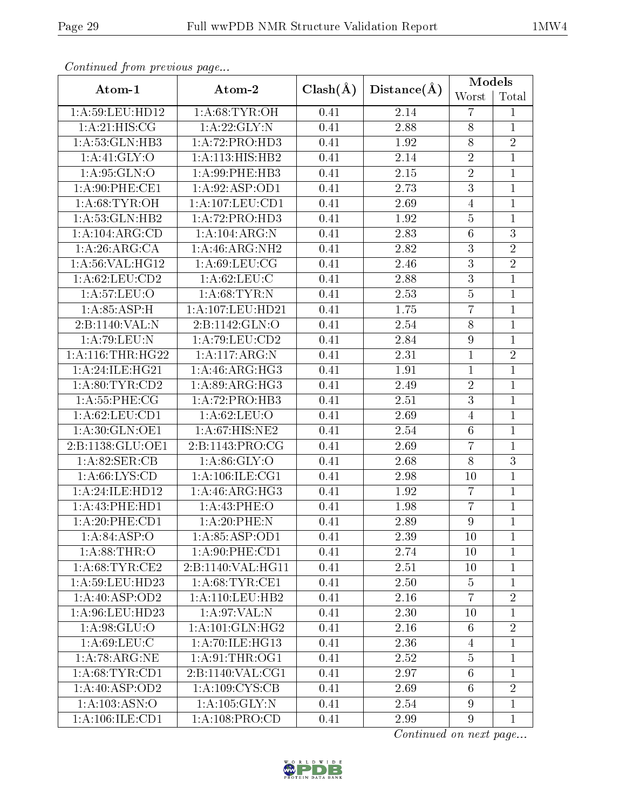| Continual from previous page |                     |              |             | <b>Models</b>    |                |
|------------------------------|---------------------|--------------|-------------|------------------|----------------|
| Atom-1                       | Atom-2              | $Clash(\AA)$ | Distance(A) | Worst            | Total          |
| 1:A:59:LEU:HD12              | 1: A:68:TYR:OH      | 0.41         | 2.14        | 7                | $\mathbf{1}$   |
| 1:A:21:HIS:CG                | 1:A:22:GLY:N        | 0.41         | 2.88        | 8                | $\mathbf{1}$   |
| 1:A:53:GLN:HB3               | 1:A:72:PRO:HD3      | 0.41         | 1.92        | 8                | $\overline{2}$ |
| 1:A:41:GLY:O                 | 1:A:113:HIS:HB2     | 0.41         | 2.14        | $\overline{2}$   | $\mathbf{1}$   |
| 1:A:95:GLN:O                 | 1:A:99:PHE:HB3      | 0.41         | 2.15        | $\overline{2}$   | $\mathbf{1}$   |
| 1:A:90:PHE:CE1               | 1:A:92:ASP:OD1      | 0.41         | 2.73        | $\overline{3}$   | $\mathbf{1}$   |
| 1: A:68:TYR:OH               | 1:A:107:LEU:CD1     | 0.41         | 2.69        | $\overline{4}$   | $\overline{1}$ |
| 1: A:53: GLN: HB2            | 1:A:72:PRO:HD3      | 0.41         | 1.92        | $\bf 5$          | $\mathbf{1}$   |
| 1:A:104:ARG:CD               | 1:A:104:ARG:N       | 0.41         | 2.83        | $\overline{6}$   | $\overline{3}$ |
| 1:A:26:ARG:CA                | 1: A:46: ARG: NH2   | 0.41         | 2.82        | $\overline{3}$   | $\overline{2}$ |
| 1: A:56: VAL:HGI2            | 1: A:69: LEU: CG    | 0.41         | 2.46        | $\overline{3}$   | $\overline{2}$ |
| 1: A:62: LEU:CD2             | 1: A:62:LEU:C       | 0.41         | 2.88        | $\overline{3}$   | $\mathbf{1}$   |
| 1:A:57:LEU:O                 | 1: A:68:TYR:N       | 0.41         | 2.53        | $\overline{5}$   | $\mathbf{1}$   |
| 1: A:85:ASP:H                | 1:A:107:LEU:HD21    | 0.41         | 1.75        | $\overline{7}$   | $\mathbf{1}$   |
| 2:B:1140:VAL:N               | 2:Bi:1142:GLN:O     | 0.41         | 2.54        | 8                | $\mathbf{1}$   |
| 1:A:79:LEU:N                 | 1:A:79:LEU:CD2      | 0.41         | 2.84        | $\boldsymbol{9}$ | $\mathbf{1}$   |
| 1: A:116:THR:HG22            | 1: A:117:ARG:N      | 0.41         | 2.31        | $\mathbf{1}$     | $\sqrt{2}$     |
| 1:A:24:ILE:HG21              | 1: A:46: ARG:HG3    | 0.41         | 1.91        | $\mathbf{1}$     | $\mathbf{1}$   |
| 1: A:80: TYR:CD2             | 1: A:89: ARG: HG3   | 0.41         | 2.49        | $\overline{2}$   | $\mathbf{1}$   |
| 1: A: 55: PHE: CG            | 1:A:72:PRO:HB3      | 0.41         | 2.51        | $\overline{3}$   | $\mathbf 1$    |
| 1: A:62: LEU:CD1             | 1: A:62:LEU:O       | 0.41         | 2.69        | $\overline{4}$   | $\mathbf{1}$   |
| 1:A:30:GLN:OE1               | 1:A:67:HIS:NE2      | 0.41         | 2.54        | 6                | $\mathbf{1}$   |
| 2:B:1138:GLU:OE1             | 2:B:1143:PRO:CG     | 0.41         | 2.69        | 7                | $\mathbf{1}$   |
| 1:A:82:SER:CB                | 1: A:86: GLY:O      | 0.41         | 2.68        | 8                | $\overline{3}$ |
| 1: A:66: LYS:CD              | 1: A:106: ILE: CG1  | 0.41         | 2.98        | 10               | $\mathbf{1}$   |
| 1:A:24:ILE:HD12              | 1:A:46:ARG:HG3      | 0.41         | 1.92        | $\overline{7}$   | $\overline{1}$ |
| 1:A:43:PHE:HD1               | 1:A:43:PHE:O        | 0.41         | 1.98        | $\overline{7}$   | $\mathbf{1}$   |
| 1:A:20:PHE:CD1               | 1:A:20:PHE:N        | 0.41         | 2.89        | 9                | $\overline{1}$ |
| 1: A:84: ASP:O               | 1:A:85:ASP:OD1      | 0.41         | 2.39        | 10               | $\mathbf{1}$   |
| 1: A:88:THR:O                | 1: A:90: PHE:CD1    | 0.41         | 2.74        | 10               | $\mathbf{1}$   |
| 1: A:68:TYR:CE2              | 2:B:1140:VAL:HG11   | 0.41         | 2.51        | 10               | $\mathbf{1}$   |
| 1:A:59:LEU:HD23              | 1: A:68:TYR:CE1     | 0.41         | 2.50        | $\overline{5}$   | $\mathbf{1}$   |
| 1: A:40: ASP:OD2             | 1: A: 110: LEU: HB2 | 0.41         | 2.16        | 7                | $\overline{2}$ |
| 1:A:96:LEU:HD23              | 1:A:97:VAL:N        | 0.41         | 2.30        | 10               | $\mathbf{1}$   |
| 1: A:98: GLU:O               | 1: A:101: GLN: HG2  | 0.41         | 2.16        | $6\phantom{.}6$  | $\sqrt{2}$     |
| 1: A:69:LEU: C               | 1:A:70:ILE:HG13     | 0.41         | 2.36        | $\overline{4}$   | $\mathbf{1}$   |
| 1:A:78:ARG:NE                | 1: A:91:THR:OG1     | 0.41         | 2.52        | $\bf 5$          | $\mathbf{1}$   |
| 1: A:68:TYR:CD1              | 2:B:1140:VAL:CG1    | 0.41         | 2.97        | 6                | $\mathbf{1}$   |
| 1: A:40: ASP:OD2             | 1: A: 109: CYS: CB  | 0.41         | 2.69        | $6\phantom{.}6$  | $\overline{2}$ |
| $1:A:103.\overline{ASN:O}$   | 1: A: 105: GLY:N    | 0.41         | 2.54        | 9                | $\mathbf{1}$   |
| 1: A: 106: ILE: CD1          | 1: A: 108: PRO:CD   | 0.41         | 2.99        | $\overline{9}$   | $\mathbf{1}$   |

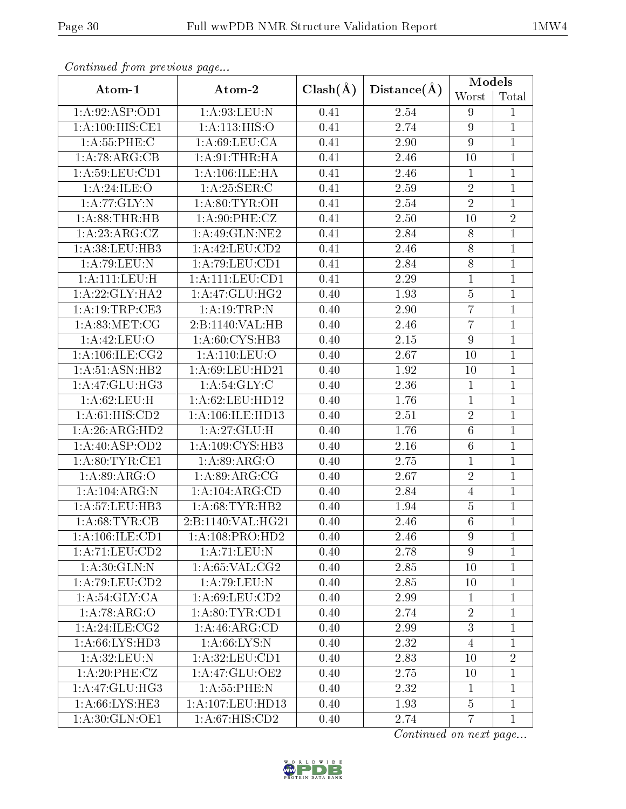| Continuata from previous page |                   |              |             | <b>Models</b>   |                |
|-------------------------------|-------------------|--------------|-------------|-----------------|----------------|
| Atom-1                        | Atom-2            | $Clash(\AA)$ | Distance(A) | Worst           | Total          |
| 1:A:92:ASP:OD1                | 1:A:93:LEU:N      | 0.41         | 2.54        | 9               | 1              |
| 1: A:100:HIS:CE1              | 1: A:113: HIS:O   | 0.41         | 2.74        | 9               | 1              |
| 1:A:55:PHE:C                  | 1: A:69:LEU:CA    | 0.41         | 2.90        | 9               | $\mathbf{1}$   |
| 1:A:78:ARG:CB                 | 1: A:91:THR:HA    | 0.41         | 2.46        | 10              | $\mathbf{1}$   |
| 1: A:59: LEU: CD1             | 1: A:106: ILE: HA | 0.41         | 2.46        | $\mathbf{1}$    | $\mathbf{1}$   |
| 1:A:24:ILE:O                  | 1: A:25: SER: C   | 0.41         | 2.59        | $\overline{2}$  | $\mathbf{1}$   |
| 1:A:77:GLY:N                  | 1: A:80: TYR:OH   | 0.41         | 2.54        | $\overline{2}$  | $\mathbf{1}$   |
| 1:A:88:THR:HB                 | 1: A:90: PHE: CZ  | 0.41         | 2.50        | 10              | $\sqrt{2}$     |
| 1:A:23:ARG:CZ                 | $1:$ A:49:GLN:NE2 | 0.41         | 2.84        | $\overline{8}$  | $\mathbf{1}$   |
| 1:A:38:LEU:HB3                | 1:A:42:LEU:CD2    | 0.41         | 2.46        | 8               | $\mathbf{1}$   |
| $1:$ A:79:LEU:N               | 1: A:79: LEU: CD1 | 0.41         | 2.84        | $\overline{8}$  | $\mathbf{1}$   |
| 1:A:111:LEU:H                 | 1:A:111:LEU:CD1   | 0.41         | 2.29        | $\mathbf{1}$    | $\mathbf{1}$   |
| 1: A:22: GLY:HA2              | 1:A:47:GLU:HG2    | 0.40         | 1.93        | $\bf 5$         | $\mathbf{1}$   |
| 1:A:19:TRP:CE3                | 1:A:19:TRP:N      | 0.40         | 2.90        | $\overline{7}$  | $\mathbf{1}$   |
| 1: A:83:MET:CG                | 2:B:1140:VAL:HB   | 0.40         | 2.46        | $\overline{7}$  | $\mathbf{1}$   |
| 1:A:42:LEU:O                  | 1: A:60: CYS:HB3  | 0.40         | 2.15        | 9               | $\mathbf{1}$   |
| 1: A: 106: ILE: CG2           | 1:A:110:LEU:O     | 0.40         | 2.67        | 10              | $\mathbf{1}$   |
| 1:A:51:ASN:HB2                | 1:A:69:LEU:HD21   | 0.40         | 1.92        | 10              | $\mathbf{1}$   |
| 1:A:47:GLU:HG3                | 1: A:54: GLY: C   | 0.40         | 2.36        | $\mathbf{1}$    | $\mathbf{1}$   |
| 1: A:62:LEU:H                 | 1: A:62:LEU:HD12  | 0.40         | 1.76        | $\overline{1}$  | $\mathbf{1}$   |
| 1: A:61: HIS:CD2              | 1:A:106:ILE:HD13  | 0.40         | 2.51        | $\overline{2}$  | $\mathbf{1}$   |
| 1:A:26:ARG:HD2                | 1: A:27: GLU:H    | 0.40         | 1.76        | $6\phantom{.}6$ | $\mathbf{1}$   |
| 1:A:40:ASP:OD2                | 1:A:109:CYS:HB3   | 0.40         | 2.16        | $6\phantom{.}6$ | 1              |
| 1: A:80: TYR: CE1             | 1: A:89: ARG:O    | 0.40         | 2.75        | $\mathbf{1}$    | $\mathbf{1}$   |
| 1:A.89:ARG.0                  | 1: A:89: ARG:CG   | 0.40         | 2.67        | $\overline{2}$  | $\mathbf{1}$   |
| 1:A:104:ARG:N                 | 1:A:104:ARG:CD    | 0.40         | 2.84        | $\overline{4}$  | $\mathbf{1}$   |
| 1:A:57:LEU:HB3                | 1:A:68:TYR:HB2    | 0.40         | 1.94        | $\overline{5}$  | $\mathbf{1}$   |
| 1: A:68:TTR:CB                | 2:B:1140:VAL:HG21 | 0.40         | 2.46        | $\overline{6}$  | $\mathbf{1}$   |
| 1: A: 106: ILE: CD1           | 1:A:108:PRO:HD2   | 0.40         | 2.46        | $\overline{9}$  | $\mathbf{1}$   |
| 1:A:71:LEU:CD2                | 1:A:71:LEU:N      | 0.40         | 2.78        | 9               | $\mathbf{1}$   |
| 1: A:30: GLN:N                | 1: A:65:VAL:CG2   | 0.40         | 2.85        | 10              | 1              |
| 1: A:79: LEU:CD2              | 1:A:79:LEU:N      | 0.40         | 2.85        | 10              | $\mathbf{1}$   |
| 1: A:54: GLY:CA               | 1: A:69:LEU:CD2   | 0.40         | 2.99        | 1               | 1              |
| 1:A:78:ARG:O                  | 1: A:80: TYR:CD1  | 0.40         | 2.74        | $\overline{2}$  | $\mathbf{1}$   |
| 1:A:24:ILE:CG2                | 1: A:46: ARG:CD   | 0.40         | 2.99        | $\overline{3}$  | $\mathbf{1}$   |
| 1: A:66: LYS:HD3              | 1: A:66: LYS:N    | 0.40         | 2.32        | $\overline{4}$  | $\mathbf{1}$   |
| 1: A:32: LEU: N               | 1: A:32: LEU: CD1 | 0.40         | 2.83        | 10              | $\overline{2}$ |
| 1: A:20:PHE:CZ                | 1:A:47:GLU:OE2    | 0.40         | 2.75        | 10              | $\mathbf{1}$   |
| 1: A:47: GLU: HG3             | 1: A:55:PHE:N     | 0.40         | 2.32        | $\mathbf{1}$    | $\mathbf{1}$   |
| 1: A:66: LYS: HE3             | 1:A:107:LEU:HD13  | 0.40         | 1.93        | $\overline{5}$  | $\mathbf{1}$   |
| 1:A:30:GLN:OE1                | 1: A:67: HIS: CD2 | 0.40         | 2.74        | $\overline{7}$  | $\mathbf{1}$   |

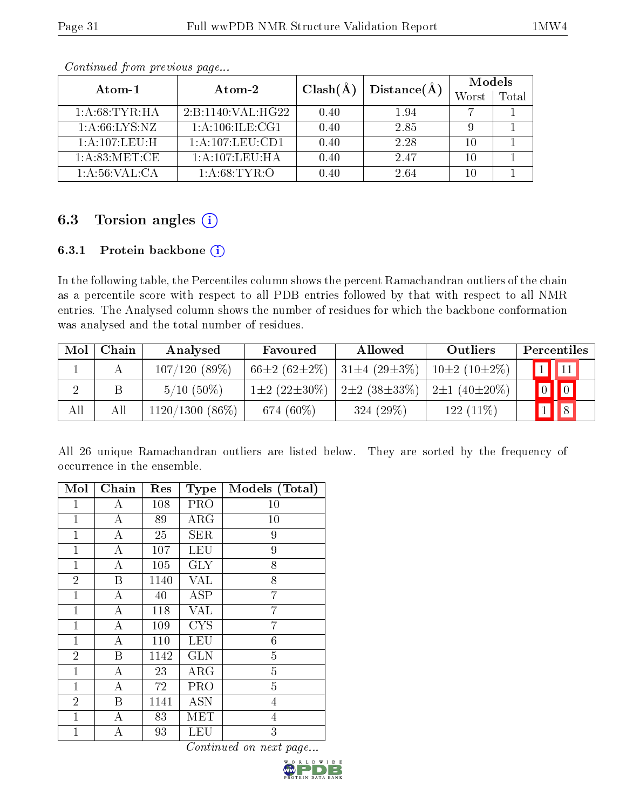|                  |                    | $Clash(\AA)$ | Distance(A) | Models |       |
|------------------|--------------------|--------------|-------------|--------|-------|
| Atom-1           | Atom-2             |              |             | Worst  | Total |
| 1: A:68:TYR:HA   | 2:B:1140:VAL:HG22  | 0.40         | 1.94        |        |       |
| 1: A:66: LYS:NZ  | 1: A:106: ILE: CG1 | 0.40         | 2.85        |        |       |
| 1: A:107:LEU:H   | 1:A:107:LEU:CD1    | 0.40         | 2.28        | 10     |       |
| 1: A:83:MET:CE   | 1: A: 107: LEU: HA | 0.40         | 2.47        | 10     |       |
| 1: A:56: VAL: CA | 1: A:68:TYR:O      | 0.40         | 2.64        | 10     |       |

## 6.3 Torsion angles  $(i)$

### 6.3.1 Protein backbone (i)

In the following table, the Percentiles column shows the percent Ramachandran outliers of the chain as a percentile score with respect to all PDB entries followed by that with respect to all NMR entries. The Analysed column shows the number of residues for which the backbone conformation was analysed and the total number of residues.

| Mol | Chain | Analysed          | Favoured                  | Allowed                 | Outliers           | Percentiles            |
|-----|-------|-------------------|---------------------------|-------------------------|--------------------|------------------------|
|     |       | 107/120(89%)      | $66\pm2(62\pm2\%)$        | $31\pm4(29\pm3\%)$      | $10\pm2(10\pm2\%)$ | $\vert$ 1   $\vert$ 11 |
| ച   |       | $5/10(50\%)$      | $1\pm 2$ (22 $\pm 30\%$ ) | $2\pm 2$ (38 $\pm$ 33%) | $2\pm1(40\pm20\%)$ |                        |
| All | Αll   | $1120/1300(86\%)$ | 674 $(60\%)$              | 324 $(29\%)$            | $122(11\%)$        |                        |

All 26 unique Ramachandran outliers are listed below. They are sorted by the frequency of occurrence in the ensemble.

| Mol            | Chain            | Res  | <b>Type</b>             | Models (Total)   |
|----------------|------------------|------|-------------------------|------------------|
| 1              | А                | 108  | PRO                     | 10               |
| $\mathbf{1}$   | A                | 89   | $\rm{ARG}$              | 10               |
| $\mathbf{1}$   | $\boldsymbol{A}$ | 25   | <b>SER</b>              | 9                |
| 1              | $\boldsymbol{A}$ | 107  | <b>LEU</b>              | 9                |
| $\mathbf{1}$   | $\boldsymbol{A}$ | 105  | <b>GLY</b>              | 8                |
| $\overline{2}$ | $\boldsymbol{B}$ | 1140 | $\overline{\text{VAL}}$ | $\overline{8}$   |
| $\mathbf{1}$   | $\boldsymbol{A}$ | 40   | <b>ASP</b>              | $\overline{7}$   |
| $\mathbf{1}$   | А                | 118  | VAL                     | 7                |
| $\mathbf{1}$   | $\boldsymbol{A}$ | 109  | <b>CYS</b>              | 7                |
| $\mathbf{1}$   | $\boldsymbol{A}$ | 110  | <b>LEU</b>              | $\boldsymbol{6}$ |
| $\overline{2}$ | Β                | 1142 | <b>GLN</b>              | $\overline{5}$   |
| $\mathbf{1}$   | $\boldsymbol{A}$ | 23   | <b>ARG</b>              | $\overline{5}$   |
| $\mathbf{1}$   | $\boldsymbol{A}$ | 72   | PRO                     | $\overline{5}$   |
| $\overline{2}$ | Β                | 1141 | ASN                     | 4                |
| $\mathbf{1}$   | A                | 83   | MET                     | $\overline{4}$   |
| $\mathbf{1}$   | А                | 93   | LEU                     | 3                |

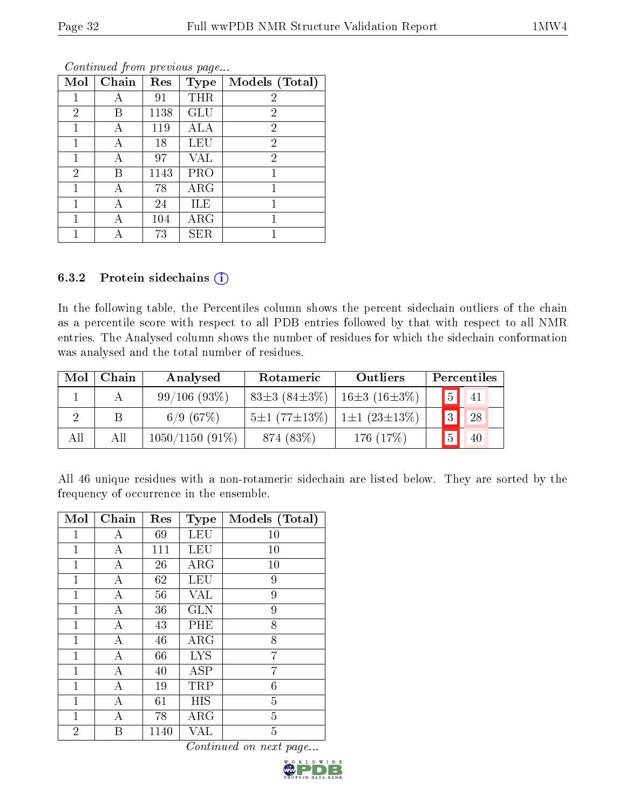| Mol            | Chain | Res  | <b>Type</b> | Models (Total) |
|----------------|-------|------|-------------|----------------|
| 1              | А     | 91   | THR         | 2              |
| $\overline{2}$ | В     | 1138 | GLU         | $\overline{2}$ |
|                | А     | 119  | <b>ALA</b>  | $\overline{2}$ |
| 1              | А     | 18   | <b>LEU</b>  | $\overline{2}$ |
|                |       | 97   | VAL         | $\overline{2}$ |
| $\overline{2}$ | В     | 1143 | <b>PRO</b>  |                |
| 1              | А     | 78   | $\rm{ARG}$  | 1              |
|                |       | 24   | ILE         |                |
|                |       | 104  | $\rm{ARG}$  |                |
|                |       | 73   | <b>SER</b>  |                |

### 6.3.2 Protein sidechains (i)

In the following table, the Percentiles column shows the percent sidechain outliers of the chain as a percentile score with respect to all PDB entries followed by that with respect to all NMR entries. The Analysed column shows the number of residues for which the sidechain conformation was analysed and the total number of residues.

| Mol | Chain | Analysed          | Rotameric                                | Outliers           |                | Percentiles              |
|-----|-------|-------------------|------------------------------------------|--------------------|----------------|--------------------------|
|     |       | 99/106(93%)       | 83 $\pm$ 3 (84 $\pm$ 3%)                 | $16\pm3(16\pm3\%)$ |                | $\boxed{5}$ $\boxed{41}$ |
|     |       | 6/9(67%)          | $5\pm1(77\pm13\%)$   1 $\pm1(23\pm13\%)$ |                    | 2              | 28                       |
| All | All   | $1050/1150(91\%)$ | 874 (83%)                                | 176 $(17%)$        | $\overline{5}$ | 40                       |

All 46 unique residues with a non-rotameric sidechain are listed below. They are sorted by the frequency of occurrence in the ensemble.

| Mol            | Chain            | Res  | <b>Type</b> | Models (Total) |
|----------------|------------------|------|-------------|----------------|
| 1              | А                | 69   | LEU         | 10             |
| $\mathbf{1}$   | $\boldsymbol{A}$ | 111  | <b>LEU</b>  | 10             |
| $\mathbf{1}$   | А                | 26   | $\rm{ARG}$  | 10             |
| $\mathbf{1}$   | А                | 62   | <b>LEU</b>  | 9              |
| $\mathbf{1}$   | А                | 56   | VAL         | 9              |
| 1              | А                | 36   | <b>GLN</b>  | 9              |
| 1              | Α                | 43   | PHE         | 8              |
| 1              | А                | 46   | $\rm{ARG}$  | 8              |
| 1              | А                | 66   | <b>LYS</b>  | 7              |
| 1              | А                | 40   | ASP         | 7              |
| 1              | Α                | 19   | TRP         | 6              |
| 1              | А                | 61   | HIS         | $\overline{5}$ |
| 1              | А                | 78   | $\rm{ARG}$  | $\overline{5}$ |
| $\overline{2}$ | В                | 1140 | VAL         | $\overline{5}$ |

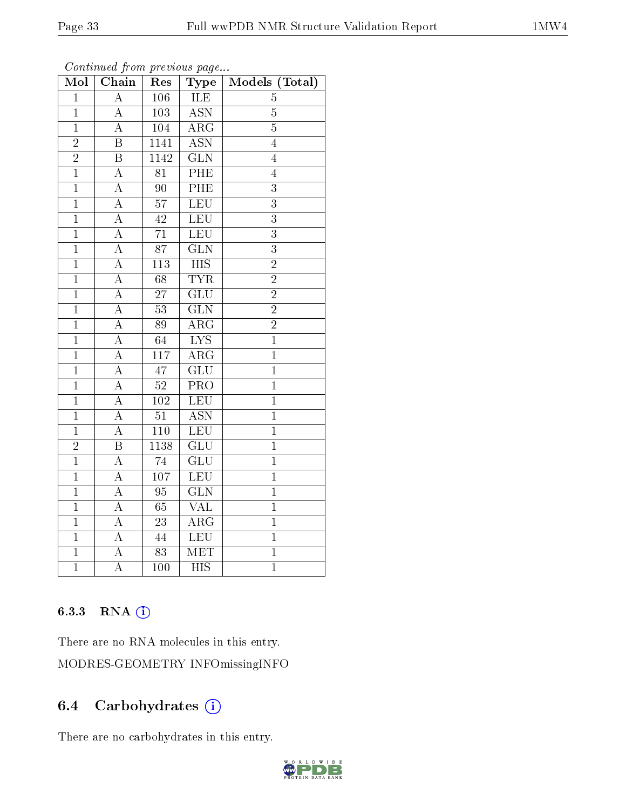| Mol            | contentava promo provisão pago<br>$\overline{\text{Chain}}$ | Res              | Type                    | Models (Total) |
|----------------|-------------------------------------------------------------|------------------|-------------------------|----------------|
| $\mathbf{1}$   | $\overline{\rm A}$                                          | 106              | ILE                     | 5              |
| $\mathbf{1}$   | A                                                           | 103              | <b>ASN</b>              | $\bf 5$        |
| $\overline{1}$ | $\overline{\rm A}$                                          | 104              | $\overline{\rm{ARG}}$   | $\overline{5}$ |
| $\overline{2}$ | $\overline{\mathrm{B}}$                                     | 1141             | $\overline{\text{ASN}}$ | $\overline{4}$ |
| $\overline{2}$ | $\overline{\mathrm{B}}$                                     | 1142             | $\overline{\text{GLN}}$ | $\overline{4}$ |
| $\overline{1}$ | $\boldsymbol{A}$                                            | 81               | PHE                     | $\overline{4}$ |
| $\mathbf{1}$   | A                                                           | 90               | PHE                     | $\overline{3}$ |
| $\overline{1}$ | $\overline{\rm A}$                                          | $\overline{57}$  | <b>LEU</b>              | $\overline{3}$ |
| $\overline{1}$ | $\overline{\rm A}$                                          | $42\,$           | <b>LEU</b>              | $\overline{3}$ |
| $\mathbf{1}$   | A                                                           | 71               | <b>LEU</b>              | $\overline{3}$ |
| $\overline{1}$ | $\boldsymbol{A}$                                            | $\overline{87}$  | $\overline{\text{GLN}}$ | $\overline{3}$ |
| $\overline{1}$ | $\overline{\rm A}$                                          | $\overline{113}$ | $\overline{HIS}$        | $\overline{2}$ |
| $\overline{1}$ | $\overline{\rm A}$                                          | 68               | <b>TYR</b>              | $\overline{2}$ |
| $\mathbf{1}$   | $\boldsymbol{A}$                                            | $\overline{27}$  | $\overline{\text{GLU}}$ | $\overline{2}$ |
| $\mathbf{1}$   | A                                                           | $\overline{53}$  | $\overline{\text{GLN}}$ | $\overline{2}$ |
| $\overline{1}$ | $\boldsymbol{A}$                                            | 89               | ARG                     | $\overline{2}$ |
| $\overline{1}$ | $\overline{\rm A}$                                          | $\overline{64}$  | $\overline{\text{LYS}}$ | $\overline{1}$ |
| $\overline{1}$ | $\boldsymbol{A}$                                            | 117              | $\overline{\rm{ARG}}$   | $\mathbf{1}$   |
| $\overline{1}$ | A                                                           | 47               | $\overline{\text{GLU}}$ | $\mathbf{1}$   |
| $\overline{1}$ | $\overline{\rm A}$                                          | $\overline{52}$  | $\overline{\text{PRO}}$ | $\overline{1}$ |
| $\overline{1}$ | $\boldsymbol{A}$                                            | 102              | LEU                     | $\mathbf{1}$   |
| $\overline{1}$ | A                                                           | $\overline{51}$  | <b>ASN</b>              | $\mathbf{1}$   |
| $\mathbf{1}$   | $\boldsymbol{A}$                                            | 110              | LEU                     | $\mathbf{1}$   |
| $\overline{2}$ | $\overline{\mathrm{B}}$                                     | 1138             | $\overline{\text{GLU}}$ | $\overline{1}$ |
| $\overline{1}$ | $\overline{\rm A}$                                          | 74               | $\overline{\text{GLU}}$ | $\mathbf{1}$   |
| $\mathbf{1}$   | A                                                           | 107              | LEU                     | $\mathbf{1}$   |
| $\overline{1}$ | A                                                           | 95               | $\overline{\text{GLN}}$ | $\overline{1}$ |
| $\mathbf{1}$   | $\boldsymbol{A}$                                            | 65               | <b>VAL</b>              | $\overline{1}$ |
| $\overline{1}$ | $\overline{\rm A}$                                          | $\overline{23}$  | $\overline{\rm ARG}$    | $\overline{1}$ |
| $\mathbf{1}$   | A                                                           | 44               | <b>LEU</b>              | $\mathbf{1}$   |
| $\mathbf{1}$   | А                                                           | $\overline{83}$  | <b>MET</b>              | $\mathbf{1}$   |
| $\overline{1}$ | $\overline{\rm A}$                                          | 100              | $\overline{HIS}$        | $\overline{1}$ |

Continued from previous page...

### 6.3.3 RNA [O](https://www.wwpdb.org/validation/2017/NMRValidationReportHelp#rna)i

There are no RNA molecules in this entry. MODRES-GEOMETRY INFOmissingINFO

## 6.4 Carbohydrates (i)

There are no carbohydrates in this entry.

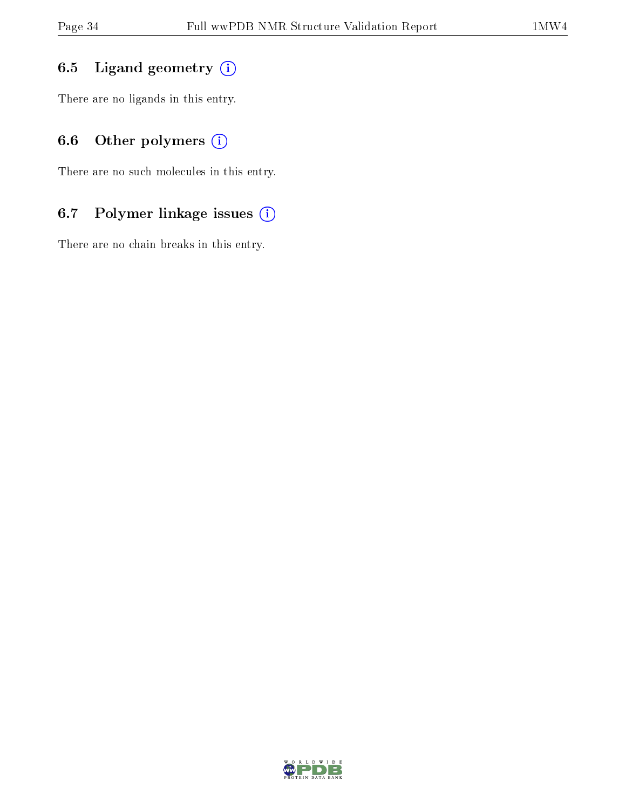## 6.5 Ligand geometry  $(i)$

There are no ligands in this entry.

# 6.6 [O](https://www.wwpdb.org/validation/2017/NMRValidationReportHelp#nonstandard_residues_and_ligands)ther polymers (i)

There are no such molecules in this entry.

## 6.7 Polymer linkage issues (i)

There are no chain breaks in this entry.